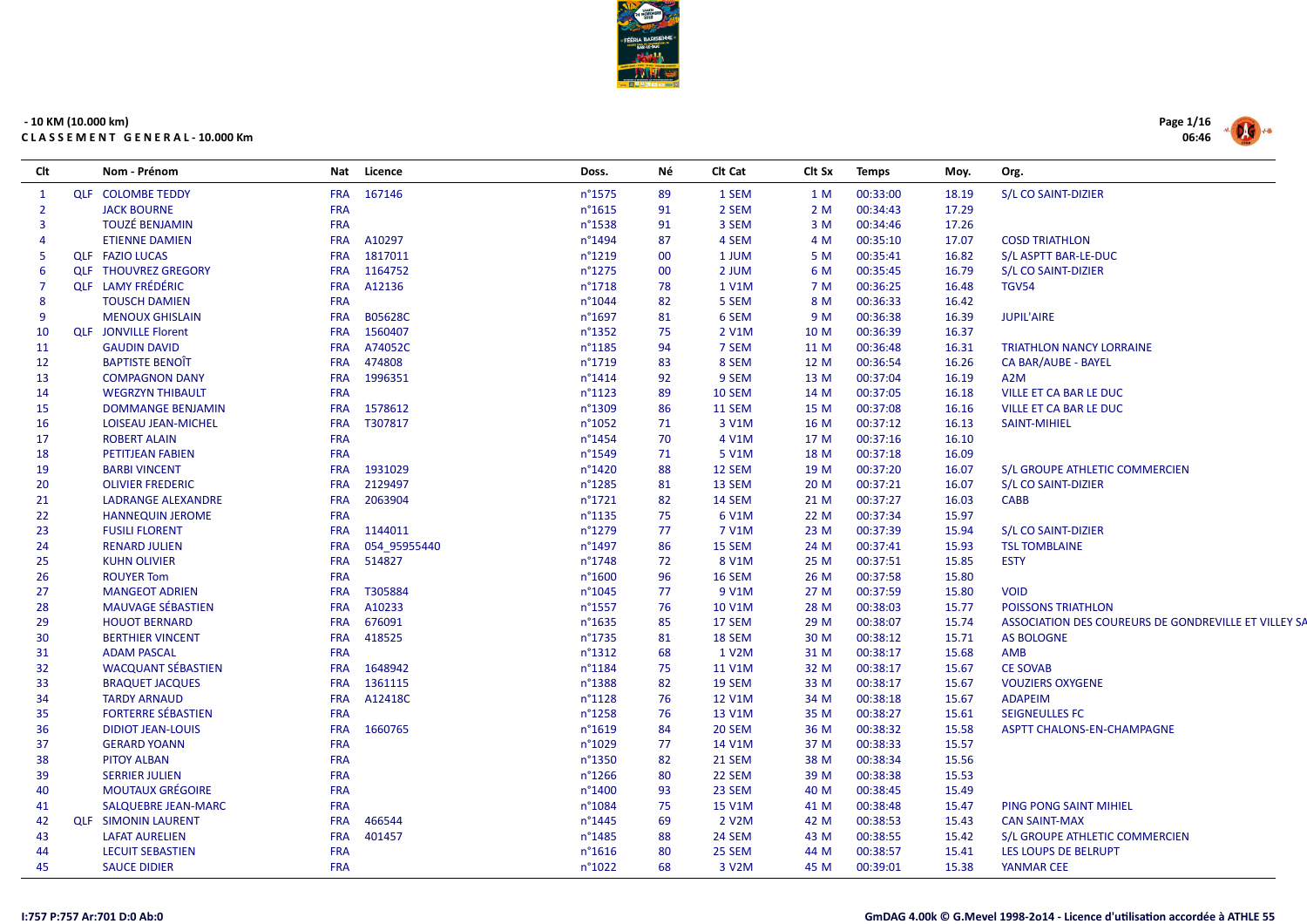

| Clt            | Nom - Prénom                |            | Nat Licence  | Doss.            | Νé     | CIt Cat       | Clt Sx | <b>Temps</b> | Moy.  | Org.                                                 |
|----------------|-----------------------------|------------|--------------|------------------|--------|---------------|--------|--------------|-------|------------------------------------------------------|
| $\mathbf{1}$   | <b>QLF COLOMBE TEDDY</b>    |            | FRA 167146   | n°1575           | 89     | 1 SEM         | 1 M    | 00:33:00     | 18.19 | S/L CO SAINT-DIZIER                                  |
| $\overline{2}$ | <b>JACK BOURNE</b>          | <b>FRA</b> |              | n°1615           | 91     | 2 SEM         | 2 M    | 00:34:43     | 17.29 |                                                      |
| 3              | <b>TOUZÉ BENJAMIN</b>       | <b>FRA</b> |              | n°1538           | 91     | 3 SEM         | 3 M    | 00:34:46     | 17.26 |                                                      |
| $\overline{4}$ | <b>ETIENNE DAMIEN</b>       | <b>FRA</b> | A10297       | n°1494           | 87     | 4 SEM         | 4 M    | 00:35:10     | 17.07 | <b>COSD TRIATHLON</b>                                |
| -5             | <b>QLF FAZIO LUCAS</b>      | <b>FRA</b> | 1817011      | n°1219           | $00\,$ | 1 JUM         | 5 M    | 00:35:41     | 16.82 | S/L ASPTT BAR-LE-DUC                                 |
| 6              | <b>QLF THOUVREZ GREGORY</b> | <b>FRA</b> | 1164752      | n°1275           | $00\,$ | 2 JUM         | 6 M    | 00:35:45     | 16.79 | S/L CO SAINT-DIZIER                                  |
| $\overline{7}$ | <b>QLF</b> LAMY FRÉDÉRIC    | <b>FRA</b> | A12136       | n°1718           | 78     | 1 V1M         | 7 M    | 00:36:25     | 16.48 | <b>TGV54</b>                                         |
| 8              | <b>TOUSCH DAMIEN</b>        | <b>FRA</b> |              | n°1044           | 82     | 5 SEM         | 8 M    | 00:36:33     | 16.42 |                                                      |
| 9              | <b>MENOUX GHISLAIN</b>      | <b>FRA</b> | B05628C      | n°1697           | 81     | 6 SEM         | 9 M    | 00:36:38     | 16.39 | <b>JUPIL'AIRE</b>                                    |
| 10             | <b>QLF</b> JONVILLE Florent | <b>FRA</b> | 1560407      | n°1352           | 75     | 2 V1M         | 10 M   | 00:36:39     | 16.37 |                                                      |
| 11             | <b>GAUDIN DAVID</b>         | <b>FRA</b> | A74052C      | n°1185           | 94     | 7 SEM         | 11 M   | 00:36:48     | 16.31 | <b>TRIATHLON NANCY LORRAINE</b>                      |
| 12             | <b>BAPTISTE BENOIT</b>      | <b>FRA</b> | 474808       | n°1719           | 83     | 8 SEM         | 12 M   | 00:36:54     | 16.26 | CA BAR/AUBE - BAYEL                                  |
| 13             | <b>COMPAGNON DANY</b>       | <b>FRA</b> | 1996351      | n°1414           | 92     | 9 SEM         | 13 M   | 00:37:04     | 16.19 | A <sub>2</sub> M                                     |
| 14             | <b>WEGRZYN THIBAULT</b>     | <b>FRA</b> |              | $n^{\circ}1123$  | 89     | 10 SEM        | 14 M   | 00:37:05     | 16.18 | <b>VILLE ET CA BAR LE DUC</b>                        |
| 15             | <b>DOMMANGE BENJAMIN</b>    | <b>FRA</b> | 1578612      | n°1309           | 86     | 11 SEM        | 15 M   | 00:37:08     | 16.16 | <b>VILLE ET CA BAR LE DUC</b>                        |
| 16             | LOISEAU JEAN-MICHEL         | <b>FRA</b> | T307817      | n°1052           | 71     | 3 V1M         | 16 M   | 00:37:12     | 16.13 | <b>SAINT-MIHIEL</b>                                  |
| 17             | <b>ROBERT ALAIN</b>         | <b>FRA</b> |              | n°1454           | 70     | 4 V1M         | 17 M   | 00:37:16     | 16.10 |                                                      |
| 18             | PETITJEAN FABIEN            | <b>FRA</b> |              | n°1549           | 71     | 5 V1M         | 18 M   | 00:37:18     | 16.09 |                                                      |
| 19             | <b>BARBI VINCENT</b>        | <b>FRA</b> | 1931029      | n°1420           | 88     | 12 SEM        | 19 M   | 00:37:20     | 16.07 | S/L GROUPE ATHLETIC COMMERCIEN                       |
| 20             | <b>OLIVIER FREDERIC</b>     | <b>FRA</b> | 2129497      | $n^{\circ}1285$  | 81     | 13 SEM        | 20 M   | 00:37:21     | 16.07 | S/L CO SAINT-DIZIER                                  |
| 21             | <b>LADRANGE ALEXANDRE</b>   | <b>FRA</b> | 2063904      | n°1721           | 82     | 14 SEM        | 21 M   | 00:37:27     | 16.03 | <b>CABB</b>                                          |
| 22             | <b>HANNEQUIN JEROME</b>     | <b>FRA</b> |              | n°1135           | 75     | 6 V1M         | 22 M   | 00:37:34     | 15.97 |                                                      |
| 23             | <b>FUSILI FLORENT</b>       | <b>FRA</b> | 1144011      | n°1279           | 77     | 7 V1M         | 23 M   | 00:37:39     | 15.94 | S/L CO SAINT-DIZIER                                  |
| 24             | <b>RENARD JULIEN</b>        | <b>FRA</b> | 054 95955440 | n°1497           | 86     | 15 SEM        | 24 M   | 00:37:41     | 15.93 | <b>TSL TOMBLAINE</b>                                 |
| 25             | <b>KUHN OLIVIER</b>         | <b>FRA</b> | 514827       | n°1748           | 72     | 8 V1M         | 25 M   | 00:37:51     | 15.85 | <b>ESTY</b>                                          |
| 26             | <b>ROUYER Tom</b>           | <b>FRA</b> |              | n°1600           | 96     | 16 SEM        | 26 M   | 00:37:58     | 15.80 |                                                      |
| 27             | <b>MANGEOT ADRIEN</b>       | <b>FRA</b> | T305884      | n°1045           | 77     | 9 V1M         | 27 M   | 00:37:59     | 15.80 | <b>VOID</b>                                          |
| 28             | <b>MAUVAGE SÉBASTIEN</b>    | <b>FRA</b> | A10233       | n°1557           | 76     | 10 V1M        | 28 M   | 00:38:03     | 15.77 | <b>POISSONS TRIATHLON</b>                            |
| 29             | <b>HOUOT BERNARD</b>        | <b>FRA</b> | 676091       | n°1635           | 85     | 17 SEM        | 29 M   | 00:38:07     | 15.74 | ASSOCIATION DES COUREURS DE GONDREVILLE ET VILLEY SA |
| 30             | <b>BERTHIER VINCENT</b>     | <b>FRA</b> | 418525       | n°1735           | 81     | 18 SEM        | 30 M   | 00:38:12     | 15.71 | <b>AS BOLOGNE</b>                                    |
| 31             | <b>ADAM PASCAL</b>          | <b>FRA</b> |              | $n^{\circ}$ 1312 | 68     | 1 V2M         | 31 M   | 00:38:17     | 15.68 | AMB                                                  |
| 32             | <b>WACQUANT SÉBASTIEN</b>   | <b>FRA</b> | 1648942      | n°1184           | 75     | 11 V1M        | 32 M   | 00:38:17     | 15.67 | <b>CE SOVAB</b>                                      |
| 33             | <b>BRAQUET JACQUES</b>      | <b>FRA</b> | 1361115      | n°1388           | 82     | 19 SEM        | 33 M   | 00:38:17     | 15.67 | <b>VOUZIERS OXYGENE</b>                              |
| 34             | <b>TARDY ARNAUD</b>         | <b>FRA</b> | A12418C      | n°1128           | 76     | <b>12 V1M</b> | 34 M   | 00:38:18     | 15.67 | <b>ADAPEIM</b>                                       |
| 35             | <b>FORTERRE SÉBASTIEN</b>   | <b>FRA</b> |              | n°1258           | 76     | 13 V1M        | 35 M   | 00:38:27     | 15.61 | <b>SEIGNEULLES FC</b>                                |
| 36             | <b>DIDIOT JEAN-LOUIS</b>    | <b>FRA</b> | 1660765      | n°1619           | 84     | 20 SEM        | 36 M   | 00:38:32     | 15.58 | ASPTT CHALONS-EN-CHAMPAGNE                           |
| 37             | <b>GERARD YOANN</b>         | <b>FRA</b> |              | n°1029           | 77     | 14 V1M        | 37 M   | 00:38:33     | 15.57 |                                                      |
| 38             | <b>PITOY ALBAN</b>          | <b>FRA</b> |              | n°1350           | 82     | 21 SEM        | 38 M   | 00:38:34     | 15.56 |                                                      |
| 39             | <b>SERRIER JULIEN</b>       | <b>FRA</b> |              | n°1266           | 80     | 22 SEM        | 39 M   | 00:38:38     | 15.53 |                                                      |
| 40             | <b>MOUTAUX GRÉGOIRE</b>     | <b>FRA</b> |              | n°1400           | 93     | 23 SEM        | 40 M   | 00:38:45     | 15.49 |                                                      |
| 41             | <b>SALQUEBRE JEAN-MARC</b>  | <b>FRA</b> |              | n°1084           | 75     | 15 V1M        | 41 M   | 00:38:48     | 15.47 | PING PONG SAINT MIHIEL                               |
| 42             | <b>QLF SIMONIN LAURENT</b>  | <b>FRA</b> | 466544       | n°1445           | 69     | 2 V2M         | 42 M   | 00:38:53     | 15.43 | <b>CAN SAINT-MAX</b>                                 |
| 43             | <b>LAFAT AURELIEN</b>       | <b>FRA</b> | 401457       | n°1485           | 88     | 24 SEM        | 43 M   | 00:38:55     | 15.42 | S/L GROUPE ATHLETIC COMMERCIEN                       |
| 44             | <b>LECUIT SEBASTIEN</b>     | <b>FRA</b> |              | n°1616           | 80     | 25 SEM        | 44 M   | 00:38:57     | 15.41 | LES LOUPS DE BELRUPT                                 |
| 45             | <b>SAUCE DIDIER</b>         | <b>FRA</b> |              | n°1022           | 68     | 3 V2M         | 45 M   | 00:39:01     | 15.38 | <b>YANMAR CEE</b>                                    |

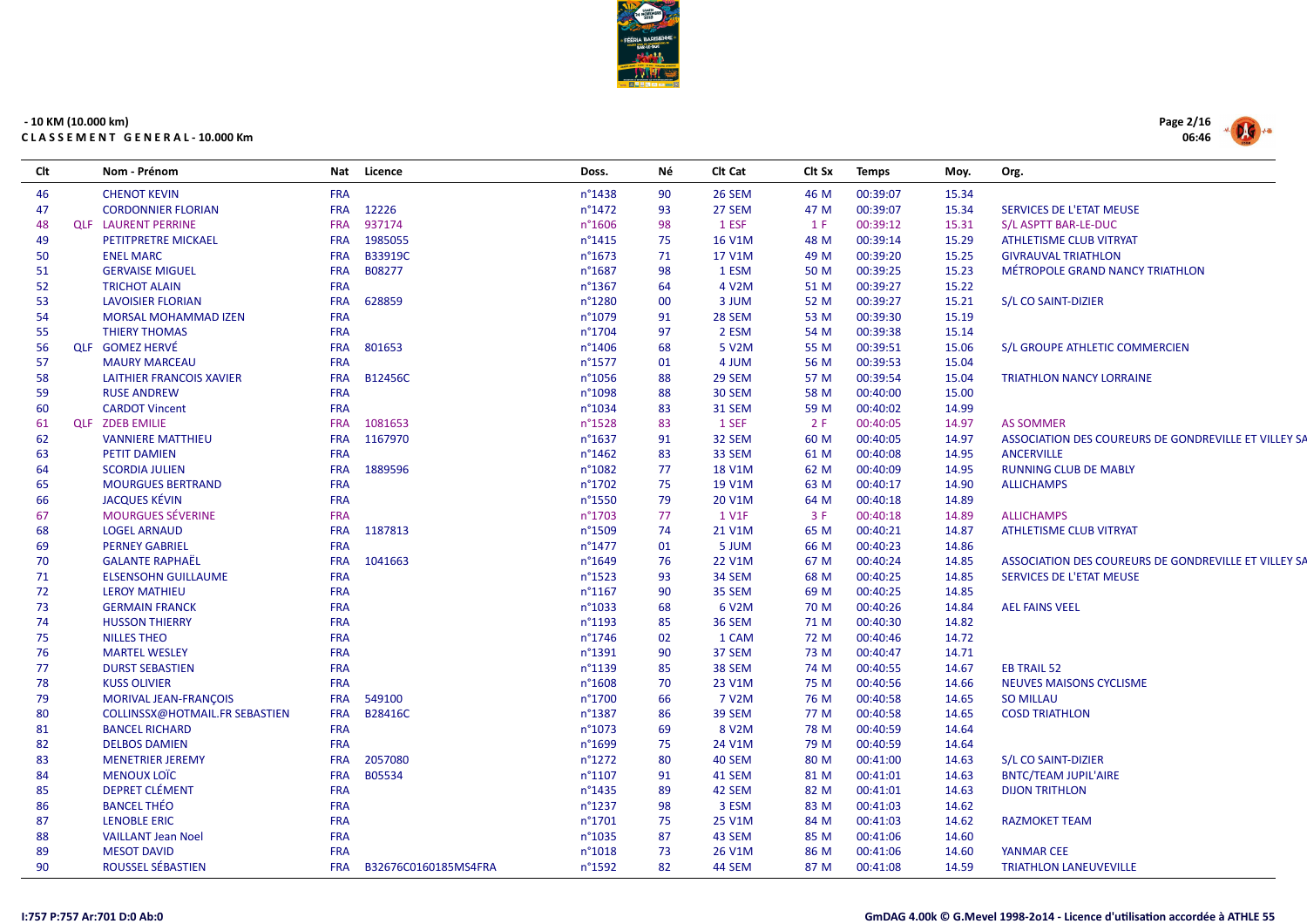

| Clt | Nom - Prénom                   |            | Nat Licence          | Doss.           | Νé | CIt Cat            | Clt Sx | <b>Temps</b> | Moy.  | Org.                                                 |
|-----|--------------------------------|------------|----------------------|-----------------|----|--------------------|--------|--------------|-------|------------------------------------------------------|
| 46  | <b>CHENOT KEVIN</b>            | <b>FRA</b> |                      | n°1438          | 90 | 26 SEM             | 46 M   | 00:39:07     | 15.34 |                                                      |
| 47  | <b>CORDONNIER FLORIAN</b>      | <b>FRA</b> | 12226                | n°1472          | 93 | 27 SEM             | 47 M   | 00:39:07     | 15.34 | SERVICES DE L'ETAT MEUSE                             |
| 48  | <b>QLF LAURENT PERRINE</b>     | <b>FRA</b> | 937174               | n°1606          | 98 | 1 ESF              | 1 F    | 00:39:12     | 15.31 | S/L ASPTT BAR-LE-DUC                                 |
| 49  | PETITPRETRE MICKAEL            | <b>FRA</b> | 1985055              | n°1415          | 75 | <b>16 V1M</b>      | 48 M   | 00:39:14     | 15.29 | <b>ATHLETISME CLUB VITRYAT</b>                       |
| 50  | <b>ENEL MARC</b>               | <b>FRA</b> | B33919C              | n°1673          | 71 | 17 V1M             | 49 M   | 00:39:20     | 15.25 | <b>GIVRAUVAL TRIATHLON</b>                           |
| 51  | <b>GERVAISE MIGUEL</b>         | <b>FRA</b> | B08277               | n°1687          | 98 | 1 ESM              | 50 M   | 00:39:25     | 15.23 | MÉTROPOLE GRAND NANCY TRIATHLON                      |
| 52  | <b>TRICHOT ALAIN</b>           | <b>FRA</b> |                      | n°1367          | 64 | 4 V <sub>2</sub> M | 51 M   | 00:39:27     | 15.22 |                                                      |
| 53  | <b>LAVOISIER FLORIAN</b>       | <b>FRA</b> | 628859               | n°1280          | 00 | 3 JUM              | 52 M   | 00:39:27     | 15.21 | S/L CO SAINT-DIZIER                                  |
| 54  | MORSAL MOHAMMAD IZEN           | <b>FRA</b> |                      | n°1079          | 91 | 28 SEM             | 53 M   | 00:39:30     | 15.19 |                                                      |
| 55  | <b>THIERY THOMAS</b>           | <b>FRA</b> |                      | n°1704          | 97 | 2 ESM              | 54 M   | 00:39:38     | 15.14 |                                                      |
| 56  | <b>QLF</b> GOMEZ HERVÉ         | <b>FRA</b> | 801653               | n°1406          | 68 | 5 V <sub>2</sub> M | 55 M   | 00:39:51     | 15.06 | S/L GROUPE ATHLETIC COMMERCIEN                       |
| 57  | <b>MAURY MARCEAU</b>           | <b>FRA</b> |                      | n°1577          | 01 | 4 JUM              | 56 M   | 00:39:53     | 15.04 |                                                      |
| 58  | LAITHIER FRANCOIS XAVIER       | <b>FRA</b> | <b>B12456C</b>       | n°1056          | 88 | 29 SEM             | 57 M   | 00:39:54     | 15.04 | <b>TRIATHLON NANCY LORRAINE</b>                      |
| 59  | <b>RUSE ANDREW</b>             | <b>FRA</b> |                      | n°1098          | 88 | <b>30 SEM</b>      | 58 M   | 00:40:00     | 15.00 |                                                      |
| 60  | <b>CARDOT Vincent</b>          | <b>FRA</b> |                      | n°1034          | 83 | <b>31 SEM</b>      | 59 M   | 00:40:02     | 14.99 |                                                      |
| 61  | <b>QLF ZDEB EMILIE</b>         | <b>FRA</b> | 1081653              | n°1528          | 83 | 1 SEF              | 2 F    | 00:40:05     | 14.97 | <b>AS SOMMER</b>                                     |
| 62  | <b>VANNIERE MATTHIEU</b>       | <b>FRA</b> | 1167970              | n°1637          | 91 | 32 SEM             | 60 M   | 00:40:05     | 14.97 | ASSOCIATION DES COUREURS DE GONDREVILLE ET VILLEY SA |
| 63  | <b>PETIT DAMIEN</b>            | <b>FRA</b> |                      | n°1462          | 83 | 33 SEM             | 61 M   | 00:40:08     | 14.95 | <b>ANCERVILLE</b>                                    |
| 64  | <b>SCORDIA JULIEN</b>          | <b>FRA</b> | 1889596              | n°1082          | 77 | <b>18 V1M</b>      | 62 M   | 00:40:09     | 14.95 | <b>RUNNING CLUB DE MABLY</b>                         |
| 65  | <b>MOURGUES BERTRAND</b>       | <b>FRA</b> |                      | n°1702          | 75 | 19 V1M             | 63 M   | 00:40:17     | 14.90 | <b>ALLICHAMPS</b>                                    |
| 66  | <b>JACQUES KÉVIN</b>           | <b>FRA</b> |                      | n°1550          | 79 | 20 V1M             | 64 M   | 00:40:18     | 14.89 |                                                      |
| 67  | <b>MOURGUES SÉVERINE</b>       | <b>FRA</b> |                      | n°1703          | 77 | 1 V1F              | 3F     | 00:40:18     | 14.89 | <b>ALLICHAMPS</b>                                    |
| 68  | <b>LOGEL ARNAUD</b>            | <b>FRA</b> | 1187813              | n°1509          | 74 | 21 V1M             | 65 M   | 00:40:21     | 14.87 | ATHLETISME CLUB VITRYAT                              |
| 69  | <b>PERNEY GABRIEL</b>          | <b>FRA</b> |                      | n°1477          | 01 | 5 JUM              | 66 M   | 00:40:23     | 14.86 |                                                      |
| 70  | <b>GALANTE RAPHAËL</b>         | <b>FRA</b> | 1041663              | n°1649          | 76 | <b>22 V1M</b>      | 67 M   | 00:40:24     | 14.85 | ASSOCIATION DES COUREURS DE GONDREVILLE ET VILLEY SA |
| 71  | <b>ELSENSOHN GUILLAUME</b>     | <b>FRA</b> |                      | n°1523          | 93 | 34 SEM             | 68 M   | 00:40:25     | 14.85 | SERVICES DE L'ETAT MEUSE                             |
| 72  | <b>LEROY MATHIEU</b>           | <b>FRA</b> |                      | n°1167          | 90 | 35 SEM             | 69 M   | 00:40:25     | 14.85 |                                                      |
| 73  | <b>GERMAIN FRANCK</b>          | <b>FRA</b> |                      | n°1033          | 68 | 6 V2M              | 70 M   | 00:40:26     | 14.84 | <b>AEL FAINS VEEL</b>                                |
| 74  | <b>HUSSON THIERRY</b>          | <b>FRA</b> |                      | n°1193          | 85 | <b>36 SEM</b>      | 71 M   | 00:40:30     | 14.82 |                                                      |
| 75  | <b>NILLES THEO</b>             | <b>FRA</b> |                      | n°1746          | 02 | 1 CAM              | 72 M   | 00:40:46     | 14.72 |                                                      |
| 76  | <b>MARTEL WESLEY</b>           | <b>FRA</b> |                      | n°1391          | 90 | 37 SEM             | 73 M   | 00:40:47     | 14.71 |                                                      |
| 77  | <b>DURST SEBASTIEN</b>         | <b>FRA</b> |                      | n°1139          | 85 | 38 SEM             | 74 M   | 00:40:55     | 14.67 | <b>EB TRAIL 52</b>                                   |
| 78  | <b>KUSS OLIVIER</b>            | <b>FRA</b> |                      | n°1608          | 70 | 23 V1M             | 75 M   | 00:40:56     | 14.66 | <b>NEUVES MAISONS CYCLISME</b>                       |
| 79  | <b>MORIVAL JEAN-FRANCOIS</b>   | <b>FRA</b> | 549100               | n°1700          | 66 | 7 V <sub>2</sub> M | 76 M   | 00:40:58     | 14.65 | <b>SO MILLAU</b>                                     |
| 80  | COLLINSSX@HOTMAIL.FR SEBASTIEN | <b>FRA</b> | B28416C              | n°1387          | 86 | 39 SEM             | 77 M   | 00:40:58     | 14.65 | <b>COSD TRIATHLON</b>                                |
| 81  | <b>BANCEL RICHARD</b>          | <b>FRA</b> |                      | n°1073          | 69 | 8 V <sub>2</sub> M | 78 M   | 00:40:59     | 14.64 |                                                      |
| 82  | <b>DELBOS DAMIEN</b>           | <b>FRA</b> |                      | n°1699          | 75 | 24 V1M             | 79 M   | 00:40:59     | 14.64 |                                                      |
| 83  | <b>MENETRIER JEREMY</b>        | <b>FRA</b> | 2057080              | $n^{\circ}1272$ | 80 | 40 SEM             | 80 M   | 00:41:00     | 14.63 | S/L CO SAINT-DIZIER                                  |
| 84  | <b>MENOUX LOÏC</b>             | <b>FRA</b> | B05534               | $n^{\circ}1107$ | 91 | 41 SEM             | 81 M   | 00:41:01     | 14.63 | <b>BNTC/TEAM JUPIL'AIRE</b>                          |
| 85  | <b>DEPRET CLÉMENT</b>          | <b>FRA</b> |                      | n°1435          | 89 | 42 SEM             | 82 M   | 00:41:01     | 14.63 | <b>DIJON TRITHLON</b>                                |
| 86  | <b>BANCEL THÉO</b>             | <b>FRA</b> |                      | n°1237          | 98 | 3 ESM              | 83 M   | 00:41:03     | 14.62 |                                                      |
| 87  | <b>LENOBLE ERIC</b>            | <b>FRA</b> |                      | n°1701          | 75 | 25 V1M             | 84 M   | 00:41:03     | 14.62 | <b>RAZMOKET TEAM</b>                                 |
| 88  | <b>VAILLANT Jean Noel</b>      | <b>FRA</b> |                      | n°1035          | 87 | 43 SEM             | 85 M   | 00:41:06     | 14.60 |                                                      |
| 89  | <b>MESOT DAVID</b>             | <b>FRA</b> |                      | n°1018          | 73 | 26 V1M             | 86 M   | 00:41:06     | 14.60 | <b>YANMAR CEE</b>                                    |
| 90  | ROUSSEL SÉBASTIEN              | <b>FRA</b> | B32676C0160185MS4FRA | n°1592          | 82 | 44 SEM             | 87 M   | 00:41:08     | 14.59 | <b>TRIATHLON LANEUVEVILLE</b>                        |

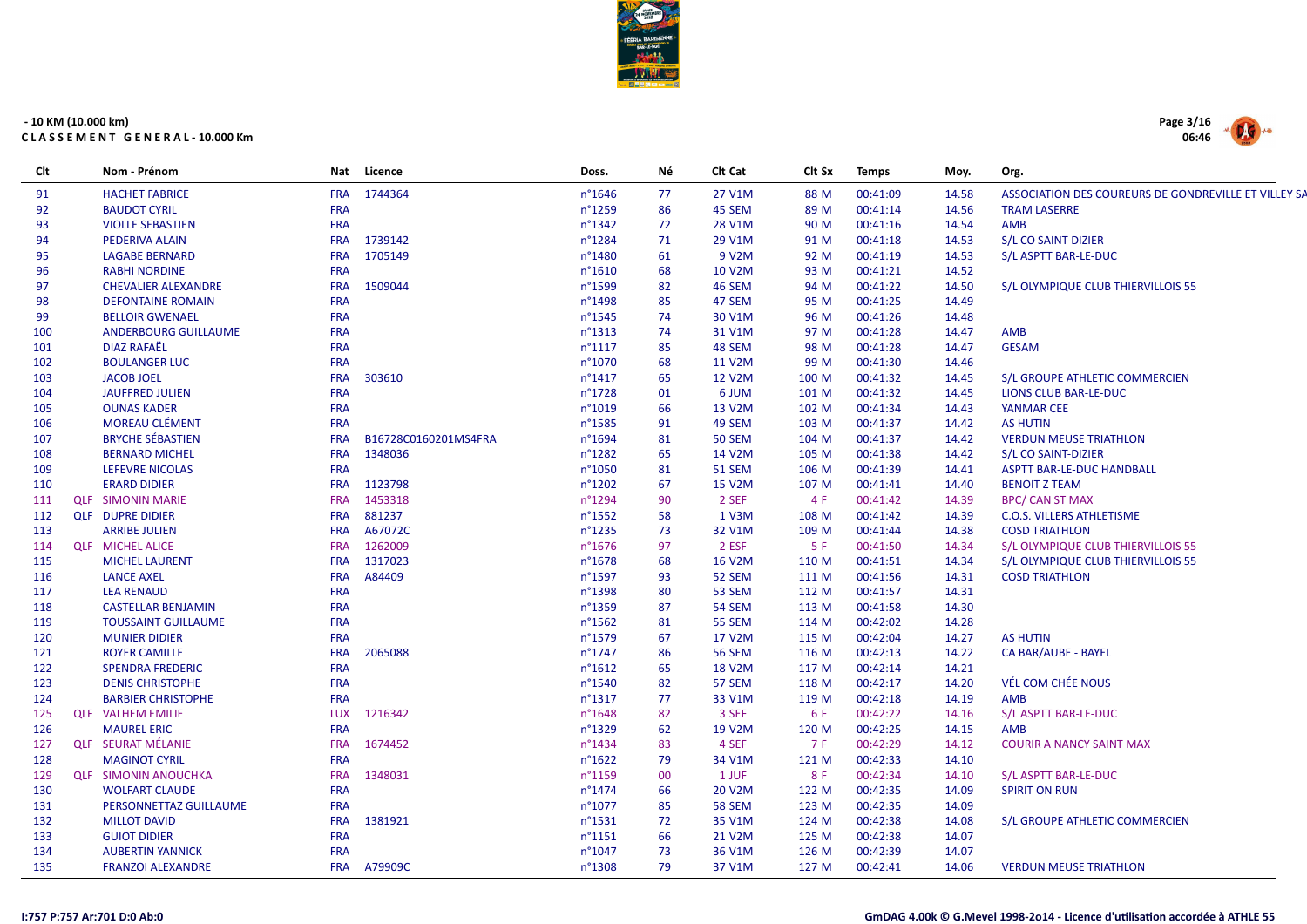

| Clt | Nom - Prénom                | Nat        | Licence              | Doss.            | Νé | Clt Cat       | Clt Sx | <b>Temps</b> | Moy.  | Org.                                                 |
|-----|-----------------------------|------------|----------------------|------------------|----|---------------|--------|--------------|-------|------------------------------------------------------|
| 91  | <b>HACHET FABRICE</b>       |            | FRA 1744364          | $n^{\circ}$ 1646 | 77 | 27 V1M        | 88 M   | 00:41:09     | 14.58 | ASSOCIATION DES COUREURS DE GONDREVILLE ET VILLEY SA |
| 92  | <b>BAUDOT CYRIL</b>         | <b>FRA</b> |                      | n°1259           | 86 | 45 SEM        | 89 M   | 00:41:14     | 14.56 | <b>TRAM LASERRE</b>                                  |
| 93  | <b>VIOLLE SEBASTIEN</b>     | <b>FRA</b> |                      | n°1342           | 72 | 28 V1M        | 90 M   | 00:41:16     | 14.54 | AMB                                                  |
| 94  | PEDERIVA ALAIN              |            | FRA 1739142          | n°1284           | 71 | 29 V1M        | 91 M   | 00:41:18     | 14.53 | S/L CO SAINT-DIZIER                                  |
| 95  | <b>LAGABE BERNARD</b>       | <b>FRA</b> | 1705149              | n°1480           | 61 | 9 V2M         | 92 M   | 00:41:19     | 14.53 | S/L ASPTT BAR-LE-DUC                                 |
| 96  | <b>RABHI NORDINE</b>        | <b>FRA</b> |                      | $n^{\circ}1610$  | 68 | 10 V2M        | 93 M   | 00:41:21     | 14.52 |                                                      |
| 97  | <b>CHEVALIER ALEXANDRE</b>  | <b>FRA</b> | 1509044              | n°1599           | 82 | 46 SEM        | 94 M   | 00:41:22     | 14.50 | S/L OLYMPIQUE CLUB THIERVILLOIS 55                   |
| 98  | <b>DEFONTAINE ROMAIN</b>    | <b>FRA</b> |                      | n°1498           | 85 | 47 SEM        | 95 M   | 00:41:25     | 14.49 |                                                      |
| 99  | <b>BELLOIR GWENAEL</b>      | <b>FRA</b> |                      | n°1545           | 74 | 30 V1M        | 96 M   | 00:41:26     | 14.48 |                                                      |
| 100 | <b>ANDERBOURG GUILLAUME</b> | <b>FRA</b> |                      | $n^{\circ}$ 1313 | 74 | 31 V1M        | 97 M   | 00:41:28     | 14.47 | AMB                                                  |
| 101 | <b>DIAZ RAFAËL</b>          | <b>FRA</b> |                      | $n^{\circ}1117$  | 85 | 48 SEM        | 98 M   | 00:41:28     | 14.47 | <b>GESAM</b>                                         |
| 102 | <b>BOULANGER LUC</b>        | <b>FRA</b> |                      | n°1070           | 68 | 11 V2M        | 99 M   | 00:41:30     | 14.46 |                                                      |
| 103 | <b>JACOB JOEL</b>           | <b>FRA</b> | 303610               | $n^{\circ}$ 1417 | 65 | 12 V2M        | 100 M  | 00:41:32     | 14.45 | S/L GROUPE ATHLETIC COMMERCIEN                       |
| 104 | <b>JAUFFRED JULIEN</b>      | FRA        |                      | n°1728           | 01 | 6 JUM         | 101 M  | 00:41:32     | 14.45 | LIONS CLUB BAR-LE-DUC                                |
| 105 | <b>OUNAS KADER</b>          | <b>FRA</b> |                      | n°1019           | 66 | 13 V2M        | 102 M  | 00:41:34     | 14.43 | <b>YANMAR CEE</b>                                    |
| 106 | <b>MOREAU CLÉMENT</b>       | <b>FRA</b> |                      | n°1585           | 91 | 49 SEM        | 103 M  | 00:41:37     | 14.42 | <b>AS HUTIN</b>                                      |
| 107 | <b>BRYCHE SÉBASTIEN</b>     | <b>FRA</b> | B16728C0160201MS4FRA | n°1694           | 81 | <b>50 SEM</b> | 104 M  | 00:41:37     | 14.42 | <b>VERDUN MEUSE TRIATHLON</b>                        |
| 108 | <b>BERNARD MICHEL</b>       | <b>FRA</b> | 1348036              | n°1282           | 65 | 14 V2M        | 105 M  | 00:41:38     | 14.42 | S/L CO SAINT-DIZIER                                  |
| 109 | <b>LEFEVRE NICOLAS</b>      | <b>FRA</b> |                      | n°1050           | 81 | <b>51 SEM</b> | 106 M  | 00:41:39     | 14.41 | <b>ASPTT BAR-LE-DUC HANDBALL</b>                     |
| 110 | <b>ERARD DIDIER</b>         |            | FRA 1123798          | n°1202           | 67 | <b>15 V2M</b> | 107 M  | 00:41:41     | 14.40 | <b>BENOIT Z TEAM</b>                                 |
| 111 | <b>QLF SIMONIN MARIE</b>    | <b>FRA</b> | 1453318              | n°1294           | 90 | 2 SEF         | 4 F    | 00:41:42     | 14.39 | <b>BPC/ CAN ST MAX</b>                               |
| 112 | <b>QLF DUPRE DIDIER</b>     | <b>FRA</b> | 881237               | n°1552           | 58 | 1 V3M         | 108 M  | 00:41:42     | 14.39 | <b>C.O.S. VILLERS ATHLETISME</b>                     |
| 113 | <b>ARRIBE JULIEN</b>        | <b>FRA</b> | A67072C              | $n^{\circ}$ 1235 | 73 | 32 V1M        | 109 M  | 00:41:44     | 14.38 | <b>COSD TRIATHLON</b>                                |
| 114 | <b>QLF MICHEL ALICE</b>     | <b>FRA</b> | 1262009              | n°1676           | 97 | 2 ESF         | 5F     | 00:41:50     | 14.34 | S/L OLYMPIQUE CLUB THIERVILLOIS 55                   |
| 115 | <b>MICHEL LAURENT</b>       | <b>FRA</b> | 1317023              | n°1678           | 68 | 16 V2M        | 110 M  | 00:41:51     | 14.34 | S/L OLYMPIQUE CLUB THIERVILLOIS 55                   |
| 116 | <b>LANCE AXEL</b>           | <b>FRA</b> | A84409               | n°1597           | 93 | 52 SEM        | 111 M  | 00:41:56     | 14.31 | <b>COSD TRIATHLON</b>                                |
| 117 | <b>LEA RENAUD</b>           | <b>FRA</b> |                      | n°1398           | 80 | 53 SEM        | 112 M  | 00:41:57     | 14.31 |                                                      |
| 118 | <b>CASTELLAR BENJAMIN</b>   | <b>FRA</b> |                      | n°1359           | 87 | 54 SEM        | 113 M  | 00:41:58     | 14.30 |                                                      |
| 119 | <b>TOUSSAINT GUILLAUME</b>  | <b>FRA</b> |                      | $n^{\circ}$ 1562 | 81 | <b>55 SEM</b> | 114 M  | 00:42:02     | 14.28 |                                                      |
| 120 | <b>MUNIER DIDIER</b>        | <b>FRA</b> |                      | n°1579           | 67 | 17 V2M        | 115 M  | 00:42:04     | 14.27 | <b>AS HUTIN</b>                                      |
| 121 | <b>ROYER CAMILLE</b>        | <b>FRA</b> | 2065088              | $n^{\circ}$ 1747 | 86 | <b>56 SEM</b> | 116 M  | 00:42:13     | 14.22 | CA BAR/AUBE - BAYEL                                  |
| 122 | <b>SPENDRA FREDERIC</b>     | <b>FRA</b> |                      | $n^{\circ}1612$  | 65 | 18 V2M        | 117 M  | 00:42:14     | 14.21 |                                                      |
| 123 | <b>DENIS CHRISTOPHE</b>     | <b>FRA</b> |                      | n°1540           | 82 | 57 SEM        | 118 M  | 00:42:17     | 14.20 | VÉL COM CHÉE NOUS                                    |
| 124 | <b>BARBIER CHRISTOPHE</b>   | <b>FRA</b> |                      | $n^{\circ}$ 1317 | 77 | 33 V1M        | 119 M  | 00:42:18     | 14.19 | <b>AMB</b>                                           |
| 125 | <b>QLF VALHEM EMILIE</b>    |            | LUX 1216342          | n°1648           | 82 | 3 SEF         | 6 F    | 00:42:22     | 14.16 | S/L ASPTT BAR-LE-DUC                                 |
| 126 | <b>MAUREL ERIC</b>          | <b>FRA</b> |                      | n°1329           | 62 | 19 V2M        | 120 M  | 00:42:25     | 14.15 | AMB                                                  |
| 127 | <b>QLF SEURAT MÉLANIE</b>   | <b>FRA</b> | 1674452              | $n^{\circ}$ 1434 | 83 | 4 SEF         | 7 F    | 00:42:29     | 14.12 | <b>COURIR A NANCY SAINT MAX</b>                      |
| 128 | <b>MAGINOT CYRIL</b>        | <b>FRA</b> |                      | $n^{\circ}$ 1622 | 79 | 34 V1M        | 121 M  | 00:42:33     | 14.10 |                                                      |
| 129 | <b>QLF SIMONIN ANOUCHKA</b> | <b>FRA</b> | 1348031              | n°1159           | 00 | 1 JUF         | 8 F    | 00:42:34     | 14.10 | S/L ASPTT BAR-LE-DUC                                 |
| 130 | <b>WOLFART CLAUDE</b>       | <b>FRA</b> |                      | n°1474           | 66 | 20 V2M        | 122 M  | 00:42:35     | 14.09 | <b>SPIRIT ON RUN</b>                                 |
| 131 | PERSONNETTAZ GUILLAUME      | <b>FRA</b> |                      | $n^{\circ}1077$  | 85 | <b>58 SEM</b> | 123 M  | 00:42:35     | 14.09 |                                                      |
| 132 | <b>MILLOT DAVID</b>         |            | FRA 1381921          | $n^{\circ}$ 1531 | 72 | 35 V1M        | 124 M  | 00:42:38     | 14.08 | S/L GROUPE ATHLETIC COMMERCIEN                       |
| 133 | <b>GUIOT DIDIER</b>         | <b>FRA</b> |                      | $n^{\circ}1151$  | 66 | 21 V2M        | 125 M  | 00:42:38     | 14.07 |                                                      |
| 134 | <b>AUBERTIN YANNICK</b>     | <b>FRA</b> |                      | n°1047           | 73 | 36 V1M        | 126 M  | 00:42:39     | 14.07 |                                                      |
| 135 | <b>FRANZOI ALEXANDRE</b>    |            | FRA A79909C          | n°1308           | 79 | 37 V1M        | 127 M  | 00:42:41     | 14.06 | <b>VERDUN MEUSE TRIATHLON</b>                        |
|     |                             |            |                      |                  |    |               |        |              |       |                                                      |

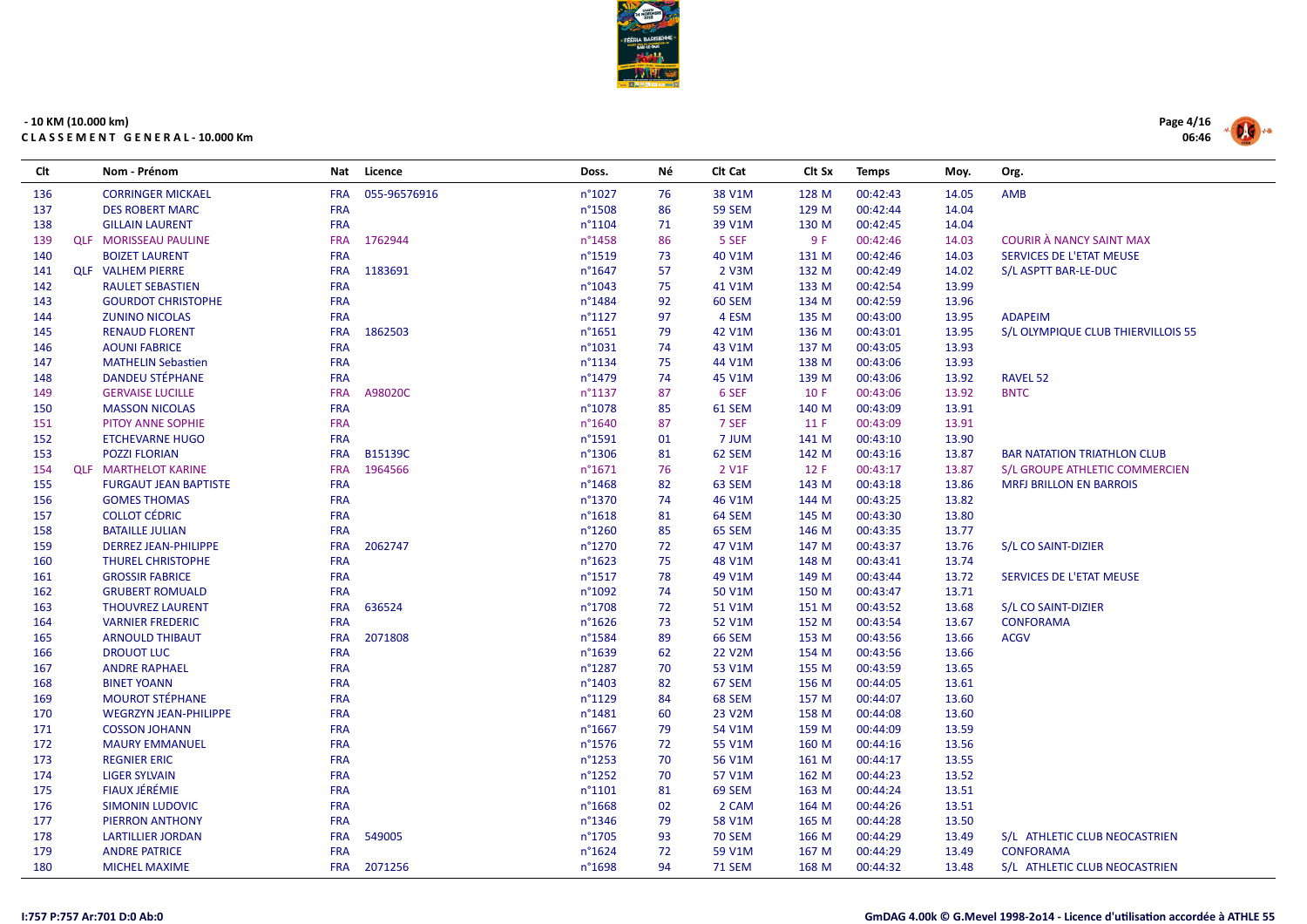

| Clt | Nom - Prénom                 | Nat        | Licence      | Doss.            | Νé | Clt Cat       | Clt Sx | <b>Temps</b> | Moy.  | Org.                               |
|-----|------------------------------|------------|--------------|------------------|----|---------------|--------|--------------|-------|------------------------------------|
| 136 | <b>CORRINGER MICKAEL</b>     | <b>FRA</b> | 055-96576916 | n°1027           | 76 | 38 V1M        | 128 M  | 00:42:43     | 14.05 | <b>AMB</b>                         |
| 137 | <b>DES ROBERT MARC</b>       | <b>FRA</b> |              | n°1508           | 86 | <b>59 SEM</b> | 129 M  | 00:42:44     | 14.04 |                                    |
| 138 | <b>GILLAIN LAURENT</b>       | <b>FRA</b> |              | n°1104           | 71 | 39 V1M        | 130 M  | 00:42:45     | 14.04 |                                    |
| 139 | <b>QLF MORISSEAU PAULINE</b> | <b>FRA</b> | 1762944      | n°1458           | 86 | 5 SEF         | 9 F    | 00:42:46     | 14.03 | <b>COURIR À NANCY SAINT MAX</b>    |
| 140 | <b>BOIZET LAURENT</b>        | <b>FRA</b> |              | n°1519           | 73 | 40 V1M        | 131 M  | 00:42:46     | 14.03 | SERVICES DE L'ETAT MEUSE           |
| 141 | <b>QLF VALHEM PIERRE</b>     | <b>FRA</b> | 1183691      | $n^{\circ}$ 1647 | 57 | 2 V3M         | 132 M  | 00:42:49     | 14.02 | S/L ASPTT BAR-LE-DUC               |
| 142 | <b>RAULET SEBASTIEN</b>      | <b>FRA</b> |              | n°1043           | 75 | 41 V1M        | 133 M  | 00:42:54     | 13.99 |                                    |
| 143 | <b>GOURDOT CHRISTOPHE</b>    | <b>FRA</b> |              | n°1484           | 92 | 60 SEM        | 134 M  | 00:42:59     | 13.96 |                                    |
| 144 | <b>ZUNINO NICOLAS</b>        | <b>FRA</b> |              | $n^{\circ}1127$  | 97 | 4 ESM         | 135 M  | 00:43:00     | 13.95 | <b>ADAPEIM</b>                     |
| 145 | <b>RENAUD FLORENT</b>        | <b>FRA</b> | 1862503      | n°1651           | 79 | 42 V1M        | 136 M  | 00:43:01     | 13.95 | S/L OLYMPIQUE CLUB THIERVILLOIS 55 |
| 146 | <b>AOUNI FABRICE</b>         | <b>FRA</b> |              | n°1031           | 74 | 43 V1M        | 137 M  | 00:43:05     | 13.93 |                                    |
| 147 | <b>MATHELIN Sebastien</b>    | <b>FRA</b> |              | n°1134           | 75 | 44 V1M        | 138 M  | 00:43:06     | 13.93 |                                    |
| 148 | <b>DANDEU STÉPHANE</b>       | <b>FRA</b> |              | n°1479           | 74 | 45 V1M        | 139 M  | 00:43:06     | 13.92 | <b>RAVEL 52</b>                    |
| 149 | <b>GERVAISE LUCILLE</b>      | <b>FRA</b> | A98020C      | n°1137           | 87 | 6 SEF         | 10 F   | 00:43:06     | 13.92 | <b>BNTC</b>                        |
| 150 | <b>MASSON NICOLAS</b>        | <b>FRA</b> |              | n°1078           | 85 | 61 SEM        | 140 M  | 00:43:09     | 13.91 |                                    |
| 151 | PITOY ANNE SOPHIE            | <b>FRA</b> |              | n°1640           | 87 | 7 SEF         | 11 F   | 00:43:09     | 13.91 |                                    |
| 152 | <b>ETCHEVARNE HUGO</b>       | <b>FRA</b> |              | n°1591           | 01 | 7 JUM         | 141 M  | 00:43:10     | 13.90 |                                    |
| 153 | <b>POZZI FLORIAN</b>         | <b>FRA</b> | B15139C      | n°1306           | 81 | 62 SEM        | 142 M  | 00:43:16     | 13.87 | <b>BAR NATATION TRIATHLON CLUB</b> |
| 154 | <b>QLF MARTHELOT KARINE</b>  | <b>FRA</b> | 1964566      | $n^{\circ}1671$  | 76 | 2 V1F         | 12 F   | 00:43:17     | 13.87 | S/L GROUPE ATHLETIC COMMERCIEN     |
| 155 | <b>FURGAUT JEAN BAPTISTE</b> | <b>FRA</b> |              | $n^{\circ}$ 1468 | 82 | 63 SEM        | 143 M  | 00:43:18     | 13.86 | <b>MRFJ BRILLON EN BARROIS</b>     |
| 156 | <b>GOMES THOMAS</b>          | <b>FRA</b> |              | n°1370           | 74 | 46 V1M        | 144 M  | 00:43:25     | 13.82 |                                    |
| 157 | <b>COLLOT CÉDRIC</b>         | <b>FRA</b> |              | $n^{\circ}1618$  | 81 | 64 SEM        | 145 M  | 00:43:30     | 13.80 |                                    |
| 158 | <b>BATAILLE JULIAN</b>       | <b>FRA</b> |              | n°1260           | 85 | 65 SEM        | 146 M  | 00:43:35     | 13.77 |                                    |
| 159 | <b>DERREZ JEAN-PHILIPPE</b>  | <b>FRA</b> | 2062747      | n°1270           | 72 | 47 V1M        | 147 M  | 00:43:37     | 13.76 | S/L CO SAINT-DIZIER                |
| 160 | <b>THUREL CHRISTOPHE</b>     | <b>FRA</b> |              | $n^{\circ}$ 1623 | 75 | 48 V1M        | 148 M  | 00:43:41     | 13.74 |                                    |
| 161 | <b>GROSSIR FABRICE</b>       | <b>FRA</b> |              | n°1517           | 78 | 49 V1M        | 149 M  | 00:43:44     | 13.72 | SERVICES DE L'ETAT MEUSE           |
| 162 | <b>GRUBERT ROMUALD</b>       | <b>FRA</b> |              | n°1092           | 74 | 50 V1M        | 150 M  | 00:43:47     | 13.71 |                                    |
| 163 | <b>THOUVREZ LAURENT</b>      | <b>FRA</b> | 636524       | n°1708           | 72 | 51 V1M        | 151 M  | 00:43:52     | 13.68 | S/L CO SAINT-DIZIER                |
| 164 | <b>VARNIER FREDERIC</b>      | <b>FRA</b> |              | $n^{\circ}$ 1626 | 73 | 52 V1M        | 152 M  | 00:43:54     | 13.67 | <b>CONFORAMA</b>                   |
| 165 | <b>ARNOULD THIBAUT</b>       | <b>FRA</b> | 2071808      | n°1584           | 89 | <b>66 SEM</b> | 153 M  | 00:43:56     | 13.66 | <b>ACGV</b>                        |
| 166 | <b>DROUOT LUC</b>            | <b>FRA</b> |              | n°1639           | 62 | <b>22 V2M</b> | 154 M  | 00:43:56     | 13.66 |                                    |
| 167 | <b>ANDRE RAPHAEL</b>         | <b>FRA</b> |              | n°1287           | 70 | 53 V1M        | 155 M  | 00:43:59     | 13.65 |                                    |
| 168 | <b>BINET YOANN</b>           | <b>FRA</b> |              | n°1403           | 82 | 67 SEM        | 156 M  | 00:44:05     | 13.61 |                                    |
| 169 | <b>MOUROT STÉPHANE</b>       | <b>FRA</b> |              | n°1129           | 84 | 68 SEM        | 157 M  | 00:44:07     | 13.60 |                                    |
| 170 | <b>WEGRZYN JEAN-PHILIPPE</b> | <b>FRA</b> |              | n°1481           | 60 | 23 V2M        | 158 M  | 00:44:08     | 13.60 |                                    |
| 171 | <b>COSSON JOHANN</b>         | <b>FRA</b> |              | n°1667           | 79 | 54 V1M        | 159 M  | 00:44:09     | 13.59 |                                    |
| 172 | <b>MAURY EMMANUEL</b>        | <b>FRA</b> |              | n°1576           | 72 | 55 V1M        | 160 M  | 00:44:16     | 13.56 |                                    |
| 173 | <b>REGNIER ERIC</b>          | <b>FRA</b> |              | $n^{\circ}$ 1253 | 70 | 56 V1M        | 161 M  | 00:44:17     | 13.55 |                                    |
| 174 | <b>LIGER SYLVAIN</b>         | <b>FRA</b> |              | n°1252           | 70 | 57 V1M        | 162 M  | 00:44:23     | 13.52 |                                    |
| 175 | <b>FIAUX JÉRÉMIE</b>         | <b>FRA</b> |              | n°1101           | 81 | 69 SEM        | 163 M  | 00:44:24     | 13.51 |                                    |
| 176 | <b>SIMONIN LUDOVIC</b>       | <b>FRA</b> |              | n°1668           | 02 | 2 CAM         | 164 M  | 00:44:26     | 13.51 |                                    |
| 177 | PIERRON ANTHONY              | <b>FRA</b> |              | n°1346           | 79 | 58 V1M        | 165 M  | 00:44:28     | 13.50 |                                    |
| 178 | <b>LARTILLIER JORDAN</b>     | <b>FRA</b> | 549005       | n°1705           | 93 | <b>70 SEM</b> | 166 M  | 00:44:29     | 13.49 | S/L ATHLETIC CLUB NEOCASTRIEN      |
| 179 | <b>ANDRE PATRICE</b>         | <b>FRA</b> |              | n°1624           | 72 | 59 V1M        | 167 M  | 00:44:29     | 13.49 | <b>CONFORAMA</b>                   |
| 180 | <b>MICHEL MAXIME</b>         |            | FRA 2071256  | n°1698           | 94 | <b>71 SEM</b> | 168 M  | 00:44:32     | 13.48 | S/L ATHLETIC CLUB NEOCASTRIEN      |

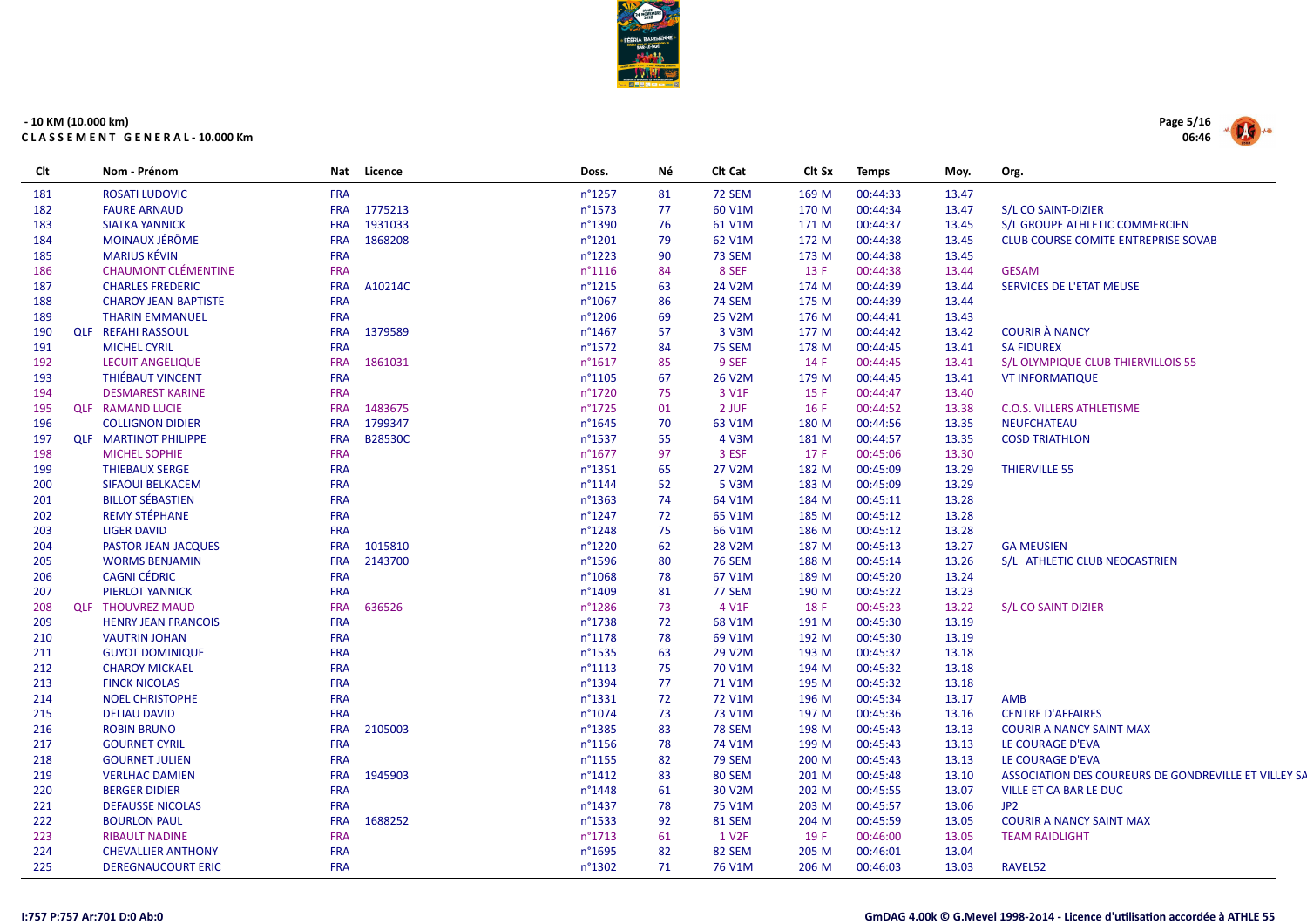

| Clt | Nom - Prénom                 |            | Nat Licence | Doss.            | Νé | CIt Cat            | Clt Sx | <b>Temps</b> | Moy.  | Org.                                                 |
|-----|------------------------------|------------|-------------|------------------|----|--------------------|--------|--------------|-------|------------------------------------------------------|
| 181 | <b>ROSATI LUDOVIC</b>        | <b>FRA</b> |             | n°1257           | 81 | <b>72 SEM</b>      | 169 M  | 00:44:33     | 13.47 |                                                      |
| 182 | <b>FAURE ARNAUD</b>          | <b>FRA</b> | 1775213     | n°1573           | 77 | 60 V1M             | 170 M  | 00:44:34     | 13.47 | S/L CO SAINT-DIZIER                                  |
| 183 | <b>SIATKA YANNICK</b>        | <b>FRA</b> | 1931033     | n°1390           | 76 | 61 V1M             | 171 M  | 00:44:37     | 13.45 | S/L GROUPE ATHLETIC COMMERCIEN                       |
| 184 | MOINAUX JÉRÔME               | <b>FRA</b> | 1868208     | n°1201           | 79 | 62 V1M             | 172 M  | 00:44:38     | 13.45 | <b>CLUB COURSE COMITE ENTREPRISE SOVAB</b>           |
| 185 | <b>MARIUS KÉVIN</b>          | <b>FRA</b> |             | n°1223           | 90 | <b>73 SEM</b>      | 173 M  | 00:44:38     | 13.45 |                                                      |
| 186 | <b>CHAUMONT CLÉMENTINE</b>   | <b>FRA</b> |             | n°1116           | 84 | 8 SEF              | 13 F   | 00:44:38     | 13.44 | <b>GESAM</b>                                         |
| 187 | <b>CHARLES FREDERIC</b>      | <b>FRA</b> | A10214C     | n°1215           | 63 | 24 V2M             | 174 M  | 00:44:39     | 13.44 | SERVICES DE L'ETAT MEUSE                             |
| 188 | <b>CHAROY JEAN-BAPTISTE</b>  | <b>FRA</b> |             | n°1067           | 86 | <b>74 SEM</b>      | 175 M  | 00:44:39     | 13.44 |                                                      |
| 189 | <b>THARIN EMMANUEL</b>       | <b>FRA</b> |             | n°1206           | 69 | 25 V2M             | 176 M  | 00:44:41     | 13.43 |                                                      |
| 190 | <b>QLF REFAHI RASSOUL</b>    | <b>FRA</b> | 1379589     | n°1467           | 57 | 3 V3M              | 177 M  | 00:44:42     | 13.42 | <b>COURIR À NANCY</b>                                |
| 191 | <b>MICHEL CYRIL</b>          | <b>FRA</b> |             | n°1572           | 84 | <b>75 SEM</b>      | 178 M  | 00:44:45     | 13.41 | <b>SA FIDUREX</b>                                    |
| 192 | <b>LECUIT ANGELIQUE</b>      | <b>FRA</b> | 1861031     | n°1617           | 85 | 9 SEF              | 14 F   | 00:44:45     | 13.41 | S/L OLYMPIQUE CLUB THIERVILLOIS 55                   |
| 193 | <b>THIÉBAUT VINCENT</b>      | <b>FRA</b> |             | n°1105           | 67 | 26 V2M             | 179 M  | 00:44:45     | 13.41 | <b>VT INFORMATIQUE</b>                               |
| 194 | <b>DESMAREST KARINE</b>      | <b>FRA</b> |             | n°1720           | 75 | 3 V1F              | 15 F   | 00:44:47     | 13.40 |                                                      |
| 195 | <b>QLF RAMAND LUCIE</b>      | <b>FRA</b> | 1483675     | n°1725           | 01 | 2 JUF              | 16 F   | 00:44:52     | 13.38 | <b>C.O.S. VILLERS ATHLETISME</b>                     |
| 196 | <b>COLLIGNON DIDIER</b>      | <b>FRA</b> | 1799347     | $n^{\circ}1645$  | 70 | 63 V1M             | 180 M  | 00:44:56     | 13.35 | <b>NEUFCHATEAU</b>                                   |
| 197 | <b>QLF MARTINOT PHILIPPE</b> | <b>FRA</b> | B28530C     | n°1537           | 55 | 4 V3M              | 181 M  | 00:44:57     | 13.35 | <b>COSD TRIATHLON</b>                                |
| 198 | <b>MICHEL SOPHIE</b>         | <b>FRA</b> |             | $n^{\circ}1677$  | 97 | 3 ESF              | 17F    | 00:45:06     | 13.30 |                                                      |
| 199 | <b>THIEBAUX SERGE</b>        | <b>FRA</b> |             | n°1351           | 65 | <b>27 V2M</b>      | 182 M  | 00:45:09     | 13.29 | <b>THIERVILLE 55</b>                                 |
| 200 | SIFAOUI BELKACEM             | <b>FRA</b> |             | n°1144           | 52 | 5 V3M              | 183 M  | 00:45:09     | 13.29 |                                                      |
| 201 | <b>BILLOT SÉBASTIEN</b>      | <b>FRA</b> |             | n°1363           | 74 | 64 V1M             | 184 M  | 00:45:11     | 13.28 |                                                      |
| 202 | <b>REMY STÉPHANE</b>         | <b>FRA</b> |             | n°1247           | 72 | 65 V1M             | 185 M  | 00:45:12     | 13.28 |                                                      |
| 203 | <b>LIGER DAVID</b>           | <b>FRA</b> |             | n°1248           | 75 | 66 V1M             | 186 M  | 00:45:12     | 13.28 |                                                      |
| 204 | PASTOR JEAN-JACQUES          | <b>FRA</b> | 1015810     | n°1220           | 62 | 28 V2M             | 187 M  | 00:45:13     | 13.27 | <b>GA MEUSIEN</b>                                    |
| 205 | <b>WORMS BENJAMIN</b>        | <b>FRA</b> | 2143700     | n°1596           | 80 | <b>76 SEM</b>      | 188 M  | 00:45:14     | 13.26 | S/L ATHLETIC CLUB NEOCASTRIEN                        |
| 206 | <b>CAGNI CÉDRIC</b>          | <b>FRA</b> |             | n°1068           | 78 | 67 V1M             | 189 M  | 00:45:20     | 13.24 |                                                      |
| 207 | <b>PIERLOT YANNICK</b>       | <b>FRA</b> |             | n°1409           | 81 | 77 SEM             | 190 M  | 00:45:22     | 13.23 |                                                      |
| 208 | <b>QLF THOUVREZ MAUD</b>     | <b>FRA</b> | 636526      | n°1286           | 73 | 4 V1F              | 18 F   | 00:45:23     | 13.22 | S/L CO SAINT-DIZIER                                  |
| 209 | <b>HENRY JEAN FRANCOIS</b>   | <b>FRA</b> |             | n°1738           | 72 | 68 V1M             | 191 M  | 00:45:30     | 13.19 |                                                      |
| 210 | <b>VAUTRIN JOHAN</b>         | <b>FRA</b> |             | n°1178           | 78 | 69 V1M             | 192 M  | 00:45:30     | 13.19 |                                                      |
| 211 | <b>GUYOT DOMINIQUE</b>       | <b>FRA</b> |             | n°1535           | 63 | 29 V2M             | 193 M  | 00:45:32     | 13.18 |                                                      |
| 212 | <b>CHAROY MICKAEL</b>        | <b>FRA</b> |             | $n^{\circ}1113$  | 75 | 70 V1M             | 194 M  | 00:45:32     | 13.18 |                                                      |
| 213 | <b>FINCK NICOLAS</b>         | <b>FRA</b> |             | n°1394           | 77 | 71 V1M             | 195 M  | 00:45:32     | 13.18 |                                                      |
| 214 | <b>NOEL CHRISTOPHE</b>       | <b>FRA</b> |             | n°1331           | 72 | <b>72 V1M</b>      | 196 M  | 00:45:34     | 13.17 | <b>AMB</b>                                           |
| 215 | <b>DELIAU DAVID</b>          | <b>FRA</b> |             | n°1074           | 73 | 73 V1M             | 197 M  | 00:45:36     | 13.16 | <b>CENTRE D'AFFAIRES</b>                             |
| 216 | <b>ROBIN BRUNO</b>           | <b>FRA</b> | 2105003     | n°1385           | 83 | <b>78 SEM</b>      | 198 M  | 00:45:43     | 13.13 | <b>COURIR A NANCY SAINT MAX</b>                      |
| 217 | <b>GOURNET CYRIL</b>         | <b>FRA</b> |             | n°1156           | 78 | 74 V1M             | 199 M  | 00:45:43     | 13.13 | LE COURAGE D'EVA                                     |
| 218 | <b>GOURNET JULIEN</b>        | <b>FRA</b> |             | n°1155           | 82 | <b>79 SEM</b>      | 200 M  | 00:45:43     | 13.13 | LE COURAGE D'EVA                                     |
| 219 | <b>VERLHAC DAMIEN</b>        | <b>FRA</b> | 1945903     | $n^{\circ}$ 1412 | 83 | 80 SEM             | 201 M  | 00:45:48     | 13.10 | ASSOCIATION DES COUREURS DE GONDREVILLE ET VILLEY SA |
| 220 | <b>BERGER DIDIER</b>         | <b>FRA</b> |             | n°1448           | 61 | 30 V2M             | 202 M  | 00:45:55     | 13.07 | VILLE ET CA BAR LE DUC                               |
| 221 | <b>DEFAUSSE NICOLAS</b>      | <b>FRA</b> |             | n°1437           | 78 | 75 V1M             | 203 M  | 00:45:57     | 13.06 | JP <sub>2</sub>                                      |
| 222 | <b>BOURLON PAUL</b>          | <b>FRA</b> | 1688252     | n°1533           | 92 | <b>81 SEM</b>      | 204 M  | 00:45:59     | 13.05 | <b>COURIR A NANCY SAINT MAX</b>                      |
| 223 | <b>RIBAULT NADINE</b>        | <b>FRA</b> |             | n°1713           | 61 | 1 V <sub>2</sub> F | 19 F   | 00:46:00     | 13.05 | <b>TEAM RAIDLIGHT</b>                                |
| 224 | <b>CHEVALLIER ANTHONY</b>    | <b>FRA</b> |             | n°1695           | 82 | 82 SEM             | 205 M  | 00:46:01     | 13.04 |                                                      |
| 225 | <b>DEREGNAUCOURT ERIC</b>    | <b>FRA</b> |             | n°1302           | 71 | 76 V1M             | 206 M  | 00:46:03     | 13.03 | RAVEL52                                              |

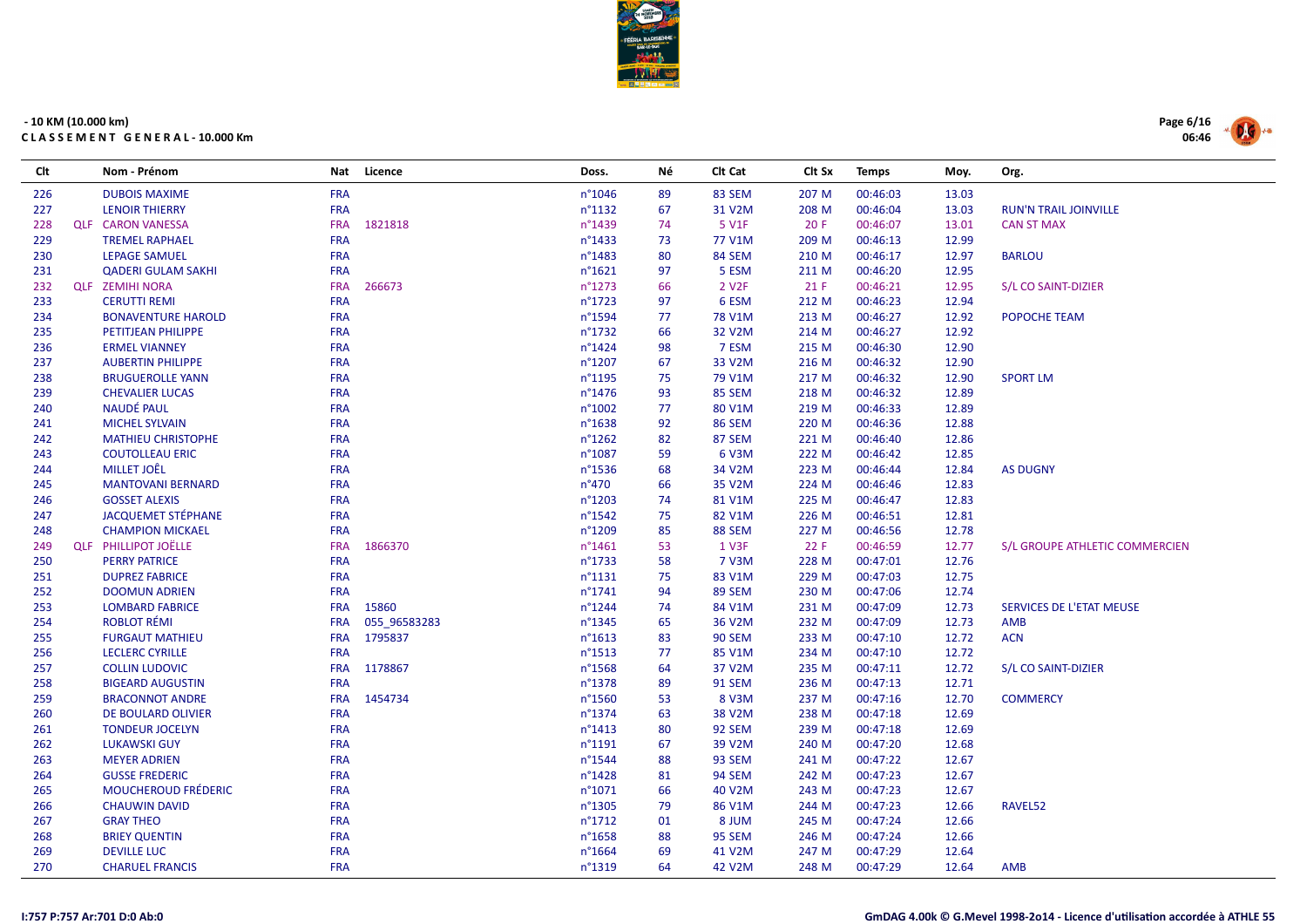

| Clt | Nom - Prénom                | <b>Nat</b> | Licence      | Doss.            | Νé | Clt Cat            | Clt Sx | <b>Temps</b> | Moy.  | Org.                           |
|-----|-----------------------------|------------|--------------|------------------|----|--------------------|--------|--------------|-------|--------------------------------|
| 226 | <b>DUBOIS MAXIME</b>        | <b>FRA</b> |              | n°1046           | 89 | 83 SEM             | 207 M  | 00:46:03     | 13.03 |                                |
| 227 | <b>LENOIR THIERRY</b>       | <b>FRA</b> |              | $n^{\circ}1132$  | 67 | 31 V2M             | 208 M  | 00:46:04     | 13.03 | <b>RUN'N TRAIL JOINVILLE</b>   |
| 228 | <b>QLF CARON VANESSA</b>    | <b>FRA</b> | 1821818      | n°1439           | 74 | 5 V1F              | 20F    | 00:46:07     | 13.01 | <b>CAN ST MAX</b>              |
| 229 | <b>TREMEL RAPHAEL</b>       | <b>FRA</b> |              | n°1433           | 73 | 77 V1M             | 209 M  | 00:46:13     | 12.99 |                                |
| 230 | <b>LEPAGE SAMUEL</b>        | <b>FRA</b> |              | n°1483           | 80 | 84 SEM             | 210 M  | 00:46:17     | 12.97 | <b>BARLOU</b>                  |
| 231 | <b>QADERI GULAM SAKHI</b>   | <b>FRA</b> |              | $n^{\circ}1621$  | 97 | 5 ESM              | 211 M  | 00:46:20     | 12.95 |                                |
| 232 | <b>QLF ZEMIHI NORA</b>      | <b>FRA</b> | 266673       | $n^{\circ}1273$  | 66 | 2 V <sub>2</sub> F | 21 F   | 00:46:21     | 12.95 | S/L CO SAINT-DIZIER            |
| 233 | <b>CERUTTI REMI</b>         | <b>FRA</b> |              | n°1723           | 97 | 6 ESM              | 212 M  | 00:46:23     | 12.94 |                                |
| 234 | <b>BONAVENTURE HAROLD</b>   | <b>FRA</b> |              | n°1594           | 77 | 78 V1M             | 213 M  | 00:46:27     | 12.92 | POPOCHE TEAM                   |
| 235 | PETITJEAN PHILIPPE          | <b>FRA</b> |              | n°1732           | 66 | 32 V2M             | 214 M  | 00:46:27     | 12.92 |                                |
| 236 | <b>ERMEL VIANNEY</b>        | <b>FRA</b> |              | $n^{\circ}$ 1424 | 98 | 7 ESM              | 215 M  | 00:46:30     | 12.90 |                                |
| 237 | <b>AUBERTIN PHILIPPE</b>    | <b>FRA</b> |              | n°1207           | 67 | 33 V2M             | 216 M  | 00:46:32     | 12.90 |                                |
| 238 | <b>BRUGUEROLLE YANN</b>     | <b>FRA</b> |              | n°1195           | 75 | 79 V1M             | 217 M  | 00:46:32     | 12.90 | <b>SPORT LM</b>                |
| 239 | <b>CHEVALIER LUCAS</b>      | <b>FRA</b> |              | n°1476           | 93 | 85 SEM             | 218 M  | 00:46:32     | 12.89 |                                |
| 240 | <b>NAUDÉ PAUL</b>           | <b>FRA</b> |              | n°1002           | 77 | 80 V1M             | 219 M  | 00:46:33     | 12.89 |                                |
| 241 | <b>MICHEL SYLVAIN</b>       | <b>FRA</b> |              | n°1638           | 92 | <b>86 SEM</b>      | 220 M  | 00:46:36     | 12.88 |                                |
| 242 | <b>MATHIEU CHRISTOPHE</b>   | <b>FRA</b> |              | n°1262           | 82 | 87 SEM             | 221 M  | 00:46:40     | 12.86 |                                |
| 243 | <b>COUTOLLEAU ERIC</b>      | <b>FRA</b> |              | n°1087           | 59 | 6 V3M              | 222 M  | 00:46:42     | 12.85 |                                |
| 244 | <b>MILLET JOÊL</b>          | <b>FRA</b> |              | n°1536           | 68 | 34 V2M             | 223 M  | 00:46:44     | 12.84 | <b>AS DUGNY</b>                |
| 245 | <b>MANTOVANI BERNARD</b>    | <b>FRA</b> |              | n°470            | 66 | 35 V2M             | 224 M  | 00:46:46     | 12.83 |                                |
| 246 | <b>GOSSET ALEXIS</b>        | <b>FRA</b> |              | n°1203           | 74 | 81 V1M             | 225 M  | 00:46:47     | 12.83 |                                |
| 247 | <b>JACQUEMET STÉPHANE</b>   | <b>FRA</b> |              | n°1542           | 75 | 82 V1M             | 226 M  | 00:46:51     | 12.81 |                                |
| 248 | <b>CHAMPION MICKAEL</b>     | <b>FRA</b> |              | n°1209           | 85 | <b>88 SEM</b>      | 227 M  | 00:46:56     | 12.78 |                                |
| 249 | <b>QLF PHILLIPOT JOËLLE</b> | <b>FRA</b> | 1866370      | $n^{\circ}$ 1461 | 53 | 1 V3F              | 22 F   | 00:46:59     | 12.77 | S/L GROUPE ATHLETIC COMMERCIEN |
| 250 | <b>PERRY PATRICE</b>        | <b>FRA</b> |              | n°1733           | 58 | 7 V3M              | 228 M  | 00:47:01     | 12.76 |                                |
| 251 | <b>DUPREZ FABRICE</b>       | <b>FRA</b> |              | $n^{\circ}1131$  | 75 | 83 V1M             | 229 M  | 00:47:03     | 12.75 |                                |
| 252 | <b>DOOMUN ADRIEN</b>        | <b>FRA</b> |              | n°1741           | 94 | 89 SEM             | 230 M  | 00:47:06     | 12.74 |                                |
| 253 | <b>LOMBARD FABRICE</b>      | <b>FRA</b> | 15860        | $n^{\circ}$ 1244 | 74 | 84 V1M             | 231 M  | 00:47:09     | 12.73 | SERVICES DE L'ETAT MEUSE       |
| 254 | <b>ROBLOT RÉMI</b>          | <b>FRA</b> | 055 96583283 | n°1345           | 65 | 36 V2M             | 232 M  | 00:47:09     | 12.73 | <b>AMB</b>                     |
| 255 | <b>FURGAUT MATHIEU</b>      | <b>FRA</b> | 1795837      | $n^{\circ}1613$  | 83 | <b>90 SEM</b>      | 233 M  | 00:47:10     | 12.72 | <b>ACN</b>                     |
| 256 | <b>LECLERC CYRILLE</b>      | <b>FRA</b> |              | n°1513           | 77 | 85 V1M             | 234 M  | 00:47:10     | 12.72 |                                |
| 257 | <b>COLLIN LUDOVIC</b>       | <b>FRA</b> | 1178867      | n°1568           | 64 | 37 V2M             | 235 M  | 00:47:11     | 12.72 | S/L CO SAINT-DIZIER            |
| 258 | <b>BIGEARD AUGUSTIN</b>     | <b>FRA</b> |              | n°1378           | 89 | <b>91 SEM</b>      | 236 M  | 00:47:13     | 12.71 |                                |
| 259 | <b>BRACONNOT ANDRE</b>      | <b>FRA</b> | 1454734      | n°1560           | 53 | 8 V3M              | 237 M  | 00:47:16     | 12.70 | <b>COMMERCY</b>                |
| 260 | DE BOULARD OLIVIER          | <b>FRA</b> |              | n°1374           | 63 | 38 V2M             | 238 M  | 00:47:18     | 12.69 |                                |
| 261 | <b>TONDEUR JOCELYN</b>      | <b>FRA</b> |              | $n^{\circ}$ 1413 | 80 | 92 SEM             | 239 M  | 00:47:18     | 12.69 |                                |
| 262 | <b>LUKAWSKI GUY</b>         | <b>FRA</b> |              | n°1191           | 67 | 39 V2M             | 240 M  | 00:47:20     | 12.68 |                                |
| 263 | <b>MEYER ADRIEN</b>         | <b>FRA</b> |              | n°1544           | 88 | 93 SEM             | 241 M  | 00:47:22     | 12.67 |                                |
| 264 | <b>GUSSE FREDERIC</b>       | <b>FRA</b> |              | n°1428           | 81 | <b>94 SEM</b>      | 242 M  | 00:47:23     | 12.67 |                                |
| 265 | <b>MOUCHEROUD FRÉDERIC</b>  | <b>FRA</b> |              | n°1071           | 66 | 40 V2M             | 243 M  | 00:47:23     | 12.67 |                                |
| 266 | <b>CHAUWIN DAVID</b>        | <b>FRA</b> |              | n°1305           | 79 | 86 V1M             | 244 M  | 00:47:23     | 12.66 | RAVEL52                        |
| 267 | <b>GRAY THEO</b>            | <b>FRA</b> |              | n°1712           | 01 | 8 JUM              | 245 M  | 00:47:24     | 12.66 |                                |
| 268 | <b>BRIEY QUENTIN</b>        | <b>FRA</b> |              | n°1658           | 88 | <b>95 SEM</b>      | 246 M  | 00:47:24     | 12.66 |                                |
| 269 | <b>DEVILLE LUC</b>          | <b>FRA</b> |              | n°1664           | 69 | 41 V2M             | 247 M  | 00:47:29     | 12.64 |                                |
| 270 | <b>CHARUEL FRANCIS</b>      | <b>FRA</b> |              | n°1319           | 64 | 42 V2M             | 248 M  | 00:47:29     | 12.64 | <b>AMB</b>                     |

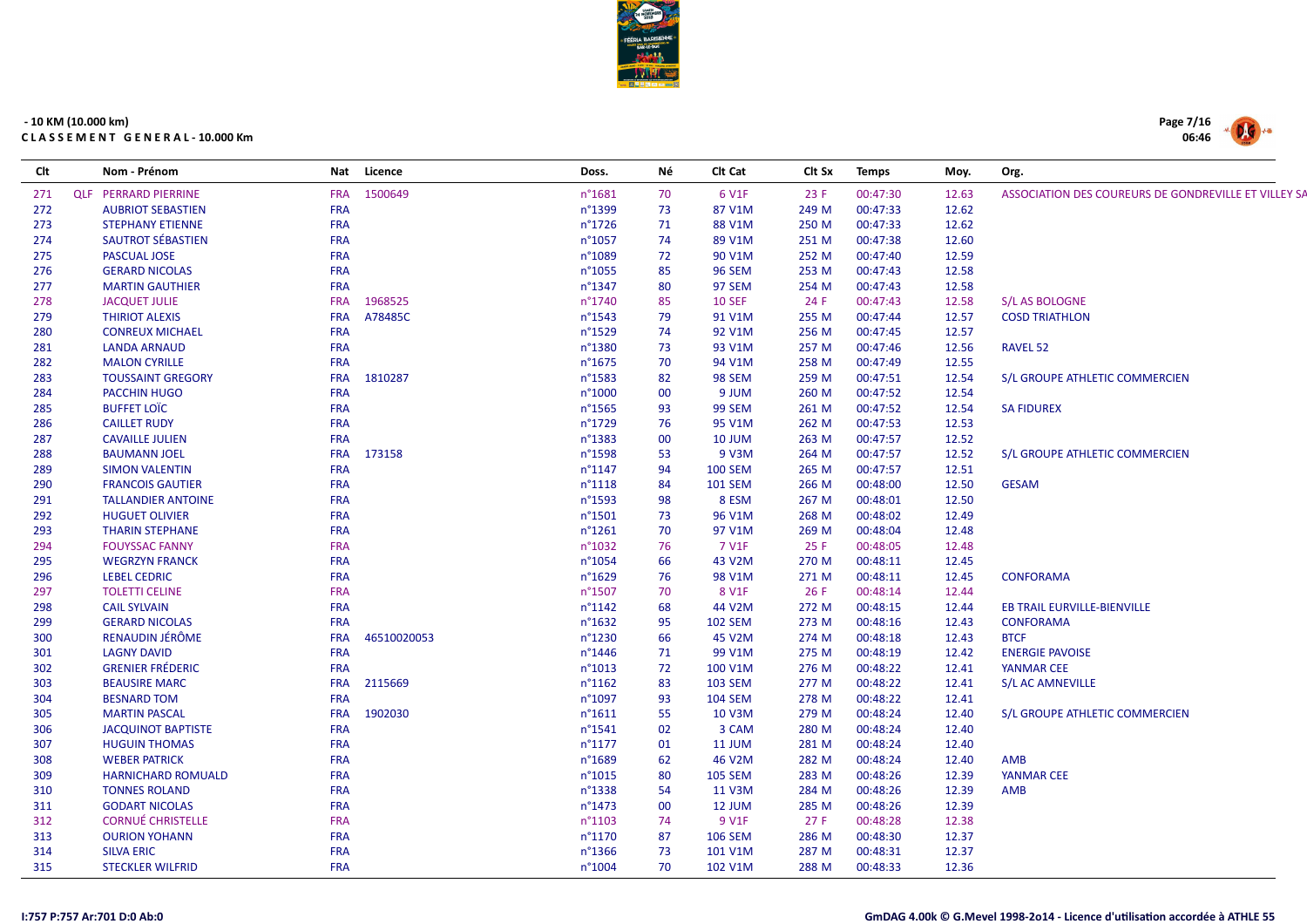

| Clt |                             | Nom - Prénom              | Nat        | Licence     | Doss.            | Νé | Clt Cat             | Clt Sx | <b>Temps</b> | Moy.  | Org.                                                 |
|-----|-----------------------------|---------------------------|------------|-------------|------------------|----|---------------------|--------|--------------|-------|------------------------------------------------------|
| 271 | <b>QLF PERRARD PIERRINE</b> |                           |            | FRA 1500649 | n°1681           | 70 | 6 V1F               | 23 F   | 00:47:30     | 12.63 | ASSOCIATION DES COUREURS DE GONDREVILLE ET VILLEY S/ |
| 272 |                             | <b>AUBRIOT SEBASTIEN</b>  | <b>FRA</b> |             | n°1399           | 73 | 87 V1M              | 249 M  | 00:47:33     | 12.62 |                                                      |
| 273 |                             | <b>STEPHANY ETIENNE</b>   | <b>FRA</b> |             | $n^{\circ}$ 1726 | 71 | 88 V1M              | 250 M  | 00:47:33     | 12.62 |                                                      |
| 274 |                             | SAUTROT SÉBASTIEN         | <b>FRA</b> |             | $n^{\circ}1057$  | 74 | 89 V1M              | 251 M  | 00:47:38     | 12.60 |                                                      |
| 275 |                             | <b>PASCUAL JOSE</b>       | <b>FRA</b> |             | n°1089           | 72 | 90 V1M              | 252 M  | 00:47:40     | 12.59 |                                                      |
| 276 |                             | <b>GERARD NICOLAS</b>     | <b>FRA</b> |             | n°1055           | 85 | <b>96 SEM</b>       | 253 M  | 00:47:43     | 12.58 |                                                      |
| 277 |                             | <b>MARTIN GAUTHIER</b>    | <b>FRA</b> |             | n°1347           | 80 | 97 SEM              | 254 M  | 00:47:43     | 12.58 |                                                      |
| 278 |                             | <b>JACQUET JULIE</b>      | <b>FRA</b> | 1968525     | n°1740           | 85 | <b>10 SEF</b>       | 24 F   | 00:47:43     | 12.58 | S/L AS BOLOGNE                                       |
| 279 |                             | <b>THIRIOT ALEXIS</b>     | <b>FRA</b> | A78485C     | $n^{\circ}$ 1543 | 79 | 91 V1M              | 255 M  | 00:47:44     | 12.57 | <b>COSD TRIATHLON</b>                                |
| 280 |                             | <b>CONREUX MICHAEL</b>    | <b>FRA</b> |             | n°1529           | 74 | 92 V1M              | 256 M  | 00:47:45     | 12.57 |                                                      |
| 281 |                             | <b>LANDA ARNAUD</b>       | <b>FRA</b> |             | n°1380           | 73 | 93 V1M              | 257 M  | 00:47:46     | 12.56 | <b>RAVEL 52</b>                                      |
| 282 |                             | <b>MALON CYRILLE</b>      | <b>FRA</b> |             | $n^{\circ}1675$  | 70 | 94 V1M              | 258 M  | 00:47:49     | 12.55 |                                                      |
| 283 |                             | <b>TOUSSAINT GREGORY</b>  | <b>FRA</b> | 1810287     | n°1583           | 82 | <b>98 SEM</b>       | 259 M  | 00:47:51     | 12.54 | S/L GROUPE ATHLETIC COMMERCIEN                       |
| 284 |                             | PACCHIN HUGO              | <b>FRA</b> |             | n°1000           | 00 | 9 JUM               | 260 M  | 00:47:52     | 12.54 |                                                      |
| 285 | <b>BUFFET LOIC</b>          |                           | <b>FRA</b> |             | n°1565           | 93 | <b>99 SEM</b>       | 261 M  | 00:47:52     | 12.54 | <b>SA FIDUREX</b>                                    |
| 286 |                             | <b>CAILLET RUDY</b>       | <b>FRA</b> |             | n°1729           | 76 | 95 V1M              | 262 M  | 00:47:53     | 12.53 |                                                      |
| 287 |                             | <b>CAVAILLE JULIEN</b>    | <b>FRA</b> |             | n°1383           | 00 | <b>10 JUM</b>       | 263 M  | 00:47:57     | 12.52 |                                                      |
| 288 |                             | <b>BAUMANN JOEL</b>       |            | FRA 173158  | n°1598           | 53 | 9 V3M               | 264 M  | 00:47:57     | 12.52 | S/L GROUPE ATHLETIC COMMERCIEN                       |
| 289 |                             | <b>SIMON VALENTIN</b>     | <b>FRA</b> |             | $n^{\circ}$ 1147 | 94 | <b>100 SEM</b>      | 265 M  | 00:47:57     | 12.51 |                                                      |
| 290 |                             | <b>FRANCOIS GAUTIER</b>   | <b>FRA</b> |             | $n^{\circ}1118$  | 84 | <b>101 SEM</b>      | 266 M  | 00:48:00     | 12.50 | <b>GESAM</b>                                         |
| 291 |                             | <b>TALLANDIER ANTOINE</b> | <b>FRA</b> |             | n°1593           | 98 | 8 ESM               | 267 M  | 00:48:01     | 12.50 |                                                      |
| 292 |                             | <b>HUGUET OLIVIER</b>     | <b>FRA</b> |             | $n^{\circ}$ 1501 | 73 | 96 V1M              | 268 M  | 00:48:02     | 12.49 |                                                      |
| 293 |                             | <b>THARIN STEPHANE</b>    | <b>FRA</b> |             | $n^{\circ}1261$  | 70 | 97 V1M              | 269 M  | 00:48:04     | 12.48 |                                                      |
| 294 |                             | <b>FOUYSSAC FANNY</b>     | <b>FRA</b> |             | n°1032           | 76 | 7 V1F               | 25F    | 00:48:05     | 12.48 |                                                      |
| 295 |                             | <b>WEGRZYN FRANCK</b>     | <b>FRA</b> |             | n°1054           | 66 | 43 V2M              | 270 M  | 00:48:11     | 12.45 |                                                      |
| 296 |                             | <b>LEBEL CEDRIC</b>       | <b>FRA</b> |             | $n^{\circ}1629$  | 76 | 98 V1M              | 271 M  | 00:48:11     | 12.45 | <b>CONFORAMA</b>                                     |
| 297 |                             | <b>TOLETTI CELINE</b>     | <b>FRA</b> |             | n°1507           | 70 | 8 V1F               | 26 F   | 00:48:14     | 12.44 |                                                      |
| 298 | <b>CAIL SYLVAIN</b>         |                           | <b>FRA</b> |             | $n^{\circ}1142$  | 68 | 44 V2M              | 272 M  | 00:48:15     | 12.44 | <b>EB TRAIL EURVILLE-BIENVILLE</b>                   |
| 299 |                             | <b>GERARD NICOLAS</b>     | <b>FRA</b> |             | n°1632           | 95 | <b>102 SEM</b>      | 273 M  | 00:48:16     | 12.43 | <b>CONFORAMA</b>                                     |
| 300 |                             | RENAUDIN JÉRÔME           | <b>FRA</b> | 46510020053 | n°1230           | 66 | 45 V2M              | 274 M  | 00:48:18     | 12.43 | <b>BTCF</b>                                          |
| 301 |                             | <b>LAGNY DAVID</b>        | <b>FRA</b> |             | $n^{\circ}$ 1446 | 71 | 99 V1M              | 275 M  | 00:48:19     | 12.42 | <b>ENERGIE PAVOISE</b>                               |
| 302 |                             | <b>GRENIER FRÉDERIC</b>   | <b>FRA</b> |             | n°1013           | 72 | 100 V1M             | 276 M  | 00:48:22     | 12.41 | <b>YANMAR CEE</b>                                    |
| 303 |                             | <b>BEAUSIRE MARC</b>      | <b>FRA</b> | 2115669     | $n^{\circ}1162$  | 83 | <b>103 SEM</b>      | 277 M  | 00:48:22     | 12.41 | S/L AC AMNEVILLE                                     |
| 304 |                             | <b>BESNARD TOM</b>        | <b>FRA</b> |             | n°1097           | 93 | <b>104 SEM</b>      | 278 M  | 00:48:22     | 12.41 |                                                      |
| 305 |                             | <b>MARTIN PASCAL</b>      | <b>FRA</b> | 1902030     | $n^{\circ}1611$  | 55 | 10 V3M              | 279 M  | 00:48:24     | 12.40 | S/L GROUPE ATHLETIC COMMERCIEN                       |
| 306 |                             | <b>JACQUINOT BAPTISTE</b> | <b>FRA</b> |             | $n^{\circ}$ 1541 | 02 | 3 CAM               | 280 M  | 00:48:24     | 12.40 |                                                      |
| 307 |                             | <b>HUGUIN THOMAS</b>      | <b>FRA</b> |             | $n^{\circ}1177$  | 01 | <b>11 JUM</b>       | 281 M  | 00:48:24     | 12.40 |                                                      |
| 308 |                             | <b>WEBER PATRICK</b>      | <b>FRA</b> |             | n°1689           | 62 | 46 V <sub>2</sub> M | 282 M  | 00:48:24     | 12.40 | AMB                                                  |
| 309 |                             | <b>HARNICHARD ROMUALD</b> | <b>FRA</b> |             | n°1015           | 80 | <b>105 SEM</b>      | 283 M  | 00:48:26     | 12.39 | <b>YANMAR CEE</b>                                    |
| 310 |                             | <b>TONNES ROLAND</b>      | <b>FRA</b> |             | n°1338           | 54 | 11 V3M              | 284 M  | 00:48:26     | 12.39 | AMB                                                  |
| 311 |                             | <b>GODART NICOLAS</b>     | <b>FRA</b> |             | $n^{\circ}$ 1473 | 00 | 12 JUM              | 285 M  | 00:48:26     | 12.39 |                                                      |
| 312 |                             | <b>CORNUÉ CHRISTELLE</b>  | <b>FRA</b> |             | $n^{\circ}1103$  | 74 | 9 V1F               | 27F    | 00:48:28     | 12.38 |                                                      |
| 313 |                             | <b>OURION YOHANN</b>      | <b>FRA</b> |             | n°1170           | 87 | <b>106 SEM</b>      | 286 M  | 00:48:30     | 12.37 |                                                      |
| 314 | <b>SILVA ERIC</b>           |                           | <b>FRA</b> |             | $n^{\circ}$ 1366 | 73 | 101 V1M             | 287 M  | 00:48:31     | 12.37 |                                                      |
| 315 |                             | <b>STECKLER WILFRID</b>   | <b>FRA</b> |             | n°1004           | 70 | 102 V1M             | 288 M  | 00:48:33     | 12.36 |                                                      |
|     |                             |                           |            |             |                  |    |                     |        |              |       |                                                      |

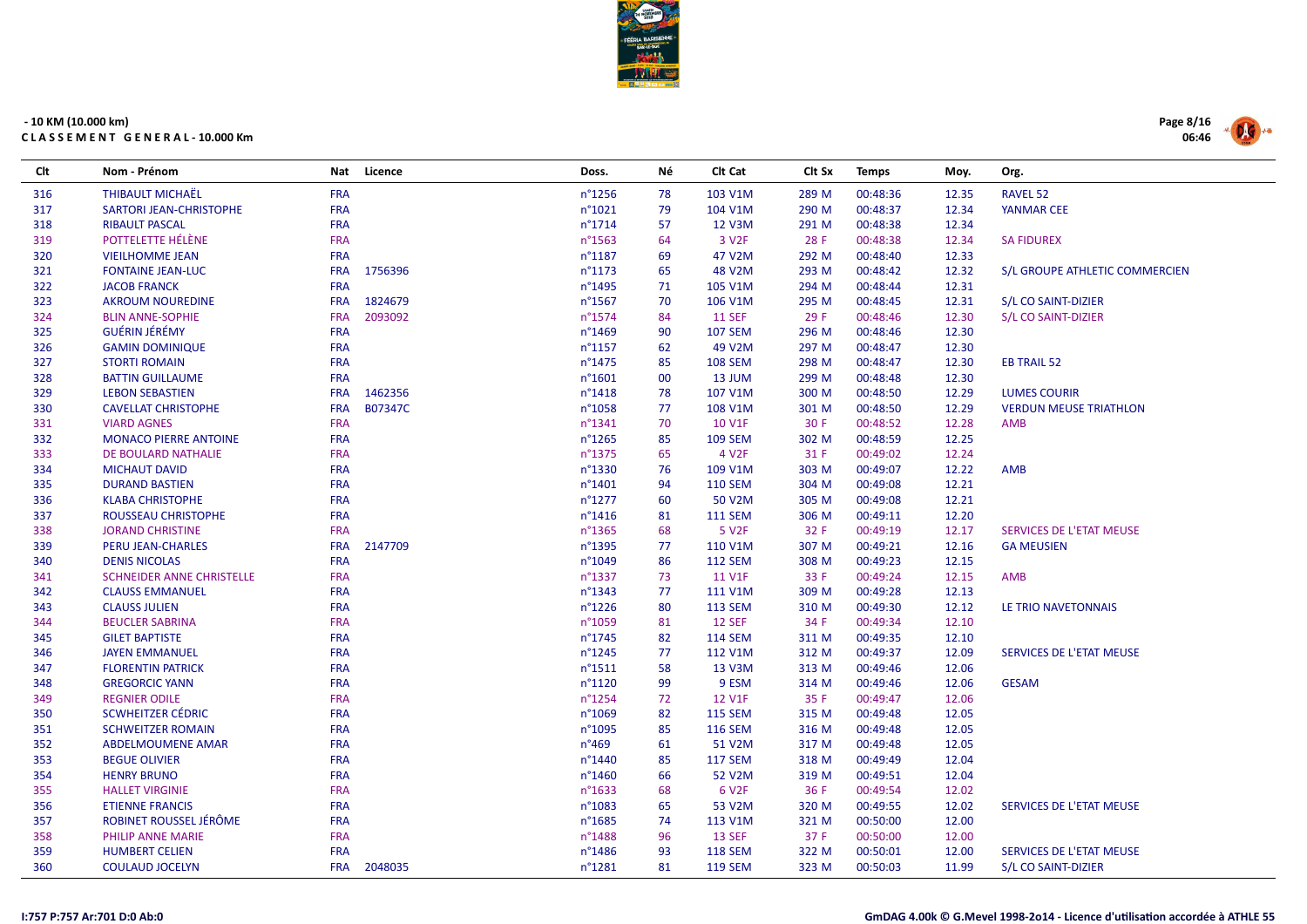

| Clt | Nom - Prénom                     |            | Nat Licence | Doss.            | Νé | Clt Cat           | Clt Sx | <b>Temps</b> | Moy.  | Org.                            |
|-----|----------------------------------|------------|-------------|------------------|----|-------------------|--------|--------------|-------|---------------------------------|
| 316 | <b>THIBAULT MICHAËL</b>          | <b>FRA</b> |             | $n^{\circ}$ 1256 | 78 | 103 V1M           | 289 M  | 00:48:36     | 12.35 | <b>RAVEL 52</b>                 |
| 317 | SARTORI JEAN-CHRISTOPHE          | <b>FRA</b> |             | $n^{\circ}1021$  | 79 | 104 V1M           | 290 M  | 00:48:37     | 12.34 | <b>YANMAR CEE</b>               |
| 318 | <b>RIBAULT PASCAL</b>            | <b>FRA</b> |             | $n^{\circ}$ 1714 | 57 | 12 V3M            | 291 M  | 00:48:38     | 12.34 |                                 |
| 319 | POTTELETTE HÉLÈNE                | <b>FRA</b> |             | $n^{\circ}$ 1563 | 64 | 3 V <sub>2F</sub> | 28 F   | 00:48:38     | 12.34 | <b>SA FIDUREX</b>               |
| 320 | <b>VIEILHOMME JEAN</b>           | <b>FRA</b> |             | $n^{\circ}$ 1187 | 69 | 47 V2M            | 292 M  | 00:48:40     | 12.33 |                                 |
| 321 | <b>FONTAINE JEAN-LUC</b>         | <b>FRA</b> | 1756396     | $n^{\circ}$ 1173 | 65 | 48 V2M            | 293 M  | 00:48:42     | 12.32 | S/L GROUPE ATHLETIC COMMERCIEN  |
| 322 | <b>JACOB FRANCK</b>              | <b>FRA</b> |             | $n^{\circ}$ 1495 | 71 | 105 V1M           | 294 M  | 00:48:44     | 12.31 |                                 |
| 323 | <b>AKROUM NOUREDINE</b>          | <b>FRA</b> | 1824679     | $n^{\circ}$ 1567 | 70 | 106 V1M           | 295 M  | 00:48:45     | 12.31 | S/L CO SAINT-DIZIER             |
| 324 | <b>BLIN ANNE-SOPHIE</b>          | <b>FRA</b> | 2093092     | n°1574           | 84 | <b>11 SEF</b>     | 29 F   | 00:48:46     | 12.30 | S/L CO SAINT-DIZIER             |
| 325 | <b>GUÉRIN JÉRÉMY</b>             | <b>FRA</b> |             | $n^{\circ}$ 1469 | 90 | <b>107 SEM</b>    | 296 M  | 00:48:46     | 12.30 |                                 |
| 326 | <b>GAMIN DOMINIQUE</b>           | <b>FRA</b> |             | $n^{\circ}$ 1157 | 62 | 49 V2M            | 297 M  | 00:48:47     | 12.30 |                                 |
| 327 | <b>STORTI ROMAIN</b>             | <b>FRA</b> |             | $n^{\circ}$ 1475 | 85 | <b>108 SEM</b>    | 298 M  | 00:48:47     | 12.30 | <b>EB TRAIL 52</b>              |
| 328 | <b>BATTIN GUILLAUME</b>          | <b>FRA</b> |             | $n^{\circ}1601$  | 00 | 13 JUM            | 299 M  | 00:48:48     | 12.30 |                                 |
| 329 | <b>LEBON SEBASTIEN</b>           | <b>FRA</b> | 1462356     | $n^{\circ}$ 1418 | 78 | 107 V1M           | 300 M  | 00:48:50     | 12.29 | <b>LUMES COURIR</b>             |
| 330 | <b>CAVELLAT CHRISTOPHE</b>       | <b>FRA</b> | B07347C     | n°1058           | 77 | 108 V1M           | 301 M  | 00:48:50     | 12.29 | <b>VERDUN MEUSE TRIATHLON</b>   |
| 331 | <b>VIARD AGNES</b>               | <b>FRA</b> |             | $n^{\circ}$ 1341 | 70 | <b>10 V1F</b>     | 30 F   | 00:48:52     | 12.28 | AMB                             |
| 332 | <b>MONACO PIERRE ANTOINE</b>     | <b>FRA</b> |             | $n^{\circ}$ 1265 | 85 | <b>109 SEM</b>    | 302 M  | 00:48:59     | 12.25 |                                 |
| 333 | DE BOULARD NATHALIE              | <b>FRA</b> |             | n°1375           | 65 | 4 V <sub>2F</sub> | 31 F   | 00:49:02     | 12.24 |                                 |
| 334 | <b>MICHAUT DAVID</b>             | <b>FRA</b> |             | n°1330           | 76 | 109 V1M           | 303 M  | 00:49:07     | 12.22 | <b>AMB</b>                      |
| 335 | <b>DURAND BASTIEN</b>            | <b>FRA</b> |             | $n^{\circ}$ 1401 | 94 | <b>110 SEM</b>    | 304 M  | 00:49:08     | 12.21 |                                 |
| 336 | <b>KLABA CHRISTOPHE</b>          | <b>FRA</b> |             | $n^{\circ}1277$  | 60 | 50 V2M            | 305 M  | 00:49:08     | 12.21 |                                 |
| 337 | ROUSSEAU CHRISTOPHE              | <b>FRA</b> |             | $n^{\circ}$ 1416 | 81 | <b>111 SEM</b>    | 306 M  | 00:49:11     | 12.20 |                                 |
| 338 | <b>JORAND CHRISTINE</b>          | <b>FRA</b> |             | $n^{\circ}$ 1365 | 68 | 5 V <sub>2F</sub> | 32 F   | 00:49:19     | 12.17 | <b>SERVICES DE L'ETAT MEUSE</b> |
| 339 | <b>PERU JEAN-CHARLES</b>         | <b>FRA</b> | 2147709     | n°1395           | 77 | 110 V1M           | 307 M  | 00:49:21     | 12.16 | <b>GA MEUSIEN</b>               |
| 340 | <b>DENIS NICOLAS</b>             | <b>FRA</b> |             | n°1049           | 86 | <b>112 SEM</b>    | 308 M  | 00:49:23     | 12.15 |                                 |
| 341 | <b>SCHNEIDER ANNE CHRISTELLE</b> | <b>FRA</b> |             | n°1337           | 73 | 11 V1F            | 33 F   | 00:49:24     | 12.15 | <b>AMB</b>                      |
| 342 | <b>CLAUSS EMMANUEL</b>           | <b>FRA</b> |             | $n^{\circ}$ 1343 | 77 | 111 V1M           | 309 M  | 00:49:28     | 12.13 |                                 |
| 343 | <b>CLAUSS JULIEN</b>             | <b>FRA</b> |             | $n^{\circ}$ 1226 | 80 | <b>113 SEM</b>    | 310 M  | 00:49:30     | 12.12 | LE TRIO NAVETONNAIS             |
| 344 | <b>BEUCLER SABRINA</b>           | <b>FRA</b> |             | n°1059           | 81 | <b>12 SEF</b>     | 34 F   | 00:49:34     | 12.10 |                                 |
| 345 | <b>GILET BAPTISTE</b>            | <b>FRA</b> |             | $n^{\circ}$ 1745 | 82 | <b>114 SEM</b>    | 311 M  | 00:49:35     | 12.10 |                                 |
| 346 | <b>JAYEN EMMANUEL</b>            | <b>FRA</b> |             | $n^{\circ}$ 1245 | 77 | 112 V1M           | 312 M  | 00:49:37     | 12.09 | SERVICES DE L'ETAT MEUSE        |
| 347 | <b>FLORENTIN PATRICK</b>         | <b>FRA</b> |             | $n^{\circ}$ 1511 | 58 | 13 V3M            | 313 M  | 00:49:46     | 12.06 |                                 |
| 348 | <b>GREGORCIC YANN</b>            | <b>FRA</b> |             | $n^{\circ}1120$  | 99 | 9 ESM             | 314 M  | 00:49:46     | 12.06 | <b>GESAM</b>                    |
| 349 | <b>REGNIER ODILE</b>             | <b>FRA</b> |             | $n^{\circ}$ 1254 | 72 | 12 V1F            | 35 F   | 00:49:47     | 12.06 |                                 |
| 350 | <b>SCWHEITZER CÉDRIC</b>         | <b>FRA</b> |             | n°1069           | 82 | <b>115 SEM</b>    | 315 M  | 00:49:48     | 12.05 |                                 |
| 351 | <b>SCHWEITZER ROMAIN</b>         | <b>FRA</b> |             | n°1095           | 85 | <b>116 SEM</b>    | 316 M  | 00:49:48     | 12.05 |                                 |
| 352 | ABDELMOUMENE AMAR                | <b>FRA</b> |             | $n^{\circ}469$   | 61 | 51 V2M            | 317 M  | 00:49:48     | 12.05 |                                 |
| 353 | <b>BEGUE OLIVIER</b>             | <b>FRA</b> |             | $n^{\circ}$ 1440 | 85 | <b>117 SEM</b>    | 318 M  | 00:49:49     | 12.04 |                                 |
| 354 | <b>HENRY BRUNO</b>               | <b>FRA</b> |             | $n^{\circ}$ 1460 | 66 | 52 V2M            | 319 M  | 00:49:51     | 12.04 |                                 |
| 355 | <b>HALLET VIRGINIE</b>           | <b>FRA</b> |             | $n^{\circ}$ 1633 | 68 | 6 V <sub>2F</sub> | 36 F   | 00:49:54     | 12.02 |                                 |
| 356 | <b>ETIENNE FRANCIS</b>           | <b>FRA</b> |             | n°1083           | 65 | 53 V2M            | 320 M  | 00:49:55     | 12.02 | SERVICES DE L'ETAT MEUSE        |
| 357 | ROBINET ROUSSEL JÉRÔME           | <b>FRA</b> |             | $n^{\circ}$ 1685 | 74 | 113 V1M           | 321 M  | 00:50:00     | 12.00 |                                 |
| 358 | PHILIP ANNE MARIE                | <b>FRA</b> |             | $n^{\circ}$ 1488 | 96 | <b>13 SEF</b>     | 37 F   | 00:50:00     | 12.00 |                                 |
| 359 | <b>HUMBERT CELIEN</b>            | <b>FRA</b> |             | $n^{\circ}$ 1486 | 93 | <b>118 SEM</b>    | 322 M  | 00:50:01     | 12.00 | SERVICES DE L'ETAT MEUSE        |
| 360 | <b>COULAUD JOCELYN</b>           | <b>FRA</b> | 2048035     | $n^{\circ}$ 1281 | 81 | <b>119 SEM</b>    | 323 M  | 00:50:03     | 11.99 | S/L CO SAINT-DIZIER             |

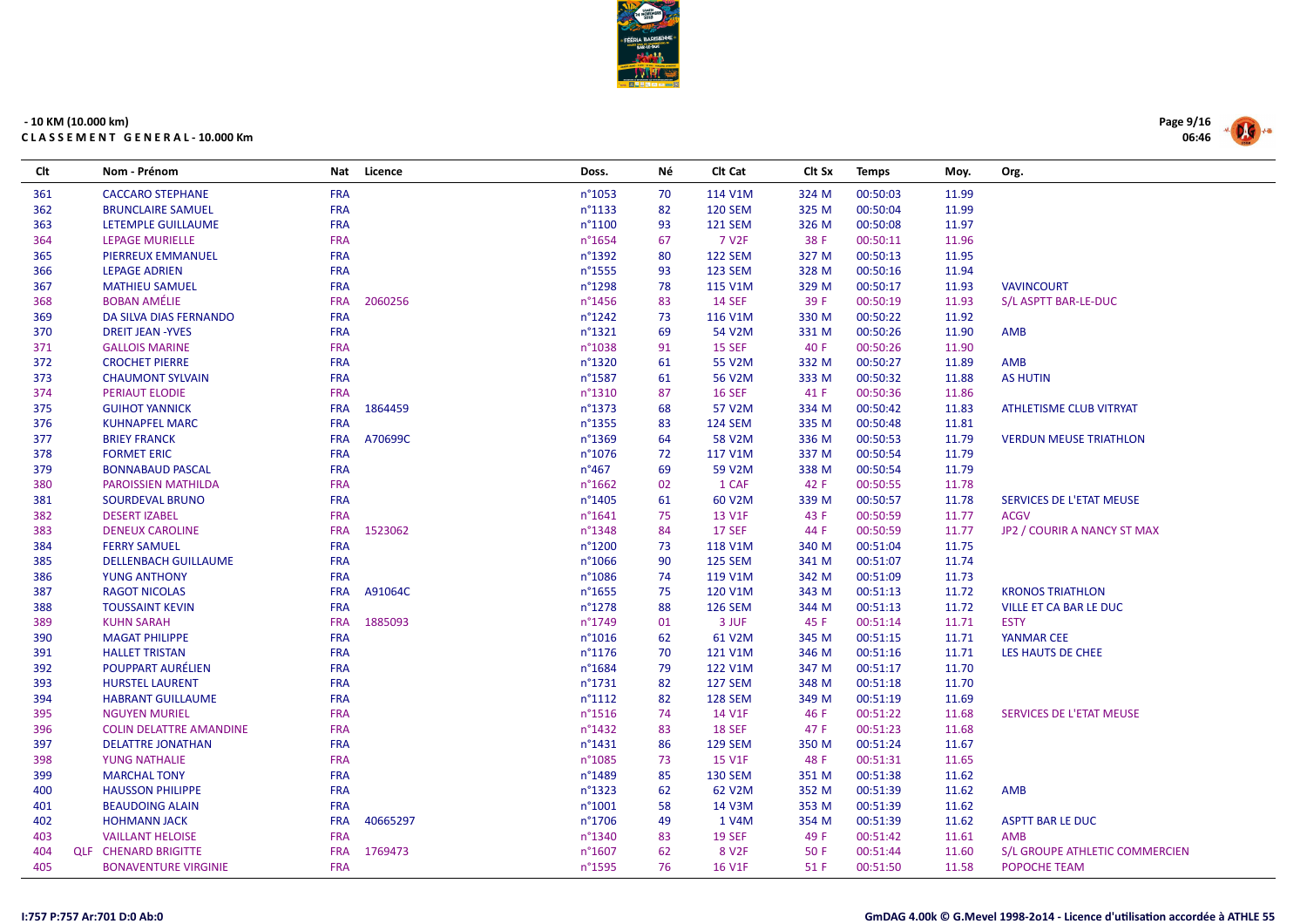

| Clt | Nom - Prénom                   | Nat        | Licence  | Doss.            | Νé | Clt Cat           | Clt Sx | <b>Temps</b> | Moy.  | Org.                            |
|-----|--------------------------------|------------|----------|------------------|----|-------------------|--------|--------------|-------|---------------------------------|
| 361 | <b>CACCARO STEPHANE</b>        | <b>FRA</b> |          | n°1053           | 70 | 114 V1M           | 324 M  | 00:50:03     | 11.99 |                                 |
| 362 | <b>BRUNCLAIRE SAMUEL</b>       | <b>FRA</b> |          | n°1133           | 82 | <b>120 SEM</b>    | 325 M  | 00:50:04     | 11.99 |                                 |
| 363 | LETEMPLE GUILLAUME             | <b>FRA</b> |          | n°1100           | 93 | <b>121 SEM</b>    | 326 M  | 00:50:08     | 11.97 |                                 |
| 364 | <b>LEPAGE MURIELLE</b>         | <b>FRA</b> |          | n°1654           | 67 | 7 V <sub>2F</sub> | 38 F   | 00:50:11     | 11.96 |                                 |
| 365 | PIERREUX EMMANUEL              | <b>FRA</b> |          | n°1392           | 80 | <b>122 SEM</b>    | 327 M  | 00:50:13     | 11.95 |                                 |
| 366 | <b>LEPAGE ADRIEN</b>           | <b>FRA</b> |          | n°1555           | 93 | <b>123 SEM</b>    | 328 M  | 00:50:16     | 11.94 |                                 |
| 367 | <b>MATHIEU SAMUEL</b>          | <b>FRA</b> |          | n°1298           | 78 | 115 V1M           | 329 M  | 00:50:17     | 11.93 | <b>VAVINCOURT</b>               |
| 368 | <b>BOBAN AMÉLIE</b>            | <b>FRA</b> | 2060256  | n°1456           | 83 | <b>14 SEF</b>     | 39 F   | 00:50:19     | 11.93 | S/L ASPTT BAR-LE-DUC            |
| 369 | DA SILVA DIAS FERNANDO         | <b>FRA</b> |          | $n^{\circ}1242$  | 73 | 116 V1M           | 330 M  | 00:50:22     | 11.92 |                                 |
| 370 | <b>DREIT JEAN -YVES</b>        | <b>FRA</b> |          | n°1321           | 69 | 54 V2M            | 331 M  | 00:50:26     | 11.90 | <b>AMB</b>                      |
| 371 | <b>GALLOIS MARINE</b>          | <b>FRA</b> |          | n°1038           | 91 | <b>15 SEF</b>     | 40 F   | 00:50:26     | 11.90 |                                 |
| 372 | <b>CROCHET PIERRE</b>          | <b>FRA</b> |          | n°1320           | 61 | 55 V2M            | 332 M  | 00:50:27     | 11.89 | <b>AMB</b>                      |
| 373 | <b>CHAUMONT SYLVAIN</b>        | <b>FRA</b> |          | n°1587           | 61 | 56 V2M            | 333 M  | 00:50:32     | 11.88 | <b>AS HUTIN</b>                 |
| 374 | PERIAUT ELODIE                 | <b>FRA</b> |          | n°1310           | 87 | <b>16 SEF</b>     | 41 F   | 00:50:36     | 11.86 |                                 |
| 375 | <b>GUIHOT YANNICK</b>          | <b>FRA</b> | 1864459  | n°1373           | 68 | 57 V2M            | 334 M  | 00:50:42     | 11.83 | ATHLETISME CLUB VITRYAT         |
| 376 | <b>KUHNAPFEL MARC</b>          | <b>FRA</b> |          | n°1355           | 83 | <b>124 SEM</b>    | 335 M  | 00:50:48     | 11.81 |                                 |
| 377 | <b>BRIEY FRANCK</b>            | <b>FRA</b> | A70699C  | n°1369           | 64 | 58 V2M            | 336 M  | 00:50:53     | 11.79 | <b>VERDUN MEUSE TRIATHLON</b>   |
| 378 | <b>FORMET ERIC</b>             | <b>FRA</b> |          | n°1076           | 72 | 117 V1M           | 337 M  | 00:50:54     | 11.79 |                                 |
| 379 | <b>BONNABAUD PASCAL</b>        | <b>FRA</b> |          | $n^{\circ}467$   | 69 | 59 V2M            | 338 M  | 00:50:54     | 11.79 |                                 |
| 380 | <b>PAROISSIEN MATHILDA</b>     | <b>FRA</b> |          | $n^{\circ}$ 1662 | 02 | 1 CAF             | 42 F   | 00:50:55     | 11.78 |                                 |
| 381 | SOURDEVAL BRUNO                | <b>FRA</b> |          | n°1405           | 61 | 60 V2M            | 339 M  | 00:50:57     | 11.78 | SERVICES DE L'ETAT MEUSE        |
| 382 | <b>DESERT IZABEL</b>           | <b>FRA</b> |          | $n^{\circ}1641$  | 75 | 13 V1F            | 43 F   | 00:50:59     | 11.77 | <b>ACGV</b>                     |
| 383 | <b>DENEUX CAROLINE</b>         | <b>FRA</b> | 1523062  | n°1348           | 84 | <b>17 SEF</b>     | 44 F   | 00:50:59     | 11.77 | JP2 / COURIR A NANCY ST MAX     |
| 384 | <b>FERRY SAMUEL</b>            | <b>FRA</b> |          | n°1200           | 73 | 118 V1M           | 340 M  | 00:51:04     | 11.75 |                                 |
| 385 | <b>DELLENBACH GUILLAUME</b>    | <b>FRA</b> |          | n°1066           | 90 | <b>125 SEM</b>    | 341 M  | 00:51:07     | 11.74 |                                 |
| 386 | <b>YUNG ANTHONY</b>            | <b>FRA</b> |          | n°1086           | 74 | 119 V1M           | 342 M  | 00:51:09     | 11.73 |                                 |
| 387 | <b>RAGOT NICOLAS</b>           | <b>FRA</b> | A91064C  | n°1655           | 75 | 120 V1M           | 343 M  | 00:51:13     | 11.72 | <b>KRONOS TRIATHLON</b>         |
| 388 | <b>TOUSSAINT KEVIN</b>         | <b>FRA</b> |          | n°1278           | 88 | <b>126 SEM</b>    | 344 M  | 00:51:13     | 11.72 | VILLE ET CA BAR LE DUC          |
| 389 | <b>KUHN SARAH</b>              | <b>FRA</b> | 1885093  | n°1749           | 01 | 3 JUF             | 45 F   | 00:51:14     | 11.71 | <b>ESTY</b>                     |
| 390 | <b>MAGAT PHILIPPE</b>          | <b>FRA</b> |          | $n^{\circ}1016$  | 62 | 61 V2M            | 345 M  | 00:51:15     | 11.71 | YANMAR CEE                      |
| 391 | <b>HALLET TRISTAN</b>          | <b>FRA</b> |          | $n^{\circ}$ 1176 | 70 | 121 V1M           | 346 M  | 00:51:16     | 11.71 | LES HAUTS DE CHEE               |
| 392 | POUPPART AURÉLIEN              | <b>FRA</b> |          | n°1684           | 79 | 122 V1M           | 347 M  | 00:51:17     | 11.70 |                                 |
| 393 | <b>HURSTEL LAURENT</b>         | <b>FRA</b> |          | $n^{\circ}$ 1731 | 82 | <b>127 SEM</b>    | 348 M  | 00:51:18     | 11.70 |                                 |
| 394 | <b>HABRANT GUILLAUME</b>       | <b>FRA</b> |          | $n^{\circ}1112$  | 82 | <b>128 SEM</b>    | 349 M  | 00:51:19     | 11.69 |                                 |
| 395 | <b>NGUYEN MURIEL</b>           | <b>FRA</b> |          | n°1516           | 74 | 14 V1F            | 46 F   | 00:51:22     | 11.68 | <b>SERVICES DE L'ETAT MEUSE</b> |
| 396 | <b>COLIN DELATTRE AMANDINE</b> | <b>FRA</b> |          | n°1432           | 83 | <b>18 SEF</b>     | 47 F   | 00:51:23     | 11.68 |                                 |
| 397 | <b>DELATTRE JONATHAN</b>       | <b>FRA</b> |          | $n^{\circ}$ 1431 | 86 | <b>129 SEM</b>    | 350 M  | 00:51:24     | 11.67 |                                 |
| 398 | <b>YUNG NATHALIE</b>           | <b>FRA</b> |          | n°1085           | 73 | <b>15 V1F</b>     | 48 F   | 00:51:31     | 11.65 |                                 |
| 399 | <b>MARCHAL TONY</b>            | <b>FRA</b> |          | n°1489           | 85 | <b>130 SEM</b>    | 351 M  | 00:51:38     | 11.62 |                                 |
| 400 | <b>HAUSSON PHILIPPE</b>        | <b>FRA</b> |          | $n^{\circ}$ 1323 | 62 | 62 V2M            | 352 M  | 00:51:39     | 11.62 | AMB                             |
| 401 | <b>BEAUDOING ALAIN</b>         | <b>FRA</b> |          | $n^{\circ}1001$  | 58 | 14 V3M            | 353 M  | 00:51:39     | 11.62 |                                 |
| 402 | <b>HOHMANN JACK</b>            | <b>FRA</b> | 40665297 | n°1706           | 49 | 1 V4M             | 354 M  | 00:51:39     | 11.62 | <b>ASPTT BAR LE DUC</b>         |
| 403 | <b>VAILLANT HELOISE</b>        | <b>FRA</b> |          | n°1340           | 83 | <b>19 SEF</b>     | 49 F   | 00:51:42     | 11.61 | AMB                             |
| 404 | <b>QLF CHENARD BRIGITTE</b>    | <b>FRA</b> | 1769473  | n°1607           | 62 | 8 V <sub>2F</sub> | 50 F   | 00:51:44     | 11.60 | S/L GROUPE ATHLETIC COMMERCIEN  |
| 405 | <b>BONAVENTURE VIRGINIE</b>    | <b>FRA</b> |          | n°1595           | 76 | <b>16 V1F</b>     | 51 F   | 00:51:50     | 11.58 | POPOCHE TEAM                    |

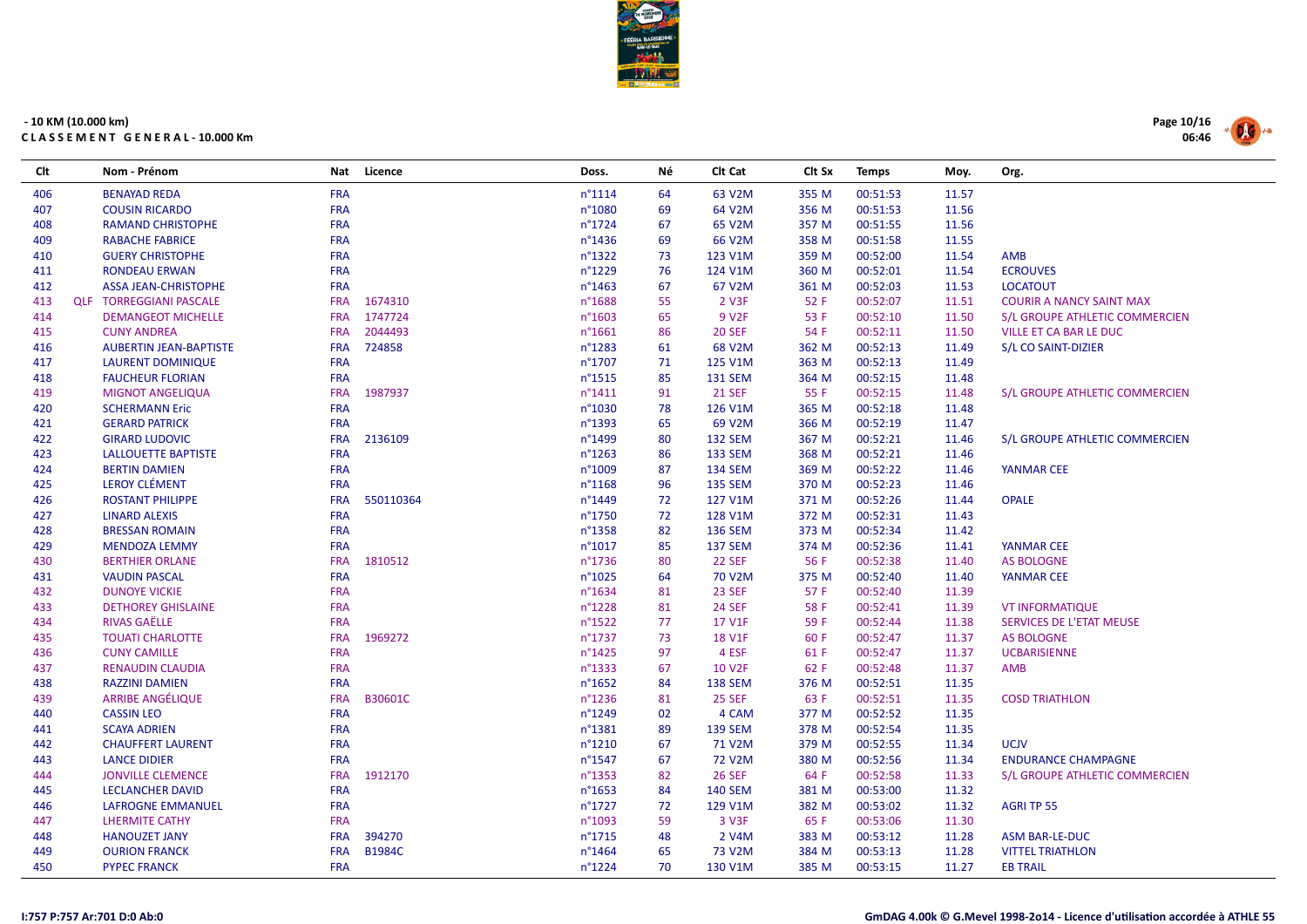

| Clt | Nom - Prénom                   | <b>Nat</b> | Licence       | Doss.            | Νé | Clt Cat             | Clt Sx | <b>Temps</b> | Moy.  | Org.                            |
|-----|--------------------------------|------------|---------------|------------------|----|---------------------|--------|--------------|-------|---------------------------------|
| 406 | <b>BENAYAD REDA</b>            | <b>FRA</b> |               | $n^{\circ}1114$  | 64 | 63 V2M              | 355 M  | 00:51:53     | 11.57 |                                 |
| 407 | <b>COUSIN RICARDO</b>          | <b>FRA</b> |               | n°1080           | 69 | 64 V2M              | 356 M  | 00:51:53     | 11.56 |                                 |
| 408 | <b>RAMAND CHRISTOPHE</b>       | <b>FRA</b> |               | n°1724           | 67 | 65 V2M              | 357 M  | 00:51:55     | 11.56 |                                 |
| 409 | <b>RABACHE FABRICE</b>         | <b>FRA</b> |               | n°1436           | 69 | 66 V2M              | 358 M  | 00:51:58     | 11.55 |                                 |
| 410 | <b>GUERY CHRISTOPHE</b>        | <b>FRA</b> |               | n°1322           | 73 | 123 V1M             | 359 M  | 00:52:00     | 11.54 | <b>AMB</b>                      |
| 411 | <b>RONDEAU ERWAN</b>           | <b>FRA</b> |               | n°1229           | 76 | 124 V1M             | 360 M  | 00:52:01     | 11.54 | <b>ECROUVES</b>                 |
| 412 | <b>ASSA JEAN-CHRISTOPHE</b>    | <b>FRA</b> |               | $n^{\circ}$ 1463 | 67 | 67 V2M              | 361 M  | 00:52:03     | 11.53 | <b>LOCATOUT</b>                 |
| 413 | <b>QLF TORREGGIANI PASCALE</b> | <b>FRA</b> | 1674310       | n°1688           | 55 | 2 V3F               | 52 F   | 00:52:07     | 11.51 | <b>COURIR A NANCY SAINT MAX</b> |
| 414 | <b>DEMANGEOT MICHELLE</b>      | <b>FRA</b> | 1747724       | $n^{\circ}1603$  | 65 | 9 V <sub>2F</sub>   | 53 F   | 00:52:10     | 11.50 | S/L GROUPE ATHLETIC COMMERCIEN  |
| 415 | <b>CUNY ANDREA</b>             | <b>FRA</b> | 2044493       | $n^{\circ}1661$  | 86 | <b>20 SEF</b>       | 54 F   | 00:52:11     | 11.50 | VILLE ET CA BAR LE DUC          |
| 416 | <b>AUBERTIN JEAN-BAPTISTE</b>  | <b>FRA</b> | 724858        | n°1283           | 61 | 68 V <sub>2</sub> M | 362 M  | 00:52:13     | 11.49 | S/L CO SAINT-DIZIER             |
| 417 | LAURENT DOMINIQUE              | <b>FRA</b> |               | n°1707           | 71 | 125 V1M             | 363 M  | 00:52:13     | 11.49 |                                 |
| 418 | <b>FAUCHEUR FLORIAN</b>        | <b>FRA</b> |               | $n^{\circ}$ 1515 | 85 | <b>131 SEM</b>      | 364 M  | 00:52:15     | 11.48 |                                 |
| 419 | <b>MIGNOT ANGELIQUA</b>        | <b>FRA</b> | 1987937       | $n^{\circ}1411$  | 91 | <b>21 SEF</b>       | 55 F   | 00:52:15     | 11.48 | S/L GROUPE ATHLETIC COMMERCIEN  |
| 420 | <b>SCHERMANN Eric</b>          | <b>FRA</b> |               | n°1030           | 78 | 126 V1M             | 365 M  | 00:52:18     | 11.48 |                                 |
| 421 | <b>GERARD PATRICK</b>          | <b>FRA</b> |               | n°1393           | 65 | 69 V2M              | 366 M  | 00:52:19     | 11.47 |                                 |
| 422 | <b>GIRARD LUDOVIC</b>          | <b>FRA</b> | 2136109       | n°1499           | 80 | <b>132 SEM</b>      | 367 M  | 00:52:21     | 11.46 | S/L GROUPE ATHLETIC COMMERCIEN  |
| 423 | <b>LALLOUETTE BAPTISTE</b>     | <b>FRA</b> |               | n°1263           | 86 | <b>133 SEM</b>      | 368 M  | 00:52:21     | 11.46 |                                 |
| 424 | <b>BERTIN DAMIEN</b>           | <b>FRA</b> |               | n°1009           | 87 | <b>134 SEM</b>      | 369 M  | 00:52:22     | 11.46 | <b>YANMAR CEE</b>               |
| 425 | <b>LEROY CLÉMENT</b>           | <b>FRA</b> |               | n°1168           | 96 | <b>135 SEM</b>      | 370 M  | 00:52:23     | 11.46 |                                 |
| 426 | <b>ROSTANT PHILIPPE</b>        | <b>FRA</b> | 550110364     | n°1449           | 72 | 127 V1M             | 371 M  | 00:52:26     | 11.44 | <b>OPALE</b>                    |
| 427 | <b>LINARD ALEXIS</b>           | <b>FRA</b> |               | n°1750           | 72 | 128 V1M             | 372 M  | 00:52:31     | 11.43 |                                 |
| 428 | <b>BRESSAN ROMAIN</b>          | <b>FRA</b> |               | n°1358           | 82 | <b>136 SEM</b>      | 373 M  | 00:52:34     | 11.42 |                                 |
| 429 | <b>MENDOZA LEMMY</b>           | <b>FRA</b> |               | $n^{\circ}1017$  | 85 | <b>137 SEM</b>      | 374 M  | 00:52:36     | 11.41 | YANMAR CEE                      |
| 430 | <b>BERTHIER ORLANE</b>         | <b>FRA</b> | 1810512       | n°1736           | 80 | <b>22 SEF</b>       | 56 F   | 00:52:38     | 11.40 | <b>AS BOLOGNE</b>               |
| 431 | <b>VAUDIN PASCAL</b>           | <b>FRA</b> |               | n°1025           | 64 | 70 V2M              | 375 M  | 00:52:40     | 11.40 | YANMAR CEE                      |
| 432 | <b>DUNOYE VICKIE</b>           | <b>FRA</b> |               | n°1634           | 81 | <b>23 SEF</b>       | 57 F   | 00:52:40     | 11.39 |                                 |
| 433 | <b>DETHOREY GHISLAINE</b>      | <b>FRA</b> |               | n°1228           | 81 | <b>24 SEF</b>       | 58 F   | 00:52:41     | 11.39 | <b>VT INFORMATIQUE</b>          |
| 434 | <b>RIVAS GAËLLE</b>            | <b>FRA</b> |               | n°1522           | 77 | 17 V1F              | 59 F   | 00:52:44     | 11.38 | SERVICES DE L'ETAT MEUSE        |
| 435 | <b>TOUATI CHARLOTTE</b>        | <b>FRA</b> | 1969272       | n°1737           | 73 | <b>18 V1F</b>       | 60 F   | 00:52:47     | 11.37 | <b>AS BOLOGNE</b>               |
| 436 | <b>CUNY CAMILLE</b>            | <b>FRA</b> |               | n°1425           | 97 | 4 ESF               | 61 F   | 00:52:47     | 11.37 | <b>UCBARISIENNE</b>             |
| 437 | <b>RENAUDIN CLAUDIA</b>        | <b>FRA</b> |               | n°1333           | 67 | <b>10 V2F</b>       | 62 F   | 00:52:48     | 11.37 | <b>AMB</b>                      |
| 438 | <b>RAZZINI DAMIEN</b>          | <b>FRA</b> |               | n°1652           | 84 | <b>138 SEM</b>      | 376 M  | 00:52:51     | 11.35 |                                 |
| 439 | <b>ARRIBE ANGÉLIQUE</b>        | <b>FRA</b> | B30601C       | n°1236           | 81 | 25 SEF              | 63 F   | 00:52:51     | 11.35 | <b>COSD TRIATHLON</b>           |
| 440 | <b>CASSIN LEO</b>              | <b>FRA</b> |               | n°1249           | 02 | 4 CAM               | 377 M  | 00:52:52     | 11.35 |                                 |
| 441 | <b>SCAYA ADRIEN</b>            | <b>FRA</b> |               | n°1381           | 89 | <b>139 SEM</b>      | 378 M  | 00:52:54     | 11.35 |                                 |
| 442 | <b>CHAUFFERT LAURENT</b>       | <b>FRA</b> |               | $n^{\circ}1210$  | 67 | 71 V2M              | 379 M  | 00:52:55     | 11.34 | <b>UCJV</b>                     |
| 443 | <b>LANCE DIDIER</b>            | <b>FRA</b> |               | n°1547           | 67 | 72 V2M              | 380 M  | 00:52:56     | 11.34 | <b>ENDURANCE CHAMPAGNE</b>      |
| 444 | <b>JONVILLE CLEMENCE</b>       | <b>FRA</b> | 1912170       | n°1353           | 82 | <b>26 SEF</b>       | 64 F   | 00:52:58     | 11.33 | S/L GROUPE ATHLETIC COMMERCIEN  |
| 445 | <b>LECLANCHER DAVID</b>        | <b>FRA</b> |               | n°1653           | 84 | <b>140 SEM</b>      | 381 M  | 00:53:00     | 11.32 |                                 |
| 446 | <b>LAFROGNE EMMANUEL</b>       | <b>FRA</b> |               | $n^{\circ}$ 1727 | 72 | 129 V1M             | 382 M  | 00:53:02     | 11.32 | <b>AGRI TP 55</b>               |
| 447 | <b>LHERMITE CATHY</b>          | <b>FRA</b> |               | n°1093           | 59 | 3 V3F               | 65 F   | 00:53:06     | 11.30 |                                 |
| 448 | <b>HANOUZET JANY</b>           | <b>FRA</b> | 394270        | n°1715           | 48 | 2 V4M               | 383 M  | 00:53:12     | 11.28 | ASM BAR-LE-DUC                  |
| 449 | <b>OURION FRANCK</b>           | <b>FRA</b> | <b>B1984C</b> | n°1464           | 65 | 73 V2M              | 384 M  | 00:53:13     | 11.28 | <b>VITTEL TRIATHLON</b>         |
| 450 | <b>PYPEC FRANCK</b>            | <b>FRA</b> |               | n°1224           | 70 | 130 V1M             | 385 M  | 00:53:15     | 11.27 | <b>EB TRAIL</b>                 |

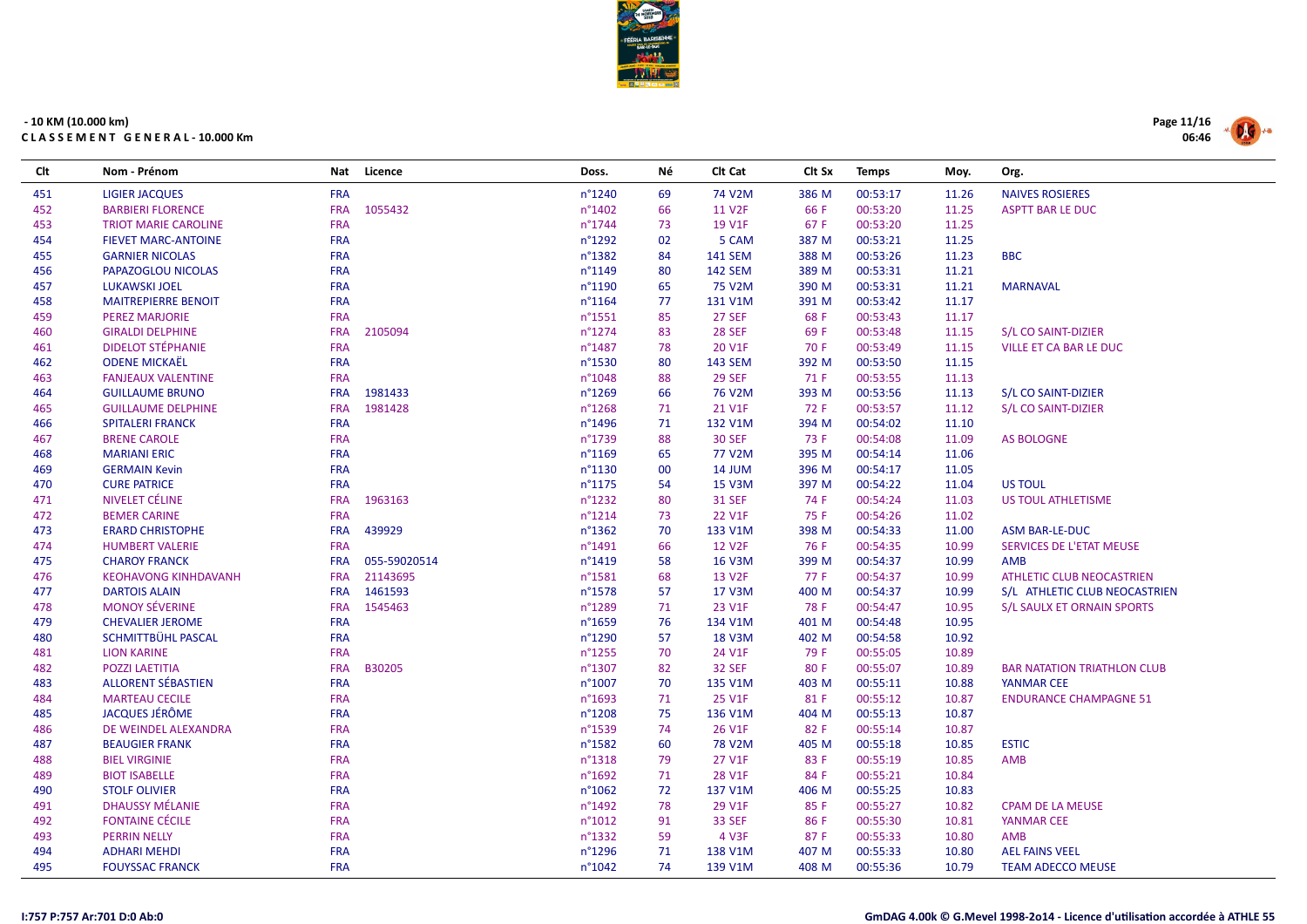

| <b>FRA</b><br>n°1240<br>74 V2M<br>386 M<br>00:53:17<br>451<br><b>LIGIER JACQUES</b><br>69<br>11.26<br><b>NAIVES ROSIERES</b><br>1055432<br>11 V2F<br>66 F<br>00:53:20<br>452<br><b>BARBIERI FLORENCE</b><br><b>FRA</b><br>$n^{\circ}$ 1402<br>66<br>11.25<br><b>ASPTT BAR LE DUC</b><br>453<br><b>FRA</b><br>$n^{\circ}$ 1744<br>19 V1F<br>67 F<br>00:53:20<br>73<br>11.25<br><b>TRIOT MARIE CAROLINE</b><br>454<br><b>FRA</b><br>02<br>387 M<br>00:53:21<br><b>FIEVET MARC-ANTOINE</b><br>$n^{\circ}1292$<br>5 CAM<br>11.25<br>455<br><b>FRA</b><br>n°1382<br>84<br>388 M<br>00:53:26<br>11.23<br><b>BBC</b><br><b>GARNIER NICOLAS</b><br><b>141 SEM</b><br>456<br><b>FRA</b><br>n°1149<br><b>142 SEM</b><br>389 M<br>00:53:31<br>11.21<br>PAPAZOGLOU NICOLAS<br>80<br>75 V2M<br>00:53:31<br>457<br><b>LUKAWSKI JOEL</b><br><b>FRA</b><br>n°1190<br>65<br>390 M<br>11.21<br><b>MARNAVAL</b><br>458<br><b>MAITREPIERRE BENOIT</b><br><b>FRA</b><br>$n^{\circ}1164$<br>77<br>131 V1M<br>391 M<br>00:53:42<br>11.17<br>459<br><b>27 SEF</b><br><b>PEREZ MARJORIE</b><br><b>FRA</b><br>$n^{\circ}$ 1551<br>85<br>68 F<br>00:53:43<br>11.17<br>460<br><b>FRA</b><br>2105094<br>$n^{\circ}$ 1274<br>83<br><b>28 SEF</b><br>69 F<br>00:53:48<br><b>GIRALDI DELPHINE</b><br>11.15<br>S/L CO SAINT-DIZIER<br><b>DIDELOT STÉPHANIE</b><br>461<br><b>FRA</b><br>n°1487<br>78<br>20 V1F<br>70 F<br>00:53:49<br>11.15<br>VILLE ET CA BAR LE DUC<br><b>ODENE MICKAËL</b><br>462<br><b>FRA</b><br>n°1530<br>80<br><b>143 SEM</b><br>392 M<br>00:53:50<br>11.15<br><b>29 SEF</b><br>00:53:55<br>463<br><b>FANJEAUX VALENTINE</b><br><b>FRA</b><br>n°1048<br>88<br>71 F<br>11.13<br>1981433<br>393 M<br>464<br><b>GUILLAUME BRUNO</b><br><b>FRA</b><br>$n^{\circ}$ 1269<br>66<br>76 V2M<br>00:53:56<br>11.13<br>S/L CO SAINT-DIZIER<br>1981428<br>21 V1F<br>465<br><b>FRA</b><br>$n^{\circ}$ 1268<br>71<br>72 F<br>00:53:57<br>11.12<br><b>GUILLAUME DELPHINE</b><br>S/L CO SAINT-DIZIER<br>466<br><b>SPITALERI FRANCK</b><br><b>FRA</b><br>n°1496<br>71<br>132 V1M<br>394 M<br>00:54:02<br>11.10<br>467<br><b>BRENE CAROLE</b><br><b>FRA</b><br>n°1739<br>88<br><b>30 SEF</b><br>73 F<br>00:54:08<br>11.09<br><b>AS BOLOGNE</b><br><b>FRA</b><br>$n^{\circ}1169$<br>77 V2M<br>395 M<br>00:54:14<br>468<br><b>MARIANI ERIC</b><br>65<br>11.06<br><b>FRA</b><br>14 JUM<br>396 M<br>00:54:17<br>469<br><b>GERMAIN Kevin</b><br>n°1130<br>00<br>11.05<br>470<br><b>FRA</b><br>$n^{\circ}$ 1175<br>15 V3M<br>397 M<br>00:54:22<br><b>US TOUL</b><br><b>CURE PATRICE</b><br>54<br>11.04<br>1963163<br>471<br>NIVELET CÉLINE<br><b>FRA</b><br>$n^{\circ}$ 1232<br>80<br><b>31 SEF</b><br>74 F<br>00:54:24<br>11.03<br>US TOUL ATHLETISME<br>472<br><b>BEMER CARINE</b><br><b>FRA</b><br>$n^{\circ}1214$<br>73<br>22 V1F<br>75 F<br>00:54:26<br>11.02<br>473<br>439929<br><b>ERARD CHRISTOPHE</b><br><b>FRA</b><br>$n^{\circ}$ 1362<br>70<br>133 V1M<br>398 M<br>00:54:33<br>11.00<br>ASM BAR-LE-DUC<br>474<br><b>HUMBERT VALERIE</b><br><b>FRA</b><br>66<br><b>12 V2F</b><br>76 F<br>00:54:35<br>10.99<br>SERVICES DE L'ETAT MEUSE<br>$n^{\circ}$ 1491<br>475<br>055-59020514<br>n°1419<br><b>16 V3M</b><br>399 M<br>00:54:37<br><b>CHAROY FRANCK</b><br><b>FRA</b><br>58<br>10.99<br>AMB<br>476<br>21143695<br>13 V2F<br>77 F<br>00:54:37<br>10.99<br><b>KEOHAVONG KINHDAVANH</b><br><b>FRA</b><br>n°1581<br>68<br><b>ATHLETIC CLUB NEOCASTRIEN</b><br>1461593<br>57<br>00:54:37<br>477<br><b>DARTOIS ALAIN</b><br><b>FRA</b><br>$n^{\circ}$ 1578<br>17 V3M<br>400 M<br>10.99<br>S/L ATHLETIC CLUB NEOCASTRIEN<br><b>MONOY SÉVERINE</b><br>1545463<br>478<br><b>FRA</b><br>n°1289<br>71<br>23 V1F<br>78 F<br>00:54:47<br>10.95<br>S/L SAULX ET ORNAIN SPORTS<br><b>FRA</b><br>10.95<br>479<br><b>CHEVALIER JEROME</b><br>n°1659<br>76<br>134 V1M<br>401 M<br>00:54:48<br>480<br>SCHMITTBÜHL PASCAL<br><b>FRA</b><br>n°1290<br>57<br>18 V3M<br>402 M<br>00:54:58<br>10.92<br>481<br><b>LION KARINE</b><br><b>FRA</b><br>$n^{\circ}$ 1255<br>70<br>24 V1F<br>79 F<br>00:55:05<br>10.89<br>482<br><b>POZZI LAETITIA</b><br><b>FRA</b><br>B30205<br>n°1307<br>82<br><b>32 SEF</b><br>80 F<br>00:55:07<br>10.89<br><b>BAR NATATION TRIATHLON CLUB</b><br><b>FRA</b><br>483<br>ALLORENT SÉBASTIEN<br>$n^{\circ}1007$<br>70<br>135 V1M<br>403 M<br>00:55:11<br>10.88<br><b>YANMAR CEE</b><br>484<br><b>MARTEAU CECILE</b><br><b>FRA</b><br>71<br>25 V1F<br>00:55:12<br>10.87<br>n°1693<br>81 F<br><b>ENDURANCE CHAMPAGNE 51</b><br><b>JACQUES JÉRÔME</b><br>75<br>485<br><b>FRA</b><br>$n^{\circ}1208$<br>136 V1M<br>404 M<br>00:55:13<br>10.87<br>486<br>DE WEINDEL ALEXANDRA<br><b>FRA</b><br>n°1539<br>74<br>26 V1F<br>82 F<br>00:55:14<br>10.87<br>487<br><b>BEAUGIER FRANK</b><br><b>FRA</b><br>$n^{\circ}$ 1582<br>60<br>78 V2M<br>405 M<br>00:55:18<br>10.85<br><b>ESTIC</b><br>488<br><b>FRA</b><br>79<br>27 V1F<br>83 F<br>00:55:19<br>10.85<br><b>AMB</b><br><b>BIEL VIRGINIE</b><br>$n^{\circ}$ 1318<br>489<br><b>FRA</b><br>$n^{\circ}$ 1692<br>71<br>28 V1F<br>84 F<br>00:55:21<br>10.84<br><b>BIOT ISABELLE</b><br><b>STOLF OLIVIER</b><br><b>FRA</b><br>n°1062<br>72<br>00:55:25<br>490<br>137 V1M<br>406 M<br>10.83<br><b>DHAUSSY MÉLANIE</b><br>29 V1F<br>00:55:27<br>491<br><b>FRA</b><br>$n^{\circ}$ 1492<br>78<br>85 F<br>10.82<br><b>CPAM DE LA MEUSE</b><br>492<br><b>FONTAINE CÉCILE</b><br><b>FRA</b><br>n°1012<br>91<br><b>33 SEF</b><br>86 F<br>00:55:30<br>10.81<br><b>YANMAR CEE</b><br><b>FRA</b><br>493<br><b>PERRIN NELLY</b><br>n°1332<br>59<br>4 V3F<br>87 F<br>00:55:33<br>10.80<br><b>AMB</b><br><b>FRA</b><br>71<br>00:55:33<br>494<br><b>ADHARI MEHDI</b><br>$n^{\circ}$ 1296<br>138 V1M<br>407 M<br>10.80<br><b>AEL FAINS VEEL</b> | Clt | Nom - Prénom           |            | Nat Licence | Doss.  | Νé | Clt Cat | Clt Sx | <b>Temps</b> | Moy.  | Org.                     |
|----------------------------------------------------------------------------------------------------------------------------------------------------------------------------------------------------------------------------------------------------------------------------------------------------------------------------------------------------------------------------------------------------------------------------------------------------------------------------------------------------------------------------------------------------------------------------------------------------------------------------------------------------------------------------------------------------------------------------------------------------------------------------------------------------------------------------------------------------------------------------------------------------------------------------------------------------------------------------------------------------------------------------------------------------------------------------------------------------------------------------------------------------------------------------------------------------------------------------------------------------------------------------------------------------------------------------------------------------------------------------------------------------------------------------------------------------------------------------------------------------------------------------------------------------------------------------------------------------------------------------------------------------------------------------------------------------------------------------------------------------------------------------------------------------------------------------------------------------------------------------------------------------------------------------------------------------------------------------------------------------------------------------------------------------------------------------------------------------------------------------------------------------------------------------------------------------------------------------------------------------------------------------------------------------------------------------------------------------------------------------------------------------------------------------------------------------------------------------------------------------------------------------------------------------------------------------------------------------------------------------------------------------------------------------------------------------------------------------------------------------------------------------------------------------------------------------------------------------------------------------------------------------------------------------------------------------------------------------------------------------------------------------------------------------------------------------------------------------------------------------------------------------------------------------------------------------------------------------------------------------------------------------------------------------------------------------------------------------------------------------------------------------------------------------------------------------------------------------------------------------------------------------------------------------------------------------------------------------------------------------------------------------------------------------------------------------------------------------------------------------------------------------------------------------------------------------------------------------------------------------------------------------------------------------------------------------------------------------------------------------------------------------------------------------------------------------------------------------------------------------------------------------------------------------------------------------------------------------------------------------------------------------------------------------------------------------------------------------------------------------------------------------------------------------------------------------------------------------------------------------------------------------------------------------------------------------------------------------------------------------------------------------------------------------------------------------------------------------------------------------------------------------------------------------------------------------------------------------------------------------------------------------------------------------------------------------------------------------------------------------------------------------------------------------------------------------------------------------------------------------------------------------------------------------------------------------------------------------------------------------------------------------------------------------------------------------------------------------------------------------------------------------------------------------------------------------------------------------------------------------------------------------------------------------------------------------------------------------------------------------------------------------------------------------------------------------------------------------------------------|-----|------------------------|------------|-------------|--------|----|---------|--------|--------------|-------|--------------------------|
|                                                                                                                                                                                                                                                                                                                                                                                                                                                                                                                                                                                                                                                                                                                                                                                                                                                                                                                                                                                                                                                                                                                                                                                                                                                                                                                                                                                                                                                                                                                                                                                                                                                                                                                                                                                                                                                                                                                                                                                                                                                                                                                                                                                                                                                                                                                                                                                                                                                                                                                                                                                                                                                                                                                                                                                                                                                                                                                                                                                                                                                                                                                                                                                                                                                                                                                                                                                                                                                                                                                                                                                                                                                                                                                                                                                                                                                                                                                                                                                                                                                                                                                                                                                                                                                                                                                                                                                                                                                                                                                                                                                                                                                                                                                                                                                                                                                                                                                                                                                                                                                                                                                                                                                                                                                                                                                                                                                                                                                                                                                                                                                                                                                                                                                                              |     |                        |            |             |        |    |         |        |              |       |                          |
|                                                                                                                                                                                                                                                                                                                                                                                                                                                                                                                                                                                                                                                                                                                                                                                                                                                                                                                                                                                                                                                                                                                                                                                                                                                                                                                                                                                                                                                                                                                                                                                                                                                                                                                                                                                                                                                                                                                                                                                                                                                                                                                                                                                                                                                                                                                                                                                                                                                                                                                                                                                                                                                                                                                                                                                                                                                                                                                                                                                                                                                                                                                                                                                                                                                                                                                                                                                                                                                                                                                                                                                                                                                                                                                                                                                                                                                                                                                                                                                                                                                                                                                                                                                                                                                                                                                                                                                                                                                                                                                                                                                                                                                                                                                                                                                                                                                                                                                                                                                                                                                                                                                                                                                                                                                                                                                                                                                                                                                                                                                                                                                                                                                                                                                                              |     |                        |            |             |        |    |         |        |              |       |                          |
|                                                                                                                                                                                                                                                                                                                                                                                                                                                                                                                                                                                                                                                                                                                                                                                                                                                                                                                                                                                                                                                                                                                                                                                                                                                                                                                                                                                                                                                                                                                                                                                                                                                                                                                                                                                                                                                                                                                                                                                                                                                                                                                                                                                                                                                                                                                                                                                                                                                                                                                                                                                                                                                                                                                                                                                                                                                                                                                                                                                                                                                                                                                                                                                                                                                                                                                                                                                                                                                                                                                                                                                                                                                                                                                                                                                                                                                                                                                                                                                                                                                                                                                                                                                                                                                                                                                                                                                                                                                                                                                                                                                                                                                                                                                                                                                                                                                                                                                                                                                                                                                                                                                                                                                                                                                                                                                                                                                                                                                                                                                                                                                                                                                                                                                                              |     |                        |            |             |        |    |         |        |              |       |                          |
|                                                                                                                                                                                                                                                                                                                                                                                                                                                                                                                                                                                                                                                                                                                                                                                                                                                                                                                                                                                                                                                                                                                                                                                                                                                                                                                                                                                                                                                                                                                                                                                                                                                                                                                                                                                                                                                                                                                                                                                                                                                                                                                                                                                                                                                                                                                                                                                                                                                                                                                                                                                                                                                                                                                                                                                                                                                                                                                                                                                                                                                                                                                                                                                                                                                                                                                                                                                                                                                                                                                                                                                                                                                                                                                                                                                                                                                                                                                                                                                                                                                                                                                                                                                                                                                                                                                                                                                                                                                                                                                                                                                                                                                                                                                                                                                                                                                                                                                                                                                                                                                                                                                                                                                                                                                                                                                                                                                                                                                                                                                                                                                                                                                                                                                                              |     |                        |            |             |        |    |         |        |              |       |                          |
|                                                                                                                                                                                                                                                                                                                                                                                                                                                                                                                                                                                                                                                                                                                                                                                                                                                                                                                                                                                                                                                                                                                                                                                                                                                                                                                                                                                                                                                                                                                                                                                                                                                                                                                                                                                                                                                                                                                                                                                                                                                                                                                                                                                                                                                                                                                                                                                                                                                                                                                                                                                                                                                                                                                                                                                                                                                                                                                                                                                                                                                                                                                                                                                                                                                                                                                                                                                                                                                                                                                                                                                                                                                                                                                                                                                                                                                                                                                                                                                                                                                                                                                                                                                                                                                                                                                                                                                                                                                                                                                                                                                                                                                                                                                                                                                                                                                                                                                                                                                                                                                                                                                                                                                                                                                                                                                                                                                                                                                                                                                                                                                                                                                                                                                                              |     |                        |            |             |        |    |         |        |              |       |                          |
|                                                                                                                                                                                                                                                                                                                                                                                                                                                                                                                                                                                                                                                                                                                                                                                                                                                                                                                                                                                                                                                                                                                                                                                                                                                                                                                                                                                                                                                                                                                                                                                                                                                                                                                                                                                                                                                                                                                                                                                                                                                                                                                                                                                                                                                                                                                                                                                                                                                                                                                                                                                                                                                                                                                                                                                                                                                                                                                                                                                                                                                                                                                                                                                                                                                                                                                                                                                                                                                                                                                                                                                                                                                                                                                                                                                                                                                                                                                                                                                                                                                                                                                                                                                                                                                                                                                                                                                                                                                                                                                                                                                                                                                                                                                                                                                                                                                                                                                                                                                                                                                                                                                                                                                                                                                                                                                                                                                                                                                                                                                                                                                                                                                                                                                                              |     |                        |            |             |        |    |         |        |              |       |                          |
|                                                                                                                                                                                                                                                                                                                                                                                                                                                                                                                                                                                                                                                                                                                                                                                                                                                                                                                                                                                                                                                                                                                                                                                                                                                                                                                                                                                                                                                                                                                                                                                                                                                                                                                                                                                                                                                                                                                                                                                                                                                                                                                                                                                                                                                                                                                                                                                                                                                                                                                                                                                                                                                                                                                                                                                                                                                                                                                                                                                                                                                                                                                                                                                                                                                                                                                                                                                                                                                                                                                                                                                                                                                                                                                                                                                                                                                                                                                                                                                                                                                                                                                                                                                                                                                                                                                                                                                                                                                                                                                                                                                                                                                                                                                                                                                                                                                                                                                                                                                                                                                                                                                                                                                                                                                                                                                                                                                                                                                                                                                                                                                                                                                                                                                                              |     |                        |            |             |        |    |         |        |              |       |                          |
|                                                                                                                                                                                                                                                                                                                                                                                                                                                                                                                                                                                                                                                                                                                                                                                                                                                                                                                                                                                                                                                                                                                                                                                                                                                                                                                                                                                                                                                                                                                                                                                                                                                                                                                                                                                                                                                                                                                                                                                                                                                                                                                                                                                                                                                                                                                                                                                                                                                                                                                                                                                                                                                                                                                                                                                                                                                                                                                                                                                                                                                                                                                                                                                                                                                                                                                                                                                                                                                                                                                                                                                                                                                                                                                                                                                                                                                                                                                                                                                                                                                                                                                                                                                                                                                                                                                                                                                                                                                                                                                                                                                                                                                                                                                                                                                                                                                                                                                                                                                                                                                                                                                                                                                                                                                                                                                                                                                                                                                                                                                                                                                                                                                                                                                                              |     |                        |            |             |        |    |         |        |              |       |                          |
|                                                                                                                                                                                                                                                                                                                                                                                                                                                                                                                                                                                                                                                                                                                                                                                                                                                                                                                                                                                                                                                                                                                                                                                                                                                                                                                                                                                                                                                                                                                                                                                                                                                                                                                                                                                                                                                                                                                                                                                                                                                                                                                                                                                                                                                                                                                                                                                                                                                                                                                                                                                                                                                                                                                                                                                                                                                                                                                                                                                                                                                                                                                                                                                                                                                                                                                                                                                                                                                                                                                                                                                                                                                                                                                                                                                                                                                                                                                                                                                                                                                                                                                                                                                                                                                                                                                                                                                                                                                                                                                                                                                                                                                                                                                                                                                                                                                                                                                                                                                                                                                                                                                                                                                                                                                                                                                                                                                                                                                                                                                                                                                                                                                                                                                                              |     |                        |            |             |        |    |         |        |              |       |                          |
|                                                                                                                                                                                                                                                                                                                                                                                                                                                                                                                                                                                                                                                                                                                                                                                                                                                                                                                                                                                                                                                                                                                                                                                                                                                                                                                                                                                                                                                                                                                                                                                                                                                                                                                                                                                                                                                                                                                                                                                                                                                                                                                                                                                                                                                                                                                                                                                                                                                                                                                                                                                                                                                                                                                                                                                                                                                                                                                                                                                                                                                                                                                                                                                                                                                                                                                                                                                                                                                                                                                                                                                                                                                                                                                                                                                                                                                                                                                                                                                                                                                                                                                                                                                                                                                                                                                                                                                                                                                                                                                                                                                                                                                                                                                                                                                                                                                                                                                                                                                                                                                                                                                                                                                                                                                                                                                                                                                                                                                                                                                                                                                                                                                                                                                                              |     |                        |            |             |        |    |         |        |              |       |                          |
|                                                                                                                                                                                                                                                                                                                                                                                                                                                                                                                                                                                                                                                                                                                                                                                                                                                                                                                                                                                                                                                                                                                                                                                                                                                                                                                                                                                                                                                                                                                                                                                                                                                                                                                                                                                                                                                                                                                                                                                                                                                                                                                                                                                                                                                                                                                                                                                                                                                                                                                                                                                                                                                                                                                                                                                                                                                                                                                                                                                                                                                                                                                                                                                                                                                                                                                                                                                                                                                                                                                                                                                                                                                                                                                                                                                                                                                                                                                                                                                                                                                                                                                                                                                                                                                                                                                                                                                                                                                                                                                                                                                                                                                                                                                                                                                                                                                                                                                                                                                                                                                                                                                                                                                                                                                                                                                                                                                                                                                                                                                                                                                                                                                                                                                                              |     |                        |            |             |        |    |         |        |              |       |                          |
|                                                                                                                                                                                                                                                                                                                                                                                                                                                                                                                                                                                                                                                                                                                                                                                                                                                                                                                                                                                                                                                                                                                                                                                                                                                                                                                                                                                                                                                                                                                                                                                                                                                                                                                                                                                                                                                                                                                                                                                                                                                                                                                                                                                                                                                                                                                                                                                                                                                                                                                                                                                                                                                                                                                                                                                                                                                                                                                                                                                                                                                                                                                                                                                                                                                                                                                                                                                                                                                                                                                                                                                                                                                                                                                                                                                                                                                                                                                                                                                                                                                                                                                                                                                                                                                                                                                                                                                                                                                                                                                                                                                                                                                                                                                                                                                                                                                                                                                                                                                                                                                                                                                                                                                                                                                                                                                                                                                                                                                                                                                                                                                                                                                                                                                                              |     |                        |            |             |        |    |         |        |              |       |                          |
|                                                                                                                                                                                                                                                                                                                                                                                                                                                                                                                                                                                                                                                                                                                                                                                                                                                                                                                                                                                                                                                                                                                                                                                                                                                                                                                                                                                                                                                                                                                                                                                                                                                                                                                                                                                                                                                                                                                                                                                                                                                                                                                                                                                                                                                                                                                                                                                                                                                                                                                                                                                                                                                                                                                                                                                                                                                                                                                                                                                                                                                                                                                                                                                                                                                                                                                                                                                                                                                                                                                                                                                                                                                                                                                                                                                                                                                                                                                                                                                                                                                                                                                                                                                                                                                                                                                                                                                                                                                                                                                                                                                                                                                                                                                                                                                                                                                                                                                                                                                                                                                                                                                                                                                                                                                                                                                                                                                                                                                                                                                                                                                                                                                                                                                                              |     |                        |            |             |        |    |         |        |              |       |                          |
|                                                                                                                                                                                                                                                                                                                                                                                                                                                                                                                                                                                                                                                                                                                                                                                                                                                                                                                                                                                                                                                                                                                                                                                                                                                                                                                                                                                                                                                                                                                                                                                                                                                                                                                                                                                                                                                                                                                                                                                                                                                                                                                                                                                                                                                                                                                                                                                                                                                                                                                                                                                                                                                                                                                                                                                                                                                                                                                                                                                                                                                                                                                                                                                                                                                                                                                                                                                                                                                                                                                                                                                                                                                                                                                                                                                                                                                                                                                                                                                                                                                                                                                                                                                                                                                                                                                                                                                                                                                                                                                                                                                                                                                                                                                                                                                                                                                                                                                                                                                                                                                                                                                                                                                                                                                                                                                                                                                                                                                                                                                                                                                                                                                                                                                                              |     |                        |            |             |        |    |         |        |              |       |                          |
|                                                                                                                                                                                                                                                                                                                                                                                                                                                                                                                                                                                                                                                                                                                                                                                                                                                                                                                                                                                                                                                                                                                                                                                                                                                                                                                                                                                                                                                                                                                                                                                                                                                                                                                                                                                                                                                                                                                                                                                                                                                                                                                                                                                                                                                                                                                                                                                                                                                                                                                                                                                                                                                                                                                                                                                                                                                                                                                                                                                                                                                                                                                                                                                                                                                                                                                                                                                                                                                                                                                                                                                                                                                                                                                                                                                                                                                                                                                                                                                                                                                                                                                                                                                                                                                                                                                                                                                                                                                                                                                                                                                                                                                                                                                                                                                                                                                                                                                                                                                                                                                                                                                                                                                                                                                                                                                                                                                                                                                                                                                                                                                                                                                                                                                                              |     |                        |            |             |        |    |         |        |              |       |                          |
|                                                                                                                                                                                                                                                                                                                                                                                                                                                                                                                                                                                                                                                                                                                                                                                                                                                                                                                                                                                                                                                                                                                                                                                                                                                                                                                                                                                                                                                                                                                                                                                                                                                                                                                                                                                                                                                                                                                                                                                                                                                                                                                                                                                                                                                                                                                                                                                                                                                                                                                                                                                                                                                                                                                                                                                                                                                                                                                                                                                                                                                                                                                                                                                                                                                                                                                                                                                                                                                                                                                                                                                                                                                                                                                                                                                                                                                                                                                                                                                                                                                                                                                                                                                                                                                                                                                                                                                                                                                                                                                                                                                                                                                                                                                                                                                                                                                                                                                                                                                                                                                                                                                                                                                                                                                                                                                                                                                                                                                                                                                                                                                                                                                                                                                                              |     |                        |            |             |        |    |         |        |              |       |                          |
|                                                                                                                                                                                                                                                                                                                                                                                                                                                                                                                                                                                                                                                                                                                                                                                                                                                                                                                                                                                                                                                                                                                                                                                                                                                                                                                                                                                                                                                                                                                                                                                                                                                                                                                                                                                                                                                                                                                                                                                                                                                                                                                                                                                                                                                                                                                                                                                                                                                                                                                                                                                                                                                                                                                                                                                                                                                                                                                                                                                                                                                                                                                                                                                                                                                                                                                                                                                                                                                                                                                                                                                                                                                                                                                                                                                                                                                                                                                                                                                                                                                                                                                                                                                                                                                                                                                                                                                                                                                                                                                                                                                                                                                                                                                                                                                                                                                                                                                                                                                                                                                                                                                                                                                                                                                                                                                                                                                                                                                                                                                                                                                                                                                                                                                                              |     |                        |            |             |        |    |         |        |              |       |                          |
|                                                                                                                                                                                                                                                                                                                                                                                                                                                                                                                                                                                                                                                                                                                                                                                                                                                                                                                                                                                                                                                                                                                                                                                                                                                                                                                                                                                                                                                                                                                                                                                                                                                                                                                                                                                                                                                                                                                                                                                                                                                                                                                                                                                                                                                                                                                                                                                                                                                                                                                                                                                                                                                                                                                                                                                                                                                                                                                                                                                                                                                                                                                                                                                                                                                                                                                                                                                                                                                                                                                                                                                                                                                                                                                                                                                                                                                                                                                                                                                                                                                                                                                                                                                                                                                                                                                                                                                                                                                                                                                                                                                                                                                                                                                                                                                                                                                                                                                                                                                                                                                                                                                                                                                                                                                                                                                                                                                                                                                                                                                                                                                                                                                                                                                                              |     |                        |            |             |        |    |         |        |              |       |                          |
|                                                                                                                                                                                                                                                                                                                                                                                                                                                                                                                                                                                                                                                                                                                                                                                                                                                                                                                                                                                                                                                                                                                                                                                                                                                                                                                                                                                                                                                                                                                                                                                                                                                                                                                                                                                                                                                                                                                                                                                                                                                                                                                                                                                                                                                                                                                                                                                                                                                                                                                                                                                                                                                                                                                                                                                                                                                                                                                                                                                                                                                                                                                                                                                                                                                                                                                                                                                                                                                                                                                                                                                                                                                                                                                                                                                                                                                                                                                                                                                                                                                                                                                                                                                                                                                                                                                                                                                                                                                                                                                                                                                                                                                                                                                                                                                                                                                                                                                                                                                                                                                                                                                                                                                                                                                                                                                                                                                                                                                                                                                                                                                                                                                                                                                                              |     |                        |            |             |        |    |         |        |              |       |                          |
|                                                                                                                                                                                                                                                                                                                                                                                                                                                                                                                                                                                                                                                                                                                                                                                                                                                                                                                                                                                                                                                                                                                                                                                                                                                                                                                                                                                                                                                                                                                                                                                                                                                                                                                                                                                                                                                                                                                                                                                                                                                                                                                                                                                                                                                                                                                                                                                                                                                                                                                                                                                                                                                                                                                                                                                                                                                                                                                                                                                                                                                                                                                                                                                                                                                                                                                                                                                                                                                                                                                                                                                                                                                                                                                                                                                                                                                                                                                                                                                                                                                                                                                                                                                                                                                                                                                                                                                                                                                                                                                                                                                                                                                                                                                                                                                                                                                                                                                                                                                                                                                                                                                                                                                                                                                                                                                                                                                                                                                                                                                                                                                                                                                                                                                                              |     |                        |            |             |        |    |         |        |              |       |                          |
|                                                                                                                                                                                                                                                                                                                                                                                                                                                                                                                                                                                                                                                                                                                                                                                                                                                                                                                                                                                                                                                                                                                                                                                                                                                                                                                                                                                                                                                                                                                                                                                                                                                                                                                                                                                                                                                                                                                                                                                                                                                                                                                                                                                                                                                                                                                                                                                                                                                                                                                                                                                                                                                                                                                                                                                                                                                                                                                                                                                                                                                                                                                                                                                                                                                                                                                                                                                                                                                                                                                                                                                                                                                                                                                                                                                                                                                                                                                                                                                                                                                                                                                                                                                                                                                                                                                                                                                                                                                                                                                                                                                                                                                                                                                                                                                                                                                                                                                                                                                                                                                                                                                                                                                                                                                                                                                                                                                                                                                                                                                                                                                                                                                                                                                                              |     |                        |            |             |        |    |         |        |              |       |                          |
|                                                                                                                                                                                                                                                                                                                                                                                                                                                                                                                                                                                                                                                                                                                                                                                                                                                                                                                                                                                                                                                                                                                                                                                                                                                                                                                                                                                                                                                                                                                                                                                                                                                                                                                                                                                                                                                                                                                                                                                                                                                                                                                                                                                                                                                                                                                                                                                                                                                                                                                                                                                                                                                                                                                                                                                                                                                                                                                                                                                                                                                                                                                                                                                                                                                                                                                                                                                                                                                                                                                                                                                                                                                                                                                                                                                                                                                                                                                                                                                                                                                                                                                                                                                                                                                                                                                                                                                                                                                                                                                                                                                                                                                                                                                                                                                                                                                                                                                                                                                                                                                                                                                                                                                                                                                                                                                                                                                                                                                                                                                                                                                                                                                                                                                                              |     |                        |            |             |        |    |         |        |              |       |                          |
|                                                                                                                                                                                                                                                                                                                                                                                                                                                                                                                                                                                                                                                                                                                                                                                                                                                                                                                                                                                                                                                                                                                                                                                                                                                                                                                                                                                                                                                                                                                                                                                                                                                                                                                                                                                                                                                                                                                                                                                                                                                                                                                                                                                                                                                                                                                                                                                                                                                                                                                                                                                                                                                                                                                                                                                                                                                                                                                                                                                                                                                                                                                                                                                                                                                                                                                                                                                                                                                                                                                                                                                                                                                                                                                                                                                                                                                                                                                                                                                                                                                                                                                                                                                                                                                                                                                                                                                                                                                                                                                                                                                                                                                                                                                                                                                                                                                                                                                                                                                                                                                                                                                                                                                                                                                                                                                                                                                                                                                                                                                                                                                                                                                                                                                                              |     |                        |            |             |        |    |         |        |              |       |                          |
|                                                                                                                                                                                                                                                                                                                                                                                                                                                                                                                                                                                                                                                                                                                                                                                                                                                                                                                                                                                                                                                                                                                                                                                                                                                                                                                                                                                                                                                                                                                                                                                                                                                                                                                                                                                                                                                                                                                                                                                                                                                                                                                                                                                                                                                                                                                                                                                                                                                                                                                                                                                                                                                                                                                                                                                                                                                                                                                                                                                                                                                                                                                                                                                                                                                                                                                                                                                                                                                                                                                                                                                                                                                                                                                                                                                                                                                                                                                                                                                                                                                                                                                                                                                                                                                                                                                                                                                                                                                                                                                                                                                                                                                                                                                                                                                                                                                                                                                                                                                                                                                                                                                                                                                                                                                                                                                                                                                                                                                                                                                                                                                                                                                                                                                                              |     |                        |            |             |        |    |         |        |              |       |                          |
|                                                                                                                                                                                                                                                                                                                                                                                                                                                                                                                                                                                                                                                                                                                                                                                                                                                                                                                                                                                                                                                                                                                                                                                                                                                                                                                                                                                                                                                                                                                                                                                                                                                                                                                                                                                                                                                                                                                                                                                                                                                                                                                                                                                                                                                                                                                                                                                                                                                                                                                                                                                                                                                                                                                                                                                                                                                                                                                                                                                                                                                                                                                                                                                                                                                                                                                                                                                                                                                                                                                                                                                                                                                                                                                                                                                                                                                                                                                                                                                                                                                                                                                                                                                                                                                                                                                                                                                                                                                                                                                                                                                                                                                                                                                                                                                                                                                                                                                                                                                                                                                                                                                                                                                                                                                                                                                                                                                                                                                                                                                                                                                                                                                                                                                                              |     |                        |            |             |        |    |         |        |              |       |                          |
|                                                                                                                                                                                                                                                                                                                                                                                                                                                                                                                                                                                                                                                                                                                                                                                                                                                                                                                                                                                                                                                                                                                                                                                                                                                                                                                                                                                                                                                                                                                                                                                                                                                                                                                                                                                                                                                                                                                                                                                                                                                                                                                                                                                                                                                                                                                                                                                                                                                                                                                                                                                                                                                                                                                                                                                                                                                                                                                                                                                                                                                                                                                                                                                                                                                                                                                                                                                                                                                                                                                                                                                                                                                                                                                                                                                                                                                                                                                                                                                                                                                                                                                                                                                                                                                                                                                                                                                                                                                                                                                                                                                                                                                                                                                                                                                                                                                                                                                                                                                                                                                                                                                                                                                                                                                                                                                                                                                                                                                                                                                                                                                                                                                                                                                                              |     |                        |            |             |        |    |         |        |              |       |                          |
|                                                                                                                                                                                                                                                                                                                                                                                                                                                                                                                                                                                                                                                                                                                                                                                                                                                                                                                                                                                                                                                                                                                                                                                                                                                                                                                                                                                                                                                                                                                                                                                                                                                                                                                                                                                                                                                                                                                                                                                                                                                                                                                                                                                                                                                                                                                                                                                                                                                                                                                                                                                                                                                                                                                                                                                                                                                                                                                                                                                                                                                                                                                                                                                                                                                                                                                                                                                                                                                                                                                                                                                                                                                                                                                                                                                                                                                                                                                                                                                                                                                                                                                                                                                                                                                                                                                                                                                                                                                                                                                                                                                                                                                                                                                                                                                                                                                                                                                                                                                                                                                                                                                                                                                                                                                                                                                                                                                                                                                                                                                                                                                                                                                                                                                                              |     |                        |            |             |        |    |         |        |              |       |                          |
|                                                                                                                                                                                                                                                                                                                                                                                                                                                                                                                                                                                                                                                                                                                                                                                                                                                                                                                                                                                                                                                                                                                                                                                                                                                                                                                                                                                                                                                                                                                                                                                                                                                                                                                                                                                                                                                                                                                                                                                                                                                                                                                                                                                                                                                                                                                                                                                                                                                                                                                                                                                                                                                                                                                                                                                                                                                                                                                                                                                                                                                                                                                                                                                                                                                                                                                                                                                                                                                                                                                                                                                                                                                                                                                                                                                                                                                                                                                                                                                                                                                                                                                                                                                                                                                                                                                                                                                                                                                                                                                                                                                                                                                                                                                                                                                                                                                                                                                                                                                                                                                                                                                                                                                                                                                                                                                                                                                                                                                                                                                                                                                                                                                                                                                                              |     |                        |            |             |        |    |         |        |              |       |                          |
|                                                                                                                                                                                                                                                                                                                                                                                                                                                                                                                                                                                                                                                                                                                                                                                                                                                                                                                                                                                                                                                                                                                                                                                                                                                                                                                                                                                                                                                                                                                                                                                                                                                                                                                                                                                                                                                                                                                                                                                                                                                                                                                                                                                                                                                                                                                                                                                                                                                                                                                                                                                                                                                                                                                                                                                                                                                                                                                                                                                                                                                                                                                                                                                                                                                                                                                                                                                                                                                                                                                                                                                                                                                                                                                                                                                                                                                                                                                                                                                                                                                                                                                                                                                                                                                                                                                                                                                                                                                                                                                                                                                                                                                                                                                                                                                                                                                                                                                                                                                                                                                                                                                                                                                                                                                                                                                                                                                                                                                                                                                                                                                                                                                                                                                                              |     |                        |            |             |        |    |         |        |              |       |                          |
|                                                                                                                                                                                                                                                                                                                                                                                                                                                                                                                                                                                                                                                                                                                                                                                                                                                                                                                                                                                                                                                                                                                                                                                                                                                                                                                                                                                                                                                                                                                                                                                                                                                                                                                                                                                                                                                                                                                                                                                                                                                                                                                                                                                                                                                                                                                                                                                                                                                                                                                                                                                                                                                                                                                                                                                                                                                                                                                                                                                                                                                                                                                                                                                                                                                                                                                                                                                                                                                                                                                                                                                                                                                                                                                                                                                                                                                                                                                                                                                                                                                                                                                                                                                                                                                                                                                                                                                                                                                                                                                                                                                                                                                                                                                                                                                                                                                                                                                                                                                                                                                                                                                                                                                                                                                                                                                                                                                                                                                                                                                                                                                                                                                                                                                                              |     |                        |            |             |        |    |         |        |              |       |                          |
|                                                                                                                                                                                                                                                                                                                                                                                                                                                                                                                                                                                                                                                                                                                                                                                                                                                                                                                                                                                                                                                                                                                                                                                                                                                                                                                                                                                                                                                                                                                                                                                                                                                                                                                                                                                                                                                                                                                                                                                                                                                                                                                                                                                                                                                                                                                                                                                                                                                                                                                                                                                                                                                                                                                                                                                                                                                                                                                                                                                                                                                                                                                                                                                                                                                                                                                                                                                                                                                                                                                                                                                                                                                                                                                                                                                                                                                                                                                                                                                                                                                                                                                                                                                                                                                                                                                                                                                                                                                                                                                                                                                                                                                                                                                                                                                                                                                                                                                                                                                                                                                                                                                                                                                                                                                                                                                                                                                                                                                                                                                                                                                                                                                                                                                                              |     |                        |            |             |        |    |         |        |              |       |                          |
|                                                                                                                                                                                                                                                                                                                                                                                                                                                                                                                                                                                                                                                                                                                                                                                                                                                                                                                                                                                                                                                                                                                                                                                                                                                                                                                                                                                                                                                                                                                                                                                                                                                                                                                                                                                                                                                                                                                                                                                                                                                                                                                                                                                                                                                                                                                                                                                                                                                                                                                                                                                                                                                                                                                                                                                                                                                                                                                                                                                                                                                                                                                                                                                                                                                                                                                                                                                                                                                                                                                                                                                                                                                                                                                                                                                                                                                                                                                                                                                                                                                                                                                                                                                                                                                                                                                                                                                                                                                                                                                                                                                                                                                                                                                                                                                                                                                                                                                                                                                                                                                                                                                                                                                                                                                                                                                                                                                                                                                                                                                                                                                                                                                                                                                                              |     |                        |            |             |        |    |         |        |              |       |                          |
|                                                                                                                                                                                                                                                                                                                                                                                                                                                                                                                                                                                                                                                                                                                                                                                                                                                                                                                                                                                                                                                                                                                                                                                                                                                                                                                                                                                                                                                                                                                                                                                                                                                                                                                                                                                                                                                                                                                                                                                                                                                                                                                                                                                                                                                                                                                                                                                                                                                                                                                                                                                                                                                                                                                                                                                                                                                                                                                                                                                                                                                                                                                                                                                                                                                                                                                                                                                                                                                                                                                                                                                                                                                                                                                                                                                                                                                                                                                                                                                                                                                                                                                                                                                                                                                                                                                                                                                                                                                                                                                                                                                                                                                                                                                                                                                                                                                                                                                                                                                                                                                                                                                                                                                                                                                                                                                                                                                                                                                                                                                                                                                                                                                                                                                                              |     |                        |            |             |        |    |         |        |              |       |                          |
|                                                                                                                                                                                                                                                                                                                                                                                                                                                                                                                                                                                                                                                                                                                                                                                                                                                                                                                                                                                                                                                                                                                                                                                                                                                                                                                                                                                                                                                                                                                                                                                                                                                                                                                                                                                                                                                                                                                                                                                                                                                                                                                                                                                                                                                                                                                                                                                                                                                                                                                                                                                                                                                                                                                                                                                                                                                                                                                                                                                                                                                                                                                                                                                                                                                                                                                                                                                                                                                                                                                                                                                                                                                                                                                                                                                                                                                                                                                                                                                                                                                                                                                                                                                                                                                                                                                                                                                                                                                                                                                                                                                                                                                                                                                                                                                                                                                                                                                                                                                                                                                                                                                                                                                                                                                                                                                                                                                                                                                                                                                                                                                                                                                                                                                                              |     |                        |            |             |        |    |         |        |              |       |                          |
|                                                                                                                                                                                                                                                                                                                                                                                                                                                                                                                                                                                                                                                                                                                                                                                                                                                                                                                                                                                                                                                                                                                                                                                                                                                                                                                                                                                                                                                                                                                                                                                                                                                                                                                                                                                                                                                                                                                                                                                                                                                                                                                                                                                                                                                                                                                                                                                                                                                                                                                                                                                                                                                                                                                                                                                                                                                                                                                                                                                                                                                                                                                                                                                                                                                                                                                                                                                                                                                                                                                                                                                                                                                                                                                                                                                                                                                                                                                                                                                                                                                                                                                                                                                                                                                                                                                                                                                                                                                                                                                                                                                                                                                                                                                                                                                                                                                                                                                                                                                                                                                                                                                                                                                                                                                                                                                                                                                                                                                                                                                                                                                                                                                                                                                                              |     |                        |            |             |        |    |         |        |              |       |                          |
|                                                                                                                                                                                                                                                                                                                                                                                                                                                                                                                                                                                                                                                                                                                                                                                                                                                                                                                                                                                                                                                                                                                                                                                                                                                                                                                                                                                                                                                                                                                                                                                                                                                                                                                                                                                                                                                                                                                                                                                                                                                                                                                                                                                                                                                                                                                                                                                                                                                                                                                                                                                                                                                                                                                                                                                                                                                                                                                                                                                                                                                                                                                                                                                                                                                                                                                                                                                                                                                                                                                                                                                                                                                                                                                                                                                                                                                                                                                                                                                                                                                                                                                                                                                                                                                                                                                                                                                                                                                                                                                                                                                                                                                                                                                                                                                                                                                                                                                                                                                                                                                                                                                                                                                                                                                                                                                                                                                                                                                                                                                                                                                                                                                                                                                                              |     |                        |            |             |        |    |         |        |              |       |                          |
|                                                                                                                                                                                                                                                                                                                                                                                                                                                                                                                                                                                                                                                                                                                                                                                                                                                                                                                                                                                                                                                                                                                                                                                                                                                                                                                                                                                                                                                                                                                                                                                                                                                                                                                                                                                                                                                                                                                                                                                                                                                                                                                                                                                                                                                                                                                                                                                                                                                                                                                                                                                                                                                                                                                                                                                                                                                                                                                                                                                                                                                                                                                                                                                                                                                                                                                                                                                                                                                                                                                                                                                                                                                                                                                                                                                                                                                                                                                                                                                                                                                                                                                                                                                                                                                                                                                                                                                                                                                                                                                                                                                                                                                                                                                                                                                                                                                                                                                                                                                                                                                                                                                                                                                                                                                                                                                                                                                                                                                                                                                                                                                                                                                                                                                                              |     |                        |            |             |        |    |         |        |              |       |                          |
|                                                                                                                                                                                                                                                                                                                                                                                                                                                                                                                                                                                                                                                                                                                                                                                                                                                                                                                                                                                                                                                                                                                                                                                                                                                                                                                                                                                                                                                                                                                                                                                                                                                                                                                                                                                                                                                                                                                                                                                                                                                                                                                                                                                                                                                                                                                                                                                                                                                                                                                                                                                                                                                                                                                                                                                                                                                                                                                                                                                                                                                                                                                                                                                                                                                                                                                                                                                                                                                                                                                                                                                                                                                                                                                                                                                                                                                                                                                                                                                                                                                                                                                                                                                                                                                                                                                                                                                                                                                                                                                                                                                                                                                                                                                                                                                                                                                                                                                                                                                                                                                                                                                                                                                                                                                                                                                                                                                                                                                                                                                                                                                                                                                                                                                                              |     |                        |            |             |        |    |         |        |              |       |                          |
|                                                                                                                                                                                                                                                                                                                                                                                                                                                                                                                                                                                                                                                                                                                                                                                                                                                                                                                                                                                                                                                                                                                                                                                                                                                                                                                                                                                                                                                                                                                                                                                                                                                                                                                                                                                                                                                                                                                                                                                                                                                                                                                                                                                                                                                                                                                                                                                                                                                                                                                                                                                                                                                                                                                                                                                                                                                                                                                                                                                                                                                                                                                                                                                                                                                                                                                                                                                                                                                                                                                                                                                                                                                                                                                                                                                                                                                                                                                                                                                                                                                                                                                                                                                                                                                                                                                                                                                                                                                                                                                                                                                                                                                                                                                                                                                                                                                                                                                                                                                                                                                                                                                                                                                                                                                                                                                                                                                                                                                                                                                                                                                                                                                                                                                                              |     |                        |            |             |        |    |         |        |              |       |                          |
|                                                                                                                                                                                                                                                                                                                                                                                                                                                                                                                                                                                                                                                                                                                                                                                                                                                                                                                                                                                                                                                                                                                                                                                                                                                                                                                                                                                                                                                                                                                                                                                                                                                                                                                                                                                                                                                                                                                                                                                                                                                                                                                                                                                                                                                                                                                                                                                                                                                                                                                                                                                                                                                                                                                                                                                                                                                                                                                                                                                                                                                                                                                                                                                                                                                                                                                                                                                                                                                                                                                                                                                                                                                                                                                                                                                                                                                                                                                                                                                                                                                                                                                                                                                                                                                                                                                                                                                                                                                                                                                                                                                                                                                                                                                                                                                                                                                                                                                                                                                                                                                                                                                                                                                                                                                                                                                                                                                                                                                                                                                                                                                                                                                                                                                                              |     |                        |            |             |        |    |         |        |              |       |                          |
|                                                                                                                                                                                                                                                                                                                                                                                                                                                                                                                                                                                                                                                                                                                                                                                                                                                                                                                                                                                                                                                                                                                                                                                                                                                                                                                                                                                                                                                                                                                                                                                                                                                                                                                                                                                                                                                                                                                                                                                                                                                                                                                                                                                                                                                                                                                                                                                                                                                                                                                                                                                                                                                                                                                                                                                                                                                                                                                                                                                                                                                                                                                                                                                                                                                                                                                                                                                                                                                                                                                                                                                                                                                                                                                                                                                                                                                                                                                                                                                                                                                                                                                                                                                                                                                                                                                                                                                                                                                                                                                                                                                                                                                                                                                                                                                                                                                                                                                                                                                                                                                                                                                                                                                                                                                                                                                                                                                                                                                                                                                                                                                                                                                                                                                                              |     |                        |            |             |        |    |         |        |              |       |                          |
|                                                                                                                                                                                                                                                                                                                                                                                                                                                                                                                                                                                                                                                                                                                                                                                                                                                                                                                                                                                                                                                                                                                                                                                                                                                                                                                                                                                                                                                                                                                                                                                                                                                                                                                                                                                                                                                                                                                                                                                                                                                                                                                                                                                                                                                                                                                                                                                                                                                                                                                                                                                                                                                                                                                                                                                                                                                                                                                                                                                                                                                                                                                                                                                                                                                                                                                                                                                                                                                                                                                                                                                                                                                                                                                                                                                                                                                                                                                                                                                                                                                                                                                                                                                                                                                                                                                                                                                                                                                                                                                                                                                                                                                                                                                                                                                                                                                                                                                                                                                                                                                                                                                                                                                                                                                                                                                                                                                                                                                                                                                                                                                                                                                                                                                                              |     |                        |            |             |        |    |         |        |              |       |                          |
|                                                                                                                                                                                                                                                                                                                                                                                                                                                                                                                                                                                                                                                                                                                                                                                                                                                                                                                                                                                                                                                                                                                                                                                                                                                                                                                                                                                                                                                                                                                                                                                                                                                                                                                                                                                                                                                                                                                                                                                                                                                                                                                                                                                                                                                                                                                                                                                                                                                                                                                                                                                                                                                                                                                                                                                                                                                                                                                                                                                                                                                                                                                                                                                                                                                                                                                                                                                                                                                                                                                                                                                                                                                                                                                                                                                                                                                                                                                                                                                                                                                                                                                                                                                                                                                                                                                                                                                                                                                                                                                                                                                                                                                                                                                                                                                                                                                                                                                                                                                                                                                                                                                                                                                                                                                                                                                                                                                                                                                                                                                                                                                                                                                                                                                                              |     |                        |            |             |        |    |         |        |              |       |                          |
|                                                                                                                                                                                                                                                                                                                                                                                                                                                                                                                                                                                                                                                                                                                                                                                                                                                                                                                                                                                                                                                                                                                                                                                                                                                                                                                                                                                                                                                                                                                                                                                                                                                                                                                                                                                                                                                                                                                                                                                                                                                                                                                                                                                                                                                                                                                                                                                                                                                                                                                                                                                                                                                                                                                                                                                                                                                                                                                                                                                                                                                                                                                                                                                                                                                                                                                                                                                                                                                                                                                                                                                                                                                                                                                                                                                                                                                                                                                                                                                                                                                                                                                                                                                                                                                                                                                                                                                                                                                                                                                                                                                                                                                                                                                                                                                                                                                                                                                                                                                                                                                                                                                                                                                                                                                                                                                                                                                                                                                                                                                                                                                                                                                                                                                                              |     |                        |            |             |        |    |         |        |              |       |                          |
|                                                                                                                                                                                                                                                                                                                                                                                                                                                                                                                                                                                                                                                                                                                                                                                                                                                                                                                                                                                                                                                                                                                                                                                                                                                                                                                                                                                                                                                                                                                                                                                                                                                                                                                                                                                                                                                                                                                                                                                                                                                                                                                                                                                                                                                                                                                                                                                                                                                                                                                                                                                                                                                                                                                                                                                                                                                                                                                                                                                                                                                                                                                                                                                                                                                                                                                                                                                                                                                                                                                                                                                                                                                                                                                                                                                                                                                                                                                                                                                                                                                                                                                                                                                                                                                                                                                                                                                                                                                                                                                                                                                                                                                                                                                                                                                                                                                                                                                                                                                                                                                                                                                                                                                                                                                                                                                                                                                                                                                                                                                                                                                                                                                                                                                                              | 495 | <b>FOUYSSAC FRANCK</b> | <b>FRA</b> |             | n°1042 | 74 | 139 V1M | 408 M  | 00:55:36     | 10.79 | <b>TEAM ADECCO MEUSE</b> |

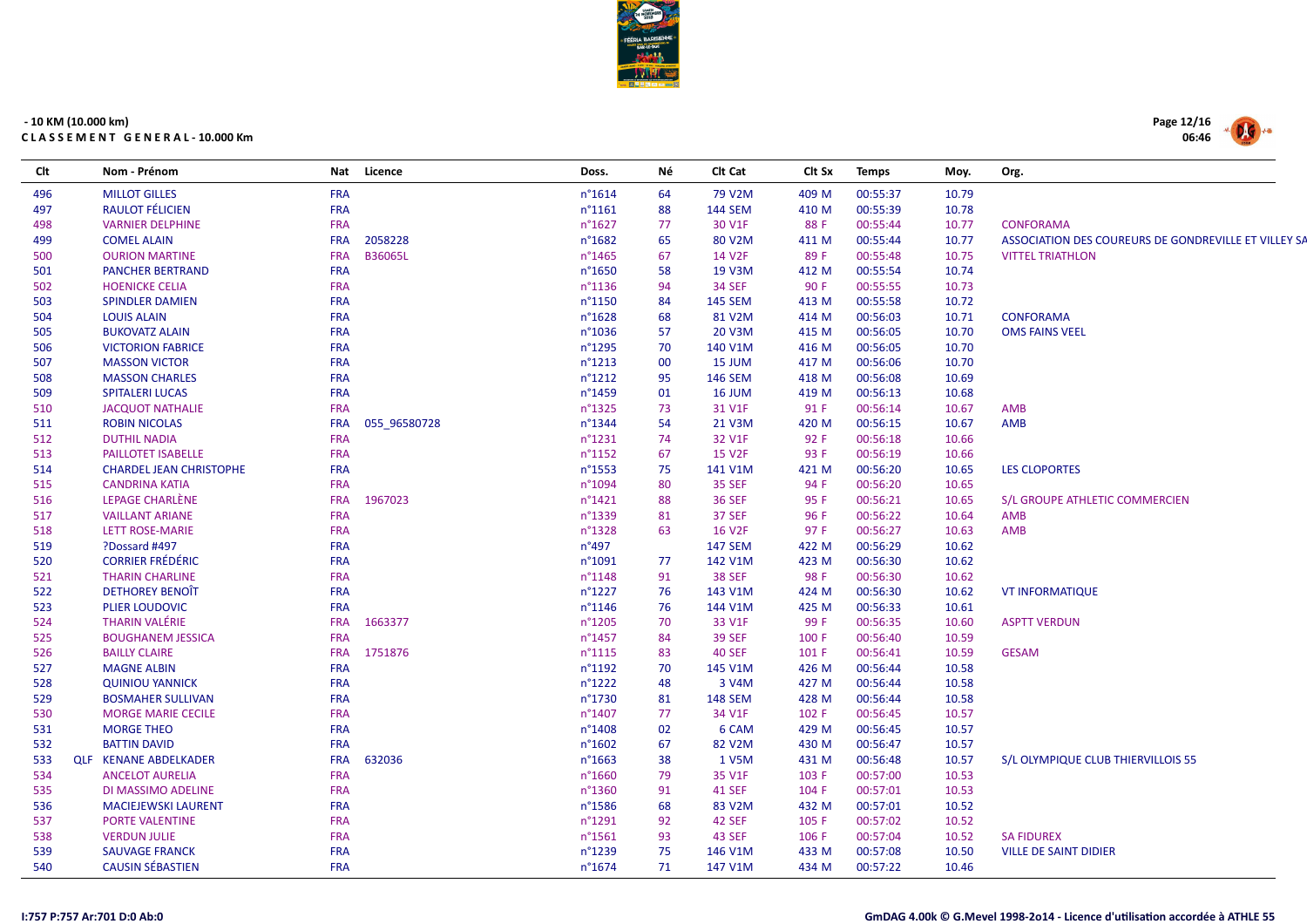

| Clt | Nom - Prénom                   |            | Nat Licence    | Doss.           | Νé | Clt Cat             | Clt Sx | <b>Temps</b> | Moy.  | Org.                                                 |
|-----|--------------------------------|------------|----------------|-----------------|----|---------------------|--------|--------------|-------|------------------------------------------------------|
| 496 | <b>MILLOT GILLES</b>           | <b>FRA</b> |                | n°1614          | 64 | 79 V2M              | 409 M  | 00:55:37     | 10.79 |                                                      |
| 497 | <b>RAULOT FÉLICIEN</b>         | <b>FRA</b> |                | $n^{\circ}1161$ | 88 | <b>144 SEM</b>      | 410 M  | 00:55:39     | 10.78 |                                                      |
| 498 | <b>VARNIER DELPHINE</b>        | <b>FRA</b> |                | n°1627          | 77 | 30 V1F              | 88 F   | 00:55:44     | 10.77 | <b>CONFORAMA</b>                                     |
| 499 | <b>COMEL ALAIN</b>             | <b>FRA</b> | 2058228        | n°1682          | 65 | 80 V2M              | 411 M  | 00:55:44     | 10.77 | ASSOCIATION DES COUREURS DE GONDREVILLE ET VILLEY SA |
| 500 | <b>OURION MARTINE</b>          | <b>FRA</b> | <b>B36065L</b> | n°1465          | 67 | 14 V2F              | 89 F   | 00:55:48     | 10.75 | <b>VITTEL TRIATHLON</b>                              |
| 501 | <b>PANCHER BERTRAND</b>        | <b>FRA</b> |                | n°1650          | 58 | 19 V3M              | 412 M  | 00:55:54     | 10.74 |                                                      |
| 502 | <b>HOENICKE CELIA</b>          | <b>FRA</b> |                | n°1136          | 94 | <b>34 SEF</b>       | 90 F   | 00:55:55     | 10.73 |                                                      |
| 503 | <b>SPINDLER DAMIEN</b>         | <b>FRA</b> |                | n°1150          | 84 | <b>145 SEM</b>      | 413 M  | 00:55:58     | 10.72 |                                                      |
| 504 | <b>LOUIS ALAIN</b>             | <b>FRA</b> |                | n°1628          | 68 | 81 V2M              | 414 M  | 00:56:03     | 10.71 | <b>CONFORAMA</b>                                     |
| 505 | <b>BUKOVATZ ALAIN</b>          | <b>FRA</b> |                | n°1036          | 57 | 20 V3M              | 415 M  | 00:56:05     | 10.70 | <b>OMS FAINS VEEL</b>                                |
| 506 | <b>VICTORION FABRICE</b>       | <b>FRA</b> |                | n°1295          | 70 | 140 V1M             | 416 M  | 00:56:05     | 10.70 |                                                      |
| 507 | <b>MASSON VICTOR</b>           | <b>FRA</b> |                | $n^{\circ}1213$ | 00 | 15 JUM              | 417 M  | 00:56:06     | 10.70 |                                                      |
| 508 | <b>MASSON CHARLES</b>          | <b>FRA</b> |                | n°1212          | 95 | <b>146 SEM</b>      | 418 M  | 00:56:08     | 10.69 |                                                      |
| 509 | <b>SPITALERI LUCAS</b>         | <b>FRA</b> |                | n°1459          | 01 | 16 JUM              | 419 M  | 00:56:13     | 10.68 |                                                      |
| 510 | <b>JACQUOT NATHALIE</b>        | <b>FRA</b> |                | n°1325          | 73 | 31 V1F              | 91 F   | 00:56:14     | 10.67 | AMB                                                  |
| 511 | <b>ROBIN NICOLAS</b>           | <b>FRA</b> | 055 96580728   | n°1344          | 54 | 21 V3M              | 420 M  | 00:56:15     | 10.67 | AMB                                                  |
| 512 | <b>DUTHIL NADIA</b>            | <b>FRA</b> |                | n°1231          | 74 | 32 V1F              | 92 F   | 00:56:18     | 10.66 |                                                      |
| 513 | PAILLOTET ISABELLE             | <b>FRA</b> |                | n°1152          | 67 | <b>15 V2F</b>       | 93 F   | 00:56:19     | 10.66 |                                                      |
| 514 | <b>CHARDEL JEAN CHRISTOPHE</b> | <b>FRA</b> |                | n°1553          | 75 | 141 V1M             | 421 M  | 00:56:20     | 10.65 | <b>LES CLOPORTES</b>                                 |
| 515 | <b>CANDRINA KATIA</b>          | <b>FRA</b> |                | n°1094          | 80 | <b>35 SEF</b>       | 94 F   | 00:56:20     | 10.65 |                                                      |
| 516 | LEPAGE CHARLÈNE                | <b>FRA</b> | 1967023        | n°1421          | 88 | <b>36 SEF</b>       | 95 F   | 00:56:21     | 10.65 | S/L GROUPE ATHLETIC COMMERCIEN                       |
| 517 | <b>VAILLANT ARIANE</b>         | <b>FRA</b> |                | n°1339          | 81 | 37 SEF              | 96 F   | 00:56:22     | 10.64 | AMB                                                  |
| 518 | <b>LETT ROSE-MARIE</b>         | <b>FRA</b> |                | n°1328          | 63 | <b>16 V2F</b>       | 97 F   | 00:56:27     | 10.63 | AMB                                                  |
| 519 | ?Dossard #497                  | <b>FRA</b> |                | $n^{\circ}497$  |    | <b>147 SEM</b>      | 422 M  | 00:56:29     | 10.62 |                                                      |
| 520 | <b>CORRIER FRÉDÉRIC</b>        | <b>FRA</b> |                | n°1091          | 77 | 142 V1M             | 423 M  | 00:56:30     | 10.62 |                                                      |
| 521 | <b>THARIN CHARLINE</b>         | <b>FRA</b> |                | n°1148          | 91 | <b>38 SEF</b>       | 98 F   | 00:56:30     | 10.62 |                                                      |
| 522 | <b>DETHOREY BENOIT</b>         | <b>FRA</b> |                | n°1227          | 76 | 143 V1M             | 424 M  | 00:56:30     | 10.62 | <b>VT INFORMATIQUE</b>                               |
| 523 | <b>PLIER LOUDOVIC</b>          | <b>FRA</b> |                | n°1146          | 76 | 144 V1M             | 425 M  | 00:56:33     | 10.61 |                                                      |
| 524 | <b>THARIN VALÉRIE</b>          | <b>FRA</b> | 1663377        | n°1205          | 70 | 33 V1F              | 99 F   | 00:56:35     | 10.60 | <b>ASPTT VERDUN</b>                                  |
| 525 | <b>BOUGHANEM JESSICA</b>       | <b>FRA</b> |                | n°1457          | 84 | <b>39 SEF</b>       | 100 F  | 00:56:40     | 10.59 |                                                      |
| 526 | <b>BAILLY CLAIRE</b>           | <b>FRA</b> | 1751876        | $n^{\circ}1115$ | 83 | 40 SEF              | 101 F  | 00:56:41     | 10.59 | <b>GESAM</b>                                         |
| 527 | <b>MAGNE ALBIN</b>             | <b>FRA</b> |                | n°1192          | 70 | 145 V1M             | 426 M  | 00:56:44     | 10.58 |                                                      |
| 528 | <b>QUINIOU YANNICK</b>         | <b>FRA</b> |                | n°1222          | 48 | 3 V4M               | 427 M  | 00:56:44     | 10.58 |                                                      |
| 529 | <b>BOSMAHER SULLIVAN</b>       | <b>FRA</b> |                | n°1730          | 81 | <b>148 SEM</b>      | 428 M  | 00:56:44     | 10.58 |                                                      |
| 530 | <b>MORGE MARIE CECILE</b>      | <b>FRA</b> |                | n°1407          | 77 | 34 V1F              | 102 F  | 00:56:45     | 10.57 |                                                      |
| 531 | <b>MORGE THEO</b>              | <b>FRA</b> |                | n°1408          | 02 | 6 CAM               | 429 M  | 00:56:45     | 10.57 |                                                      |
| 532 | <b>BATTIN DAVID</b>            | <b>FRA</b> |                | n°1602          | 67 | 82 V <sub>2</sub> M | 430 M  | 00:56:47     | 10.57 |                                                      |
| 533 | <b>QLF KENANE ABDELKADER</b>   | <b>FRA</b> | 632036         | $n^{\circ}1663$ | 38 | 1 V5M               | 431 M  | 00:56:48     | 10.57 | S/L OLYMPIQUE CLUB THIERVILLOIS 55                   |
| 534 | <b>ANCELOT AURELIA</b>         | <b>FRA</b> |                | n°1660          | 79 | 35 V1F              | 103 F  | 00:57:00     | 10.53 |                                                      |
| 535 | DI MASSIMO ADELINE             | <b>FRA</b> |                | n°1360          | 91 | <b>41 SEF</b>       | 104 F  | 00:57:01     | 10.53 |                                                      |
| 536 | <b>MACIEJEWSKI LAURENT</b>     | <b>FRA</b> |                | n°1586          | 68 | 83 V2M              | 432 M  | 00:57:01     | 10.52 |                                                      |
| 537 | PORTE VALENTINE                | <b>FRA</b> |                | n°1291          | 92 | 42 SEF              | 105 F  | 00:57:02     | 10.52 |                                                      |
| 538 | <b>VERDUN JULIE</b>            | <b>FRA</b> |                | n°1561          | 93 | 43 SEF              | 106 F  | 00:57:04     | 10.52 | <b>SA FIDUREX</b>                                    |
| 539 | <b>SAUVAGE FRANCK</b>          | <b>FRA</b> |                | n°1239          | 75 | 146 V1M             | 433 M  | 00:57:08     | 10.50 | <b>VILLE DE SAINT DIDIER</b>                         |
| 540 | <b>CAUSIN SÉBASTIEN</b>        | <b>FRA</b> |                | n°1674          | 71 | 147 V1M             | 434 M  | 00:57:22     | 10.46 |                                                      |

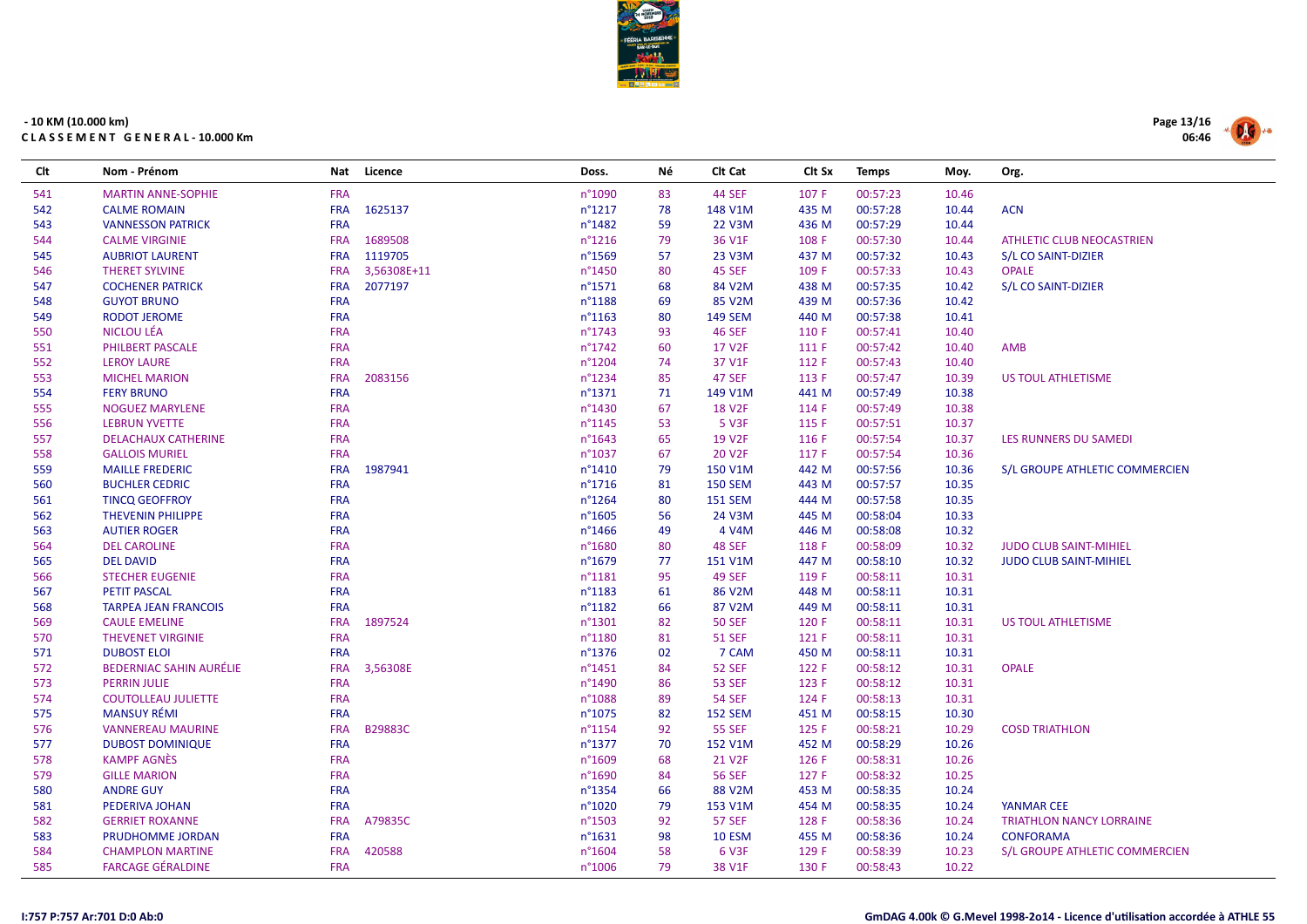

| Clt | Nom - Prénom                   | Nat        | Licence     | Doss.            | Νé | Clt Cat            | Clt Sx | <b>Temps</b> | Moy.  | Org.                            |
|-----|--------------------------------|------------|-------------|------------------|----|--------------------|--------|--------------|-------|---------------------------------|
| 541 | <b>MARTIN ANNE-SOPHIE</b>      | <b>FRA</b> |             | n°1090           | 83 | <b>44 SEF</b>      | 107 F  | 00:57:23     | 10.46 |                                 |
| 542 | <b>CALME ROMAIN</b>            | <b>FRA</b> | 1625137     | $n^{\circ}1217$  | 78 | 148 V1M            | 435 M  | 00:57:28     | 10.44 | <b>ACN</b>                      |
| 543 | <b>VANNESSON PATRICK</b>       | <b>FRA</b> |             | n°1482           | 59 | 22 V3M             | 436 M  | 00:57:29     | 10.44 |                                 |
| 544 | <b>CALME VIRGINIE</b>          | <b>FRA</b> | 1689508     | $n^{\circ}$ 1216 | 79 | 36 V1F             | 108 F  | 00:57:30     | 10.44 | ATHLETIC CLUB NEOCASTRIEN       |
| 545 | <b>AUBRIOT LAURENT</b>         | <b>FRA</b> | 1119705     | n°1569           | 57 | 23 V3M             | 437 M  | 00:57:32     | 10.43 | S/L CO SAINT-DIZIER             |
| 546 | <b>THERET SYLVINE</b>          | <b>FRA</b> | 3,56308E+11 | n°1450           | 80 | 45 SEF             | 109 F  | 00:57:33     | 10.43 | <b>OPALE</b>                    |
| 547 | <b>COCHENER PATRICK</b>        | <b>FRA</b> | 2077197     | n°1571           | 68 | 84 V2M             | 438 M  | 00:57:35     | 10.42 | S/L CO SAINT-DIZIER             |
| 548 | <b>GUYOT BRUNO</b>             | <b>FRA</b> |             | n°1188           | 69 | 85 V2M             | 439 M  | 00:57:36     | 10.42 |                                 |
| 549 | <b>RODOT JEROME</b>            | <b>FRA</b> |             | n°1163           | 80 | <b>149 SEM</b>     | 440 M  | 00:57:38     | 10.41 |                                 |
| 550 | NICLOU LÉA                     | <b>FRA</b> |             | n°1743           | 93 | <b>46 SEF</b>      | 110 F  | 00:57:41     | 10.40 |                                 |
| 551 | PHILBERT PASCALE               | <b>FRA</b> |             | $n^{\circ}$ 1742 | 60 | 17 V <sub>2F</sub> | 111 F  | 00:57:42     | 10.40 | <b>AMB</b>                      |
| 552 | <b>LEROY LAURE</b>             | <b>FRA</b> |             | n°1204           | 74 | 37 V1F             | 112 F  | 00:57:43     | 10.40 |                                 |
| 553 | <b>MICHEL MARION</b>           | <b>FRA</b> | 2083156     | n°1234           | 85 | <b>47 SEF</b>      | 113 F  | 00:57:47     | 10.39 | US TOUL ATHLETISME              |
| 554 | <b>FERY BRUNO</b>              | <b>FRA</b> |             | $n^{\circ}$ 1371 | 71 | 149 V1M            | 441 M  | 00:57:49     | 10.38 |                                 |
| 555 | <b>NOGUEZ MARYLENE</b>         | <b>FRA</b> |             | n°1430           | 67 | <b>18 V2F</b>      | 114 F  | 00:57:49     | 10.38 |                                 |
| 556 | <b>LEBRUN YVETTE</b>           | <b>FRA</b> |             | n°1145           | 53 | 5 V3F              | 115 F  | 00:57:51     | 10.37 |                                 |
| 557 | <b>DELACHAUX CATHERINE</b>     | <b>FRA</b> |             | $n^{\circ}1643$  | 65 | 19 V <sub>2F</sub> | 116 F  | 00:57:54     | 10.37 | LES RUNNERS DU SAMEDI           |
| 558 | <b>GALLOIS MURIEL</b>          | <b>FRA</b> |             | n°1037           | 67 | 20 V <sub>2F</sub> | 117 F  | 00:57:54     | 10.36 |                                 |
| 559 | <b>MAILLE FREDERIC</b>         | <b>FRA</b> | 1987941     | n°1410           | 79 | 150 V1M            | 442 M  | 00:57:56     | 10.36 | S/L GROUPE ATHLETIC COMMERCIEN  |
| 560 | <b>BUCHLER CEDRIC</b>          | <b>FRA</b> |             | n°1716           | 81 | <b>150 SEM</b>     | 443 M  | 00:57:57     | 10.35 |                                 |
| 561 | <b>TINCQ GEOFFROY</b>          | <b>FRA</b> |             | n°1264           | 80 | <b>151 SEM</b>     | 444 M  | 00:57:58     | 10.35 |                                 |
| 562 | <b>THEVENIN PHILIPPE</b>       | <b>FRA</b> |             | $n^{\circ}1605$  | 56 | 24 V3M             | 445 M  | 00:58:04     | 10.33 |                                 |
| 563 | <b>AUTIER ROGER</b>            | <b>FRA</b> |             | n°1466           | 49 | 4 V4M              | 446 M  | 00:58:08     | 10.32 |                                 |
| 564 | <b>DEL CAROLINE</b>            | <b>FRA</b> |             | n°1680           | 80 | 48 SEF             | 118 F  | 00:58:09     | 10.32 | <b>JUDO CLUB SAINT-MIHIEL</b>   |
| 565 | <b>DEL DAVID</b>               | <b>FRA</b> |             | n°1679           | 77 | 151 V1M            | 447 M  | 00:58:10     | 10.32 | <b>JUDO CLUB SAINT-MIHIEL</b>   |
| 566 | <b>STECHER EUGENIE</b>         | <b>FRA</b> |             | n°1181           | 95 | <b>49 SEF</b>      | 119 F  | 00:58:11     | 10.31 |                                 |
| 567 | <b>PETIT PASCAL</b>            | <b>FRA</b> |             | n°1183           | 61 | 86 V2M             | 448 M  | 00:58:11     | 10.31 |                                 |
| 568 | <b>TARPEA JEAN FRANCOIS</b>    | <b>FRA</b> |             | n°1182           | 66 | 87 V2M             | 449 M  | 00:58:11     | 10.31 |                                 |
| 569 | <b>CAULE EMELINE</b>           | <b>FRA</b> | 1897524     | n°1301           | 82 | <b>50 SEF</b>      | 120 F  | 00:58:11     | 10.31 | US TOUL ATHLETISME              |
| 570 | <b>THEVENET VIRGINIE</b>       | <b>FRA</b> |             | n°1180           | 81 | <b>51 SEF</b>      | 121 F  | 00:58:11     | 10.31 |                                 |
| 571 | <b>DUBOST ELOI</b>             | <b>FRA</b> |             | n°1376           | 02 | 7 CAM              | 450 M  | 00:58:11     | 10.31 |                                 |
| 572 | <b>BEDERNIAC SAHIN AURÉLIE</b> | <b>FRA</b> | 3,56308E    | $n^{\circ}$ 1451 | 84 | <b>52 SEF</b>      | 122 F  | 00:58:12     | 10.31 | <b>OPALE</b>                    |
| 573 | <b>PERRIN JULIE</b>            | <b>FRA</b> |             | n°1490           | 86 | <b>53 SEF</b>      | 123 F  | 00:58:12     | 10.31 |                                 |
| 574 | <b>COUTOLLEAU JULIETTE</b>     | <b>FRA</b> |             | n°1088           | 89 | <b>54 SEF</b>      | 124 F  | 00:58:13     | 10.31 |                                 |
| 575 | <b>MANSUY RÉMI</b>             | <b>FRA</b> |             | n°1075           | 82 | <b>152 SEM</b>     | 451 M  | 00:58:15     | 10.30 |                                 |
| 576 | <b>VANNEREAU MAURINE</b>       | <b>FRA</b> | B29883C     | n°1154           | 92 | <b>55 SEF</b>      | 125 F  | 00:58:21     | 10.29 | <b>COSD TRIATHLON</b>           |
| 577 | <b>DUBOST DOMINIQUE</b>        | <b>FRA</b> |             | $n^{\circ}$ 1377 | 70 | 152 V1M            | 452 M  | 00:58:29     | 10.26 |                                 |
| 578 | <b>KAMPF AGNÈS</b>             | <b>FRA</b> |             | n°1609           | 68 | 21 V <sub>2F</sub> | 126 F  | 00:58:31     | 10.26 |                                 |
| 579 | <b>GILLE MARION</b>            | <b>FRA</b> |             | n°1690           | 84 | <b>56 SEF</b>      | 127 F  | 00:58:32     | 10.25 |                                 |
| 580 | <b>ANDRE GUY</b>               | <b>FRA</b> |             | n°1354           | 66 | 88 V2M             | 453 M  | 00:58:35     | 10.24 |                                 |
| 581 | PEDERIVA JOHAN                 | <b>FRA</b> |             | n°1020           | 79 | 153 V1M            | 454 M  | 00:58:35     | 10.24 | YANMAR CEE                      |
| 582 | <b>GERRIET ROXANNE</b>         | <b>FRA</b> | A79835C     | n°1503           | 92 | <b>57 SEF</b>      | 128 F  | 00:58:36     | 10.24 | <b>TRIATHLON NANCY LORRAINE</b> |
| 583 | PRUDHOMME JORDAN               | <b>FRA</b> |             | n°1631           | 98 | <b>10 ESM</b>      | 455 M  | 00:58:36     | 10.24 | <b>CONFORAMA</b>                |
| 584 | <b>CHAMPLON MARTINE</b>        | <b>FRA</b> | 420588      | n°1604           | 58 | 6 V3F              | 129 F  | 00:58:39     | 10.23 | S/L GROUPE ATHLETIC COMMERCIEN  |
| 585 | <b>FARCAGE GÉRALDINE</b>       | <b>FRA</b> |             | n°1006           | 79 | 38 V1F             | 130 F  | 00:58:43     | 10.22 |                                 |

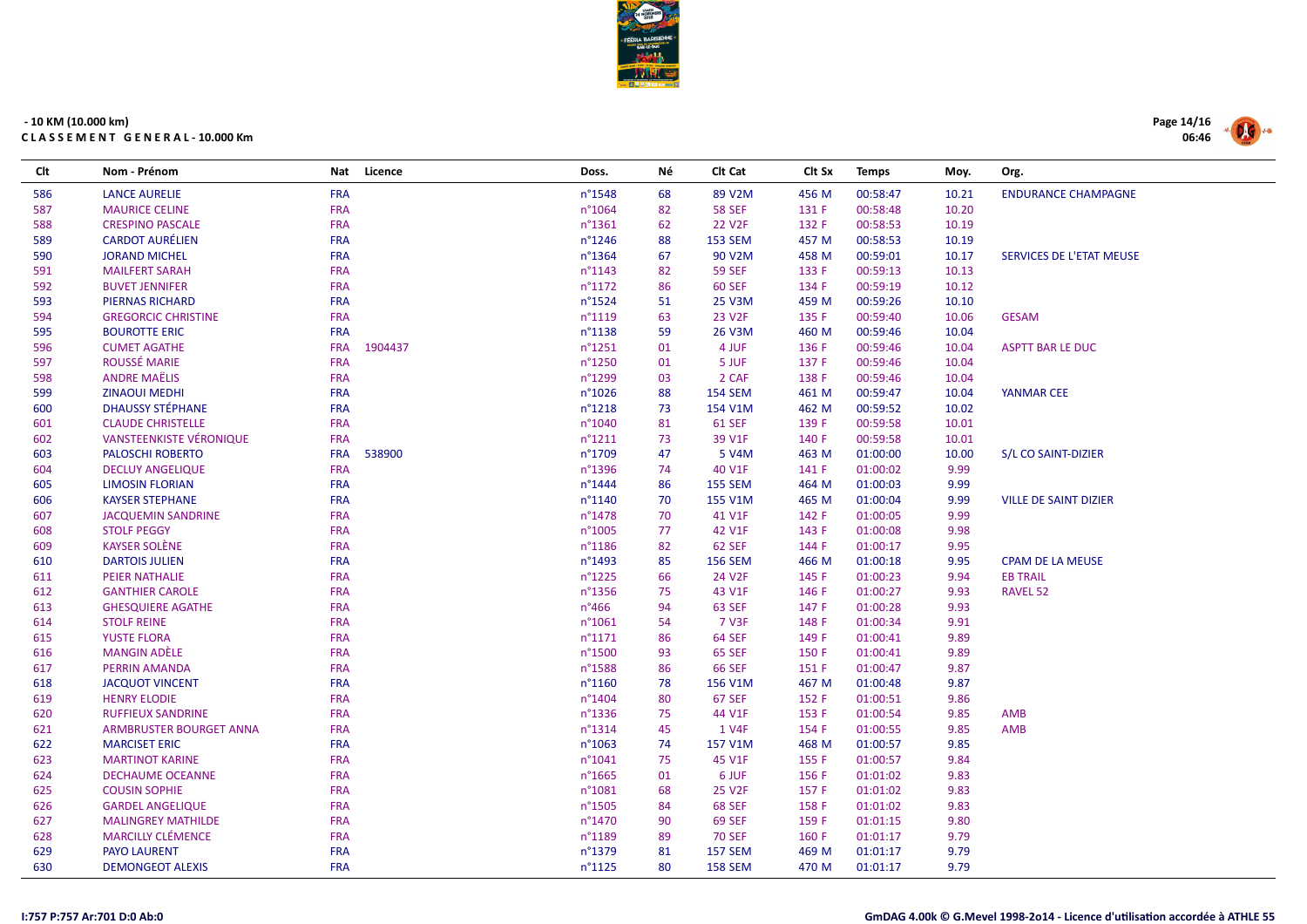

| Clt | Nom - Prénom                   | Nat        | Licence | Doss.            | Νé | CIt Cat            | Clt Sx | <b>Temps</b> | Moy.  | Org.                         |
|-----|--------------------------------|------------|---------|------------------|----|--------------------|--------|--------------|-------|------------------------------|
| 586 | <b>LANCE AURELIE</b>           | <b>FRA</b> |         | $n^{\circ}$ 1548 | 68 | 89 V2M             | 456 M  | 00:58:47     | 10.21 | <b>ENDURANCE CHAMPAGNE</b>   |
| 587 | <b>MAURICE CELINE</b>          | <b>FRA</b> |         | n°1064           | 82 | <b>58 SEF</b>      | 131 F  | 00:58:48     | 10.20 |                              |
| 588 | <b>CRESPINO PASCALE</b>        | <b>FRA</b> |         | $n^{\circ}$ 1361 | 62 | 22 V <sub>2F</sub> | 132 F  | 00:58:53     | 10.19 |                              |
| 589 | <b>CARDOT AURÉLIEN</b>         | <b>FRA</b> |         | $n^{\circ}$ 1246 | 88 | <b>153 SEM</b>     | 457 M  | 00:58:53     | 10.19 |                              |
| 590 | <b>JORAND MICHEL</b>           | <b>FRA</b> |         | $n^{\circ}$ 1364 | 67 | 90 V2M             | 458 M  | 00:59:01     | 10.17 | SERVICES DE L'ETAT MEUSE     |
| 591 | <b>MAILFERT SARAH</b>          | <b>FRA</b> |         | $n^{\circ}$ 1143 | 82 | <b>59 SEF</b>      | 133 F  | 00:59:13     | 10.13 |                              |
| 592 | <b>BUVET JENNIFER</b>          | <b>FRA</b> |         | $n^{\circ}1172$  | 86 | <b>60 SEF</b>      | 134 F  | 00:59:19     | 10.12 |                              |
| 593 | <b>PIERNAS RICHARD</b>         | <b>FRA</b> |         | n°1524           | 51 | 25 V3M             | 459 M  | 00:59:26     | 10.10 |                              |
| 594 | <b>GREGORCIC CHRISTINE</b>     | <b>FRA</b> |         | $n^{\circ}1119$  | 63 | 23 V <sub>2F</sub> | 135 F  | 00:59:40     | 10.06 | <b>GESAM</b>                 |
| 595 | <b>BOUROTTE ERIC</b>           | <b>FRA</b> |         | $n^{\circ}$ 1138 | 59 | 26 V3M             | 460 M  | 00:59:46     | 10.04 |                              |
| 596 | <b>CUMET AGATHE</b>            | <b>FRA</b> | 1904437 | $n^{\circ}$ 1251 | 01 | 4 JUF              | 136 F  | 00:59:46     | 10.04 | <b>ASPTT BAR LE DUC</b>      |
| 597 | ROUSSÉ MARIE                   | <b>FRA</b> |         | n°1250           | 01 | 5 JUF              | 137 F  | 00:59:46     | 10.04 |                              |
| 598 | <b>ANDRE MAËLIS</b>            | <b>FRA</b> |         | n°1299           | 03 | 2 CAF              | 138 F  | 00:59:46     | 10.04 |                              |
| 599 | <b>ZINAOUI MEDHI</b>           | <b>FRA</b> |         | $n^{\circ}1026$  | 88 | <b>154 SEM</b>     | 461 M  | 00:59:47     | 10.04 | <b>YANMAR CEE</b>            |
| 600 | <b>DHAUSSY STÉPHANE</b>        | <b>FRA</b> |         | $n^{\circ}$ 1218 | 73 | 154 V1M            | 462 M  | 00:59:52     | 10.02 |                              |
| 601 | <b>CLAUDE CHRISTELLE</b>       | <b>FRA</b> |         | n°1040           | 81 | <b>61 SEF</b>      | 139 F  | 00:59:58     | 10.01 |                              |
| 602 | <b>VANSTEENKISTE VÉRONIQUE</b> | <b>FRA</b> |         | $n^{\circ}1211$  | 73 | 39 V1F             | 140 F  | 00:59:58     | 10.01 |                              |
| 603 | <b>PALOSCHI ROBERTO</b>        | <b>FRA</b> | 538900  | n°1709           | 47 | 5 V4M              | 463 M  | 01:00:00     | 10.00 | S/L CO SAINT-DIZIER          |
| 604 | <b>DECLUY ANGELIQUE</b>        | <b>FRA</b> |         | n°1396           | 74 | 40 V1F             | 141 F  | 01:00:02     | 9.99  |                              |
| 605 | <b>LIMOSIN FLORIAN</b>         | <b>FRA</b> |         | $n^{\circ}$ 1444 | 86 | <b>155 SEM</b>     | 464 M  | 01:00:03     | 9.99  |                              |
| 606 | <b>KAYSER STEPHANE</b>         | <b>FRA</b> |         | $n^{\circ}1140$  | 70 | 155 V1M            | 465 M  | 01:00:04     | 9.99  | <b>VILLE DE SAINT DIZIER</b> |
| 607 | <b>JACQUEMIN SANDRINE</b>      | <b>FRA</b> |         | $n^{\circ}$ 1478 | 70 | 41 V1F             | 142 F  | 01:00:05     | 9.99  |                              |
| 608 | <b>STOLF PEGGY</b>             | <b>FRA</b> |         | n°1005           | 77 | 42 V1F             | 143 F  | 01:00:08     | 9.98  |                              |
| 609 | <b>KAYSER SOLÈNE</b>           | <b>FRA</b> |         | $n^{\circ}$ 1186 | 82 | <b>62 SEF</b>      | 144 F  | 01:00:17     | 9.95  |                              |
| 610 | <b>DARTOIS JULIEN</b>          | <b>FRA</b> |         | $n^{\circ}$ 1493 | 85 | <b>156 SEM</b>     | 466 M  | 01:00:18     | 9.95  | <b>CPAM DE LA MEUSE</b>      |
| 611 | <b>PEIER NATHALIE</b>          | <b>FRA</b> |         | $n^{\circ}$ 1225 | 66 | 24 V2F             | 145 F  | 01:00:23     | 9.94  | <b>EB TRAIL</b>              |
| 612 | <b>GANTHIER CAROLE</b>         | <b>FRA</b> |         | $n^{\circ}$ 1356 | 75 | 43 V1F             | 146 F  | 01:00:27     | 9.93  | RAVEL 52                     |
| 613 | <b>GHESQUIERE AGATHE</b>       | <b>FRA</b> |         | $n^{\circ}$ 466  | 94 | <b>63 SEF</b>      | 147 F  | 01:00:28     | 9.93  |                              |
| 614 | <b>STOLF REINE</b>             | <b>FRA</b> |         | n°1061           | 54 | <b>7 V3F</b>       | 148 F  | 01:00:34     | 9.91  |                              |
| 615 | <b>YUSTE FLORA</b>             | <b>FRA</b> |         | $n^{\circ}1171$  | 86 | 64 SEF             | 149 F  | 01:00:41     | 9.89  |                              |
| 616 | <b>MANGIN ADÈLE</b>            | <b>FRA</b> |         | n°1500           | 93 | <b>65 SEF</b>      | 150 F  | 01:00:41     | 9.89  |                              |
| 617 | <b>PERRIN AMANDA</b>           | <b>FRA</b> |         | n°1588           | 86 | <b>66 SEF</b>      | 151 F  | 01:00:47     | 9.87  |                              |
| 618 | <b>JACQUOT VINCENT</b>         | <b>FRA</b> |         | $n^{\circ}1160$  | 78 | 156 V1M            | 467 M  | 01:00:48     | 9.87  |                              |
| 619 | <b>HENRY ELODIE</b>            | <b>FRA</b> |         | $n^{\circ}$ 1404 | 80 | <b>67 SEF</b>      | 152 F  | 01:00:51     | 9.86  |                              |
| 620 | <b>RUFFIEUX SANDRINE</b>       | <b>FRA</b> |         | $n^{\circ}$ 1336 | 75 | 44 V1F             | 153 F  | 01:00:54     | 9.85  | AMB                          |
| 621 | ARMBRUSTER BOURGET ANNA        | <b>FRA</b> |         | $n^{\circ}$ 1314 | 45 | 1 V4F              | 154 F  | 01:00:55     | 9.85  | <b>AMB</b>                   |
| 622 | <b>MARCISET ERIC</b>           | <b>FRA</b> |         | n°1063           | 74 | 157 V1M            | 468 M  | 01:00:57     | 9.85  |                              |
| 623 | <b>MARTINOT KARINE</b>         | <b>FRA</b> |         | n°1041           | 75 | 45 V1F             | 155 F  | 01:00:57     | 9.84  |                              |
| 624 | <b>DECHAUME OCEANNE</b>        | <b>FRA</b> |         | $n^{\circ}1665$  | 01 | 6 JUF              | 156 F  | 01:01:02     | 9.83  |                              |
| 625 | <b>COUSIN SOPHIE</b>           | <b>FRA</b> |         | $n^{\circ}1081$  | 68 | 25 V <sub>2F</sub> | 157 F  | 01:01:02     | 9.83  |                              |
| 626 | <b>GARDEL ANGELIQUE</b>        | <b>FRA</b> |         | n°1505           | 84 | <b>68 SEF</b>      | 158 F  | 01:01:02     | 9.83  |                              |
| 627 | <b>MALINGREY MATHILDE</b>      | <b>FRA</b> |         | $n^{\circ}$ 1470 | 90 | <b>69 SEF</b>      | 159 F  | 01:01:15     | 9.80  |                              |
| 628 | <b>MARCILLY CLÉMENCE</b>       | <b>FRA</b> |         | n°1189           | 89 | <b>70 SEF</b>      | 160 F  | 01:01:17     | 9.79  |                              |
| 629 | <b>PAYO LAURENT</b>            | <b>FRA</b> |         | n°1379           | 81 | <b>157 SEM</b>     | 469 M  | 01:01:17     | 9.79  |                              |
| 630 | <b>DEMONGEOT ALEXIS</b>        | <b>FRA</b> |         | $n^{\circ}1125$  | 80 | <b>158 SEM</b>     | 470 M  | 01:01:17     | 9.79  |                              |
|     |                                |            |         |                  |    |                    |        |              |       |                              |

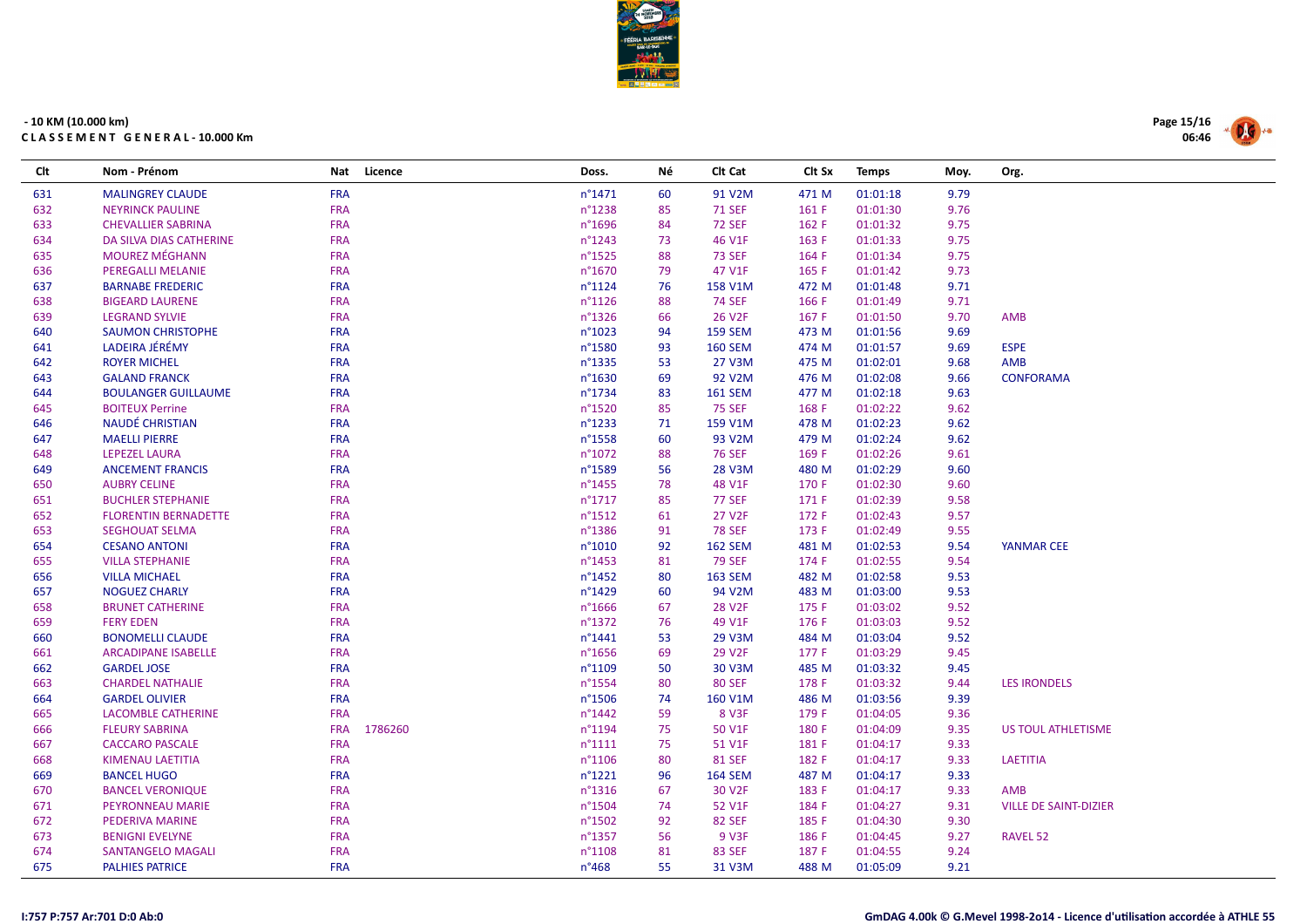

| Clt | Nom - Prénom                | Nat<br>Licence        | Doss.            | Νé | CIt Cat            | Clt Sx | <b>Temps</b> | Moy. | Org.                         |
|-----|-----------------------------|-----------------------|------------------|----|--------------------|--------|--------------|------|------------------------------|
| 631 | <b>MALINGREY CLAUDE</b>     | <b>FRA</b>            | $n^{\circ}$ 1471 | 60 | 91 V2M             | 471 M  | 01:01:18     | 9.79 |                              |
| 632 | <b>NEYRINCK PAULINE</b>     | <b>FRA</b>            | $n^{\circ}$ 1238 | 85 | <b>71 SEF</b>      | 161 F  | 01:01:30     | 9.76 |                              |
| 633 | <b>CHEVALLIER SABRINA</b>   | <b>FRA</b>            | $n^{\circ}$ 1696 | 84 | <b>72 SEF</b>      | 162 F  | 01:01:32     | 9.75 |                              |
| 634 | DA SILVA DIAS CATHERINE     | <b>FRA</b>            | $n^{\circ}$ 1243 | 73 | 46 V1F             | 163 F  | 01:01:33     | 9.75 |                              |
| 635 | <b>MOUREZ MÉGHANN</b>       | <b>FRA</b>            | $n^{\circ}$ 1525 | 88 | <b>73 SEF</b>      | 164 F  | 01:01:34     | 9.75 |                              |
| 636 | <b>PEREGALLI MELANIE</b>    | <b>FRA</b>            | n°1670           | 79 | 47 V1F             | 165 F  | 01:01:42     | 9.73 |                              |
| 637 | <b>BARNABE FREDERIC</b>     | <b>FRA</b>            | $n^{\circ}1124$  | 76 | 158 V1M            | 472 M  | 01:01:48     | 9.71 |                              |
| 638 | <b>BIGEARD LAURENE</b>      | <b>FRA</b>            | $n^{\circ}1126$  | 88 | <b>74 SEF</b>      | 166 F  | 01:01:49     | 9.71 |                              |
| 639 | <b>LEGRAND SYLVIE</b>       | <b>FRA</b>            | $n^{\circ}$ 1326 | 66 | 26 V <sub>2F</sub> | 167 F  | 01:01:50     | 9.70 | <b>AMB</b>                   |
| 640 | <b>SAUMON CHRISTOPHE</b>    | <b>FRA</b>            | $n^{\circ}1023$  | 94 | <b>159 SEM</b>     | 473 M  | 01:01:56     | 9.69 |                              |
| 641 | LADEIRA JÉRÉMY              | <b>FRA</b>            | n°1580           | 93 | <b>160 SEM</b>     | 474 M  | 01:01:57     | 9.69 | <b>ESPE</b>                  |
| 642 | <b>ROYER MICHEL</b>         | <b>FRA</b>            | n°1335           | 53 | 27 V3M             | 475 M  | 01:02:01     | 9.68 | AMB                          |
| 643 | <b>GALAND FRANCK</b>        | <b>FRA</b>            | $n^{\circ}$ 1630 | 69 | 92 V2M             | 476 M  | 01:02:08     | 9.66 | <b>CONFORAMA</b>             |
| 644 | <b>BOULANGER GUILLAUME</b>  | <b>FRA</b>            | $n^{\circ}$ 1734 | 83 | <b>161 SEM</b>     | 477 M  | 01:02:18     | 9.63 |                              |
| 645 | <b>BOITEUX Perrine</b>      | <b>FRA</b>            | $n^{\circ}$ 1520 | 85 | <b>75 SEF</b>      | 168 F  | 01:02:22     | 9.62 |                              |
| 646 | NAUDÉ CHRISTIAN             | <b>FRA</b>            | $n^{\circ}$ 1233 | 71 | 159 V1M            | 478 M  | 01:02:23     | 9.62 |                              |
| 647 | <b>MAELLI PIERRE</b>        | <b>FRA</b>            | n°1558           | 60 | 93 V2M             | 479 M  | 01:02:24     | 9.62 |                              |
| 648 | LEPEZEL LAURA               | <b>FRA</b>            | $n^{\circ}1072$  | 88 | <b>76 SEF</b>      | 169 F  | 01:02:26     | 9.61 |                              |
| 649 | <b>ANCEMENT FRANCIS</b>     | <b>FRA</b>            | n°1589           | 56 | 28 V3M             | 480 M  | 01:02:29     | 9.60 |                              |
| 650 | <b>AUBRY CELINE</b>         | <b>FRA</b>            | $n^{\circ}$ 1455 | 78 | 48 V1F             | 170 F  | 01:02:30     | 9.60 |                              |
| 651 | <b>BUCHLER STEPHANIE</b>    | <b>FRA</b>            | $n^{\circ}$ 1717 | 85 | <b>77 SEF</b>      | 171 F  | 01:02:39     | 9.58 |                              |
| 652 | <b>FLORENTIN BERNADETTE</b> | <b>FRA</b>            | $n^{\circ}$ 1512 | 61 | 27 V <sub>2F</sub> | 172 F  | 01:02:43     | 9.57 |                              |
| 653 | <b>SEGHOUAT SELMA</b>       | <b>FRA</b>            | n°1386           | 91 | <b>78 SEF</b>      | 173 F  | 01:02:49     | 9.55 |                              |
| 654 | <b>CESANO ANTONI</b>        | <b>FRA</b>            | n°1010           | 92 | <b>162 SEM</b>     | 481 M  | 01:02:53     | 9.54 | <b>YANMAR CEE</b>            |
| 655 | <b>VILLA STEPHANIE</b>      | <b>FRA</b>            | n°1453           | 81 | <b>79 SEF</b>      | 174 F  | 01:02:55     | 9.54 |                              |
| 656 | <b>VILLA MICHAEL</b>        | <b>FRA</b>            | $n^{\circ}$ 1452 | 80 | <b>163 SEM</b>     | 482 M  | 01:02:58     | 9.53 |                              |
| 657 | <b>NOGUEZ CHARLY</b>        | <b>FRA</b>            | $n^{\circ}$ 1429 | 60 | 94 V2M             | 483 M  | 01:03:00     | 9.53 |                              |
| 658 | <b>BRUNET CATHERINE</b>     | <b>FRA</b>            | $n^{\circ}$ 1666 | 67 | 28 V2F             | 175 F  | 01:03:02     | 9.52 |                              |
| 659 | <b>FERY EDEN</b>            | <b>FRA</b>            | n°1372           | 76 | 49 V1F             | 176 F  | 01:03:03     | 9.52 |                              |
| 660 | <b>BONOMELLI CLAUDE</b>     | <b>FRA</b>            | $n^{\circ}$ 1441 | 53 | 29 V3M             | 484 M  | 01:03:04     | 9.52 |                              |
| 661 | <b>ARCADIPANE ISABELLE</b>  | <b>FRA</b>            | $n^{\circ}$ 1656 | 69 | 29 V2F             | 177 F  | 01:03:29     | 9.45 |                              |
| 662 | <b>GARDEL JOSE</b>          | <b>FRA</b>            | n°1109           | 50 | 30 V3M             | 485 M  | 01:03:32     | 9.45 |                              |
| 663 | <b>CHARDEL NATHALIE</b>     | <b>FRA</b>            | $n^{\circ}$ 1554 | 80 | <b>80 SEF</b>      | 178 F  | 01:03:32     | 9.44 | <b>LES IRONDELS</b>          |
| 664 | <b>GARDEL OLIVIER</b>       | <b>FRA</b>            | $n^{\circ}$ 1506 | 74 | 160 V1M            | 486 M  | 01:03:56     | 9.39 |                              |
| 665 | <b>LACOMBLE CATHERINE</b>   | <b>FRA</b>            | $n^{\circ}$ 1442 | 59 | 8 V3F              | 179 F  | 01:04:05     | 9.36 |                              |
| 666 | <b>FLEURY SABRINA</b>       | <b>FRA</b><br>1786260 | $n^{\circ}1194$  | 75 | 50 V1F             | 180 F  | 01:04:09     | 9.35 | US TOUL ATHLETISME           |
| 667 | <b>CACCARO PASCALE</b>      | <b>FRA</b>            | $n^{\circ}1111$  | 75 | 51 V1F             | 181 F  | 01:04:17     | 9.33 |                              |
| 668 | <b>KIMENAU LAETITIA</b>     | <b>FRA</b>            | $n^{\circ}1106$  | 80 | <b>81 SEF</b>      | 182 F  | 01:04:17     | 9.33 | <b>LAETITIA</b>              |
| 669 | <b>BANCEL HUGO</b>          | <b>FRA</b>            | $n^{\circ}$ 1221 | 96 | <b>164 SEM</b>     | 487 M  | 01:04:17     | 9.33 |                              |
| 670 | <b>BANCEL VERONIQUE</b>     | <b>FRA</b>            | $n^{\circ}$ 1316 | 67 | 30 V2F             | 183 F  | 01:04:17     | 9.33 | <b>AMB</b>                   |
| 671 | PEYRONNEAU MARIE            | <b>FRA</b>            | $n^{\circ}$ 1504 | 74 | 52 V1F             | 184 F  | 01:04:27     | 9.31 | <b>VILLE DE SAINT-DIZIER</b> |
| 672 | <b>PEDERIVA MARINE</b>      | <b>FRA</b>            | n°1502           | 92 | <b>82 SEF</b>      | 185 F  | 01:04:30     | 9.30 |                              |
| 673 | <b>BENIGNI EVELYNE</b>      | <b>FRA</b>            | n°1357           | 56 | 9 V3F              | 186 F  | 01:04:45     | 9.27 | RAVEL 52                     |
| 674 | <b>SANTANGELO MAGALI</b>    | <b>FRA</b>            | $n^{\circ}1108$  | 81 | <b>83 SEF</b>      | 187 F  | 01:04:55     | 9.24 |                              |
| 675 | <b>PALHIES PATRICE</b>      | <b>FRA</b>            | $n^{\circ}468$   | 55 | 31 V3M             | 488 M  | 01:05:09     | 9.21 |                              |